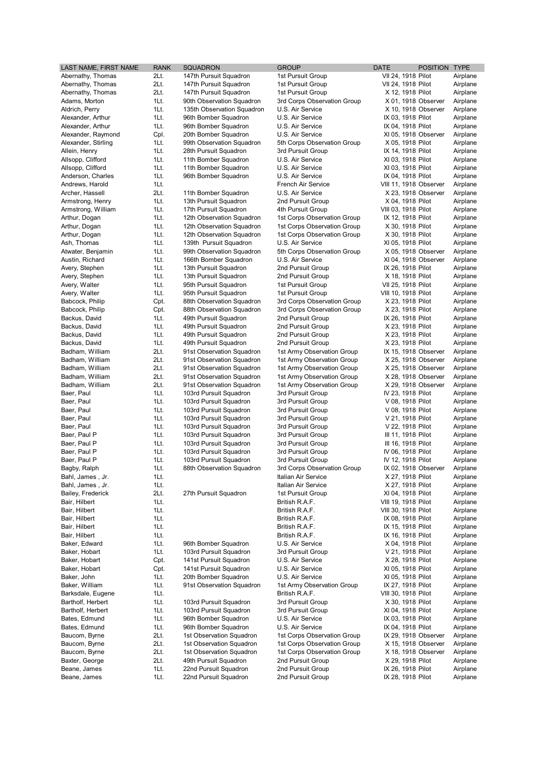| LAST NAME, FIRST N                      |
|-----------------------------------------|
| Abernathy, Thomas                       |
| Abernathy, Thomas                       |
| Abernathy, Thomas                       |
| Adams, Morton                           |
| Aldrich, Perry<br>Alexander, Arthur     |
|                                         |
| Alexander, Arthur<br>Alexander, Raymond |
|                                         |
| Alexander, Stirling<br>Allein, Henry    |
| Allsopp, Clifford                       |
| Allsopp, Clifford                       |
| Anderson, Charles                       |
| Andrews, Harold                         |
| Archer, Hassell                         |
| Armstrong, Henry                        |
| Armstrong, William                      |
| Arthur, Dogan                           |
| Arthur, Dogan                           |
| Arthur, Dogan                           |
| Ash, Thomas                             |
| Atwater, Benjamin                       |
| Austin, Richard                         |
| Avery, Stephen                          |
| Avery, Stephen                          |
| Avery, Walter                           |
| Avery, Walter                           |
| Babcock, Philip                         |
| Babcock, Philip                         |
| Backus, David                           |
| Backus, David                           |
| Backus, David                           |
| Backus, David                           |
| Badham, William                         |
| Badham, William                         |
| Badham, William                         |
| Badham, William                         |
| Badham, William                         |
| Baer, Paul                              |
| Baer, Paul                              |
| Baer, Paul                              |
| Baer, Paul                              |
| Baer, Paul                              |
| Baer, Paul P                            |
| Baer, Paul P                            |
| Baer, Paul P                            |
| Baer, Paul P                            |
| Bagby, Ralph                            |
| Bahl, James, Jr.                        |
| Bahl, James , Jr.                       |
| Bailey, Frederick                       |
| Bair, Hilbert                           |
| Bair, Hilbert                           |
| Bair, Hilbert                           |
| Bair, Hilbert                           |
| Bair, Hilbert                           |
| Baker, Edward                           |
| Baker, Hobart                           |
| Baker, Hobart                           |
| Baker, Hobart                           |
| Baker, John                             |
| Baker, William                          |
| Barksdale, Eugene                       |
| Bartholf, Herbert                       |
| Bartholf, Herbert                       |
| Bates, Edmund                           |
| Bates, Edmund                           |
| Baucom, Byrne                           |
| Baucom, Byrne                           |
| Baucom, Byrne                           |
| Baxter, George                          |
| Beane, James<br>Beane, James            |
|                                         |

| LAST NAME, FIRST NAME | <b>RANK</b> | <b>SQUADRON</b>            | <b>GROUP</b>                | <b>DATE</b>            | POSITION TYPE |          |
|-----------------------|-------------|----------------------------|-----------------------------|------------------------|---------------|----------|
| Abernathy, Thomas     | 2Lt.        | 147th Pursuit Squadron     | 1st Pursuit Group           | VII 24, 1918 Pilot     |               | Airplane |
| Abernathy, Thomas     | 2Lt.        | 147th Pursuit Squadron     | 1st Pursuit Group           | VII 24, 1918 Pilot     |               | Airplane |
| Abernathy, Thomas     | 2Lt.        | 147th Pursuit Squadron     | 1st Pursuit Group           | X 12, 1918 Pilot       |               | Airplane |
|                       |             |                            |                             |                        |               |          |
| Adams, Morton         | 1Lt.        | 90th Observation Squadron  | 3rd Corps Observation Group | X 01, 1918 Observer    |               | Airplane |
| Aldrich, Perry        | 1Lt.        | 135th Observation Squadron | U.S. Air Service            | X 10, 1918 Observer    |               | Airplane |
| Alexander, Arthur     | 1Lt.        | 96th Bomber Squadron       | U.S. Air Service            | IX 03, 1918 Pilot      |               | Airplane |
| Alexander, Arthur     | 1Lt.        | 96th Bomber Squadron       | U.S. Air Service            | IX 04, 1918 Pilot      |               | Airplane |
| Alexander, Raymond    | Cpl.        | 20th Bomber Squadron       | U.S. Air Service            | XI 05, 1918 Observer   |               | Airplane |
| Alexander, Stirling   | 1Lt.        | 99th Observation Squadron  | 5th Corps Observation Group | X 05, 1918 Pilot       |               | Airplane |
| Allein, Henry         | 1Lt.        | 28th Pursuit Squadron      | 3rd Pursuit Group           | IX 14, 1918 Pilot      |               | Airplane |
| Allsopp, Clifford     | 1Lt.        | 11th Bomber Squadron       | U.S. Air Service            | XI 03, 1918 Pilot      |               | Airplane |
| Allsopp, Clifford     | 1Lt.        | 11th Bomber Squadron       | U.S. Air Service            | XI 03, 1918 Pilot      |               | Airplane |
|                       | 1Lt.        |                            |                             |                        |               |          |
| Anderson, Charles     |             | 96th Bomber Squadron       | U.S. Air Service            | IX 04, 1918 Pilot      |               | Airplane |
| Andrews, Harold       | 1Lt.        |                            | French Air Service          | VIII 11, 1918 Observer |               | Airplane |
| Archer, Hassell       | 2Lt.        | 11th Bomber Squadron       | U.S. Air Service            | X 23, 1918 Observer    |               | Airplane |
| Armstrong, Henry      | 1Lt.        | 13th Pursuit Squadron      | 2nd Pursuit Group           | X 04, 1918 Pilot       |               | Airplane |
| Armstrong, William    | 1Lt.        | 17th Pursuit Squadron      | 4th Pursuit Group           | VIII 03, 1918 Pilot    |               | Airplane |
| Arthur, Dogan         | 1Lt.        | 12th Observation Squadron  | 1st Corps Observation Group | IX 12, 1918 Pilot      |               | Airplane |
| Arthur, Dogan         | 1Lt.        | 12th Observation Squadron  | 1st Corps Observation Group | X 30, 1918 Pilot       |               | Airplane |
| Arthur, Dogan         | 1Lt.        | 12th Observation Squadron  | 1st Corps Observation Group | X 30, 1918 Pilot       |               | Airplane |
| Ash, Thomas           | 1Lt.        | 139th Pursuit Squadron     | U.S. Air Service            | XI 05, 1918 Pilot      |               | Airplane |
|                       |             |                            |                             |                        |               |          |
| Atwater, Benjamin     | 1Lt.        | 99th Observation Squadron  | 5th Corps Observation Group | X 05, 1918 Observer    |               | Airplane |
| Austin, Richard       | 1Lt.        | 166th Bomber Squadron      | U.S. Air Service            | XI 04, 1918 Observer   |               | Airplane |
| Avery, Stephen        | 1Lt.        | 13th Pursuit Squadron      | 2nd Pursuit Group           | IX 26, 1918 Pilot      |               | Airplane |
| Avery, Stephen        | 1Lt.        | 13th Pursuit Squadron      | 2nd Pursuit Group           | X 18, 1918 Pilot       |               | Airplane |
| Avery, Walter         | 1Lt.        | 95th Pursuit Squadron      | 1st Pursuit Group           | VII 25, 1918 Pilot     |               | Airplane |
| Avery, Walter         | 1Lt.        | 95th Pursuit Squadron      | 1st Pursuit Group           | VIII 10, 1918 Pilot    |               | Airplane |
| Babcock, Philip       | Cpt.        | 88th Observation Squadron  | 3rd Corps Observation Group | X 23, 1918 Pilot       |               | Airplane |
| Babcock, Philip       | Cpt.        | 88th Observation Squadron  | 3rd Corps Observation Group | X 23, 1918 Pilot       |               | Airplane |
|                       |             |                            |                             |                        |               |          |
| Backus, David         | 1Lt.        | 49th Pursuit Squadron      | 2nd Pursuit Group           | IX 26, 1918 Pilot      |               | Airplane |
| Backus, David         | 1Lt.        | 49th Pursuit Squadron      | 2nd Pursuit Group           | X 23, 1918 Pilot       |               | Airplane |
| Backus, David         | 1Lt.        | 49th Pursuit Squadron      | 2nd Pursuit Group           | X 23, 1918 Pilot       |               | Airplane |
| Backus, David         | 1Lt.        | 49th Pursuit Squadron      | 2nd Pursuit Group           | X 23, 1918 Pilot       |               | Airplane |
| Badham, William       | 2Lt.        | 91st Observation Squadron  | 1st Army Observation Group  | IX 15, 1918 Observer   |               | Airplane |
| Badham, William       | 2Lt.        | 91st Observation Squadron  | 1st Army Observation Group  | X 25, 1918 Observer    |               | Airplane |
| Badham, William       | 2Lt.        | 91st Observation Squadron  | 1st Army Observation Group  | X 25, 1918 Observer    |               | Airplane |
| Badham, William       | 2Lt.        | 91st Observation Squadron  | 1st Army Observation Group  | X 28, 1918 Observer    |               | Airplane |
|                       |             |                            |                             |                        |               |          |
| Badham, William       | 2Lt.        | 91st Observation Squadron  | 1st Army Observation Group  | X 29, 1918 Observer    |               | Airplane |
| Baer, Paul            | 1Lt.        | 103rd Pursuit Squadron     | 3rd Pursuit Group           | IV 23, 1918 Pilot      |               | Airplane |
| Baer, Paul            | 1Lt.        | 103rd Pursuit Squadron     | 3rd Pursuit Group           | V 08, 1918 Pilot       |               | Airplane |
| Baer, Paul            | 1Lt.        | 103rd Pursuit Squadron     | 3rd Pursuit Group           | V 08, 1918 Pilot       |               | Airplane |
| Baer, Paul            | 1Lt.        | 103rd Pursuit Squadron     | 3rd Pursuit Group           | V 21, 1918 Pilot       |               | Airplane |
| Baer, Paul            | 1Lt.        | 103rd Pursuit Squadron     | 3rd Pursuit Group           | V 22, 1918 Pilot       |               | Airplane |
| Baer, Paul P          | 1Lt.        | 103rd Pursuit Squadron     | 3rd Pursuit Group           | III 11, 1918 Pilot     |               | Airplane |
| Baer, Paul P          | 1Lt.        | 103rd Pursuit Squadron     | 3rd Pursuit Group           | III 16, 1918 Pilot     |               | Airplane |
| Baer, Paul P          | 1Lt.        | 103rd Pursuit Squadron     | 3rd Pursuit Group           | IV 06, 1918 Pilot      |               | Airplane |
|                       |             |                            |                             |                        |               |          |
| Baer, Paul P          | 1Lt.        | 103rd Pursuit Squadron     | 3rd Pursuit Group           | IV 12, 1918 Pilot      |               | Airplane |
| Bagby, Ralph          | 1Lt.        | 88th Observation Squadron  | 3rd Corps Observation Group | IX 02, 1918 Observer   |               | Airplane |
| Bahl, James, Jr.      | 1Lt.        |                            | Italian Air Service         | X 27, 1918 Pilot       |               | Airplane |
| Bahl, James , Jr.     | 1Lt.        |                            | Italian Air Service         | X 27, 1918 Pilot       |               | Airplane |
| Bailey, Frederick     | 2Lt.        | 27th Pursuit Squadron      | 1st Pursuit Group           | XI 04, 1918 Pilot      |               | Airplane |
| Bair, Hilbert         | 1Lt.        |                            | British R.A.F.              | VIII 19, 1918 Pilot    |               | Airplane |
| Bair, Hilbert         | 1Lt.        |                            | British R.A.F.              | VIII 30, 1918 Pilot    |               | Airplane |
| Bair, Hilbert         | 1Lt.        |                            | British R.A.F.              | IX 08, 1918 Pilot      |               | Airplane |
|                       | 1Lt.        |                            |                             |                        |               |          |
| Bair, Hilbert         |             |                            | British R.A.F.              | IX 15, 1918 Pilot      |               | Airplane |
| Bair, Hilbert         | 1Lt.        |                            | British R.A.F.              | IX 16, 1918 Pilot      |               | Airplane |
| Baker, Edward         | 1Lt.        | 96th Bomber Squadron       | U.S. Air Service            | X 04, 1918 Pilot       |               | Airplane |
| Baker, Hobart         | 1Lt.        | 103rd Pursuit Squadron     | 3rd Pursuit Group           | V 21, 1918 Pilot       |               | Airplane |
| Baker, Hobart         | Cpt.        | 141st Pursuit Squadron     | U.S. Air Service            | X 28, 1918 Pilot       |               | Airplane |
| Baker, Hobart         | Cpt.        | 141st Pursuit Squadron     | U.S. Air Service            | XI 05, 1918 Pilot      |               | Airplane |
| Baker, John           | 1Lt.        | 20th Bomber Squadron       | U.S. Air Service            | XI 05, 1918 Pilot      |               | Airplane |
| Baker, William        | 1Lt.        | 91st Observation Squadron  | 1st Army Observation Group  | IX 27, 1918 Pilot      |               | Airplane |
|                       | 1Lt.        |                            | British R.A.F.              |                        |               | Airplane |
| Barksdale, Eugene     |             |                            |                             | VIII 30, 1918 Pilot    |               |          |
| Bartholf, Herbert     | 1Lt.        | 103rd Pursuit Squadron     | 3rd Pursuit Group           | X 30, 1918 Pilot       |               | Airplane |
| Bartholf, Herbert     | 1Lt.        | 103rd Pursuit Squadron     | 3rd Pursuit Group           | XI 04, 1918 Pilot      |               | Airplane |
| Bates, Edmund         | 1Lt.        | 96th Bomber Squadron       | U.S. Air Service            | IX 03, 1918 Pilot      |               | Airplane |
| Bates, Edmund         | 1Lt.        | 96th Bomber Squadron       | U.S. Air Service            | IX 04, 1918 Pilot      |               | Airplane |
| Baucom, Byrne         | 2Lt.        | 1st Observation Squadron   | 1st Corps Observation Group | IX 29, 1918 Observer   |               | Airplane |
| Baucom, Byrne         | 2Lt.        | 1st Observation Squadron   | 1st Corps Observation Group | X 15, 1918 Observer    |               | Airplane |
| Baucom, Byrne         | 2Lt.        | 1st Observation Squadron   | 1st Corps Observation Group | X 18, 1918 Observer    |               | Airplane |
| Baxter, George        | 2Lt.        | 49th Pursuit Squadron      | 2nd Pursuit Group           | X 29, 1918 Pilot       |               | Airplane |
|                       |             |                            |                             |                        |               |          |

| <b>RANK</b>     | SQUADRON                   | GROUP                                           | DATE                                     | POSITION TYPE |          |
|-----------------|----------------------------|-------------------------------------------------|------------------------------------------|---------------|----------|
| 2Lt.            | 147th Pursuit Squadron     | 1st Pursuit Group                               | VII 24, 1918 Pilot                       |               | Airplane |
| 2Lt.            | 147th Pursuit Squadron     | 1st Pursuit Group                               | VII 24, 1918 Pilot                       |               | Airplane |
| 2Lt.            | 147th Pursuit Squadron     | 1st Pursuit Group                               | X 12, 1918 Pilot                         |               | Airplane |
| 1Lt.            | 90th Observation Squadron  | 3rd Corps Observation Group                     | X 01, 1918 Observer                      |               | Airplane |
| 1Lt.            | 135th Observation Squadron | U.S. Air Service                                | X 10, 1918 Observer                      |               | Airplane |
| 1Lt.            | 96th Bomber Squadron       | U.S. Air Service                                | IX 03, 1918 Pilot                        |               | Airplane |
| 1Lt.            | 96th Bomber Squadron       | U.S. Air Service                                | IX 04, 1918 Pilot                        |               | Airplane |
| Cpl.            | 20th Bomber Squadron       | U.S. Air Service                                | XI 05, 1918 Observer                     |               | Airplane |
| 1Lt.            | 99th Observation Squadron  | 5th Corps Observation Group                     | X 05, 1918 Pilot                         |               | Airplane |
| 1Lt.            | 28th Pursuit Squadron      | 3rd Pursuit Group                               | IX 14, 1918 Pilot                        |               | Airplane |
| 1Lt.            | 11th Bomber Squadron       | U.S. Air Service                                | XI 03, 1918 Pilot                        |               | Airplane |
| 1Lt.            | 11th Bomber Squadron       | U.S. Air Service                                | XI 03, 1918 Pilot                        |               | Airplane |
| 1Lt.            | 96th Bomber Squadron       | U.S. Air Service                                | IX 04, 1918 Pilot                        |               | Airplane |
| 1Lt.            |                            | French Air Service                              | VIII 11, 1918 Observer                   |               | Airplane |
| 2Lt.            | 11th Bomber Squadron       | U.S. Air Service                                | X 23, 1918 Observer                      |               | Airplane |
| 1Lt.            | 13th Pursuit Squadron      | 2nd Pursuit Group                               | X 04, 1918 Pilot                         |               | Airplane |
| 1Lt.            | 17th Pursuit Squadron      | 4th Pursuit Group                               | VIII 03, 1918 Pilot                      |               | Airplane |
| 1Lt.            | 12th Observation Squadron  | 1st Corps Observation Group                     | IX 12, 1918 Pilot                        |               | Airplane |
| 1Lt.            | 12th Observation Squadron  | 1st Corps Observation Group                     | X 30, 1918 Pilot                         |               | Airplane |
| 1Lt.            |                            |                                                 |                                          |               |          |
|                 | 12th Observation Squadron  | 1st Corps Observation Group<br>U.S. Air Service | X 30, 1918 Pilot                         |               | Airplane |
| 1Lt.            | 139th Pursuit Squadron     |                                                 | XI 05, 1918 Pilot                        |               | Airplane |
| 1Lt.            | 99th Observation Squadron  | 5th Corps Observation Group                     | X 05, 1918 Observer                      |               | Airplane |
| 1Lt.            | 166th Bomber Squadron      | U.S. Air Service                                | XI 04, 1918 Observer                     |               | Airplane |
| 1Lt.            | 13th Pursuit Squadron      | 2nd Pursuit Group                               | IX 26, 1918 Pilot                        |               | Airplane |
| 1Lt.            | 13th Pursuit Squadron      | 2nd Pursuit Group                               | X 18, 1918 Pilot                         |               | Airplane |
| 1Lt.            | 95th Pursuit Squadron      | 1st Pursuit Group                               | VII 25, 1918 Pilot                       |               | Airplane |
| 1Lt.            | 95th Pursuit Squadron      | 1st Pursuit Group                               | VIII 10, 1918 Pilot                      |               | Airplane |
| Cpt.            | 88th Observation Squadron  | 3rd Corps Observation Group                     | X 23, 1918 Pilot                         |               | Airplane |
| Cpt.            | 88th Observation Squadron  | 3rd Corps Observation Group                     | X 23, 1918 Pilot                         |               | Airplane |
| 1Lt.            | 49th Pursuit Squadron      | 2nd Pursuit Group                               | IX 26, 1918 Pilot                        |               | Airplane |
| 1Lt.            | 49th Pursuit Squadron      | 2nd Pursuit Group                               | X 23, 1918 Pilot                         |               | Airplane |
| 1Lt.            | 49th Pursuit Squadron      | 2nd Pursuit Group                               | X 23, 1918 Pilot                         |               | Airplane |
| 1Lt.            | 49th Pursuit Squadron      | 2nd Pursuit Group                               | X 23, 1918 Pilot                         |               | Airplane |
| 2Lt.            | 91st Observation Squadron  | 1st Army Observation Group                      | IX 15, 1918 Observer                     |               | Airplane |
| 2Lt.            | 91st Observation Squadron  | 1st Army Observation Group                      | X 25, 1918 Observer                      |               | Airplane |
| 2Lt.            | 91st Observation Squadron  | 1st Army Observation Group                      | X 25, 1918 Observer                      |               | Airplane |
| 2Lt.            | 91st Observation Squadron  | 1st Army Observation Group                      | X 28, 1918 Observer                      |               | Airplane |
| 2Lt.            | 91st Observation Squadron  | 1st Army Observation Group                      | X 29, 1918 Observer                      |               | Airplane |
| 1Lt.            | 103rd Pursuit Squadron     | 3rd Pursuit Group                               | IV 23, 1918 Pilot                        |               | Airplane |
| 1Lt.            | 103rd Pursuit Squadron     | 3rd Pursuit Group                               | V 08, 1918 Pilot                         |               | Airplane |
| 1Lt.            | 103rd Pursuit Squadron     | 3rd Pursuit Group                               | V 08, 1918 Pilot                         |               | Airplane |
| 1Lt.            | 103rd Pursuit Squadron     | 3rd Pursuit Group                               | V 21, 1918 Pilot                         |               | Airplane |
| 1Lt.            | 103rd Pursuit Squadron     | 3rd Pursuit Group                               | V 22, 1918 Pilot                         |               | Airplane |
| 1Lt.            | 103rd Pursuit Squadron     | 3rd Pursuit Group                               | III 11, 1918 Pilot                       |               | Airplane |
| 1Lt.            | 103rd Pursuit Squadron     | 3rd Pursuit Group                               | III 16, 1918 Pilot                       |               | Airplane |
| 1Lt.            | 103rd Pursuit Squadron     | 3rd Pursuit Group                               | IV 06, 1918 Pilot                        |               | Airplane |
| 1Lt.            | 103rd Pursuit Squadron     | 3rd Pursuit Group                               | IV 12, 1918 Pilot                        |               | Airplane |
| 1Lt.            | 88th Observation Squadron  | 3rd Corps Observation Group                     | IX 02, 1918 Observer                     |               | Airplane |
| 1Lt.            |                            | Italian Air Service                             | X 27, 1918 Pilot                         |               | Airplane |
|                 |                            | Italian Air Service                             |                                          |               | Airplane |
| 1Lt.<br>2Lt.    | 27th Pursuit Squadron      | 1st Pursuit Group                               | X 27, 1918 Pilot                         |               | Airplane |
| 1Lt.            |                            | British R.A.F.                                  | XI 04, 1918 Pilot<br>VIII 19, 1918 Pilot |               |          |
|                 |                            |                                                 |                                          |               | Airplane |
| 1Lt.            |                            | British R.A.F.                                  | VIII 30, 1918 Pilot                      |               | Airplane |
| 1Lt.            |                            | British R.A.F.                                  | IX 08, 1918 Pilot                        |               | Airplane |
| 1Lt.            |                            | British R.A.F.                                  | IX 15, 1918 Pilot                        |               | Airplane |
| 1Lt.            |                            | British R.A.F.                                  | IX 16, 1918 Pilot                        |               | Airplane |
| 1Lt.            | 96th Bomber Squadron       | U.S. Air Service                                | X 04, 1918 Pilot                         |               | Airplane |
| 1Lt.            | 103rd Pursuit Squadron     | 3rd Pursuit Group                               | V 21, 1918 Pilot                         |               | Airplane |
| Cpt.            | 141st Pursuit Squadron     | U.S. Air Service                                | X 28, 1918 Pilot                         |               | Airplane |
| Cpt.            | 141st Pursuit Squadron     | U.S. Air Service                                | XI 05, 1918 Pilot                        |               | Airplane |
| 1Lt.            | 20th Bomber Squadron       | U.S. Air Service                                | XI 05, 1918 Pilot                        |               | Airplane |
| 1Lt.            | 91st Observation Squadron  | 1st Army Observation Group                      | IX 27, 1918 Pilot                        |               | Airplane |
| 1Lt.            |                            | British R.A.F.                                  | VIII 30, 1918 Pilot                      |               | Airplane |
| 1Lt.            | 103rd Pursuit Squadron     | 3rd Pursuit Group                               | X 30, 1918 Pilot                         |               | Airplane |
| 1Lt.            | 103rd Pursuit Squadron     | 3rd Pursuit Group                               | XI 04, 1918 Pilot                        |               | Airplane |
| 1Lt.            | 96th Bomber Squadron       | U.S. Air Service                                | IX 03, 1918 Pilot                        |               | Airplane |
| 1Lt.            | 96th Bomber Squadron       | U.S. Air Service                                | IX 04, 1918 Pilot                        |               | Airplane |
| 2Lt.            | 1st Observation Squadron   | 1st Corps Observation Group                     | IX 29, 1918 Observer                     |               | Airplane |
| 2Lt.            | 1st Observation Squadron   | 1st Corps Observation Group                     | X 15, 1918 Observer                      |               | Airplane |
| 2Lt.            | 1st Observation Squadron   | 1st Corps Observation Group                     | X 18, 1918 Observer                      |               | Airplane |
| 2Lt.            | 49th Pursuit Squadron      | 2nd Pursuit Group                               | X 29, 1918 Pilot                         |               | Airplane |
| 1Lt.            | 22nd Pursuit Squadron      | 2nd Pursuit Group                               | IX 26, 1918 Pilot                        |               | Airplane |
| 11 <sup>†</sup> | 22nd Pursuit Squadron      | 2nd Pursuit Group                               | IX 28 1918 Pilot                         |               | Airnlane |

| <b>RANK</b> | <b>SQUADRON</b>            | <b>GROUP</b>                | <b>DATE</b>                               | POSITION TYPE |          |
|-------------|----------------------------|-----------------------------|-------------------------------------------|---------------|----------|
| 2Lt.        | 147th Pursuit Squadron     | 1st Pursuit Group           | VII 24, 1918 Pilot                        |               | Airplane |
| 2Lt.        | 147th Pursuit Squadron     | 1st Pursuit Group           | VII 24, 1918 Pilot                        |               | Airplane |
| 2Lt.        | 147th Pursuit Squadron     | 1st Pursuit Group           | X 12, 1918 Pilot                          |               | Airplane |
| 1Lt.        | 90th Observation Squadron  | 3rd Corps Observation Group | X 01, 1918 Observer                       |               | Airplane |
| 1Lt.        | 135th Observation Squadron | U.S. Air Service            | X 10, 1918 Observer                       |               | Airplane |
| 1Lt.        | 96th Bomber Squadron       | U.S. Air Service            | IX 03, 1918 Pilot                         |               | Airplane |
| 1Lt.        | 96th Bomber Squadron       | U.S. Air Service            | IX 04, 1918 Pilot                         |               | Airplane |
| Cpl.        | 20th Bomber Squadron       | U.S. Air Service            | XI 05, 1918 Observer                      |               | Airplane |
| 1Lt.        | 99th Observation Squadron  | 5th Corps Observation Group | X 05, 1918 Pilot                          |               | Airplane |
| 1Lt.        | 28th Pursuit Squadron      | 3rd Pursuit Group           | IX 14, 1918 Pilot                         |               | Airplane |
| 1Lt.        | 11th Bomber Squadron       | U.S. Air Service            | XI 03, 1918 Pilot                         |               | Airplane |
| 1Lt.        | 11th Bomber Squadron       | U.S. Air Service            | XI 03, 1918 Pilot                         |               | Airplane |
| 1Lt.        | 96th Bomber Squadron       | U.S. Air Service            | IX 04, 1918 Pilot                         |               | Airplane |
| 1Lt.        |                            | French Air Service          | VIII 11, 1918 Observer                    |               | Airplane |
| 2Lt.        | 11th Bomber Squadron       | U.S. Air Service            | X 23, 1918 Observer                       |               | Airplane |
| 1Lt.        | 13th Pursuit Squadron      | 2nd Pursuit Group           | X 04, 1918 Pilot                          |               | Airplane |
| 1Lt.        | 17th Pursuit Squadron      | 4th Pursuit Group           | VIII 03, 1918 Pilot                       |               | Airplane |
| 1Lt.        | 12th Observation Squadron  | 1st Corps Observation Group | IX 12, 1918 Pilot                         |               | Airplane |
| 1Lt.        | 12th Observation Squadron  | 1st Corps Observation Group | X 30, 1918 Pilot                          |               | Airplane |
| 1Lt.        | 12th Observation Squadron  | 1st Corps Observation Group | X 30, 1918 Pilot                          |               | Airplane |
| 1Lt.        | 139th Pursuit Squadron     | U.S. Air Service            | XI 05, 1918 Pilot                         |               | Airplane |
| 1Lt.        | 99th Observation Squadron  | 5th Corps Observation Group | X 05, 1918 Observer                       |               | Airplane |
| 1Lt.        | 166th Bomber Squadron      | U.S. Air Service            | XI 04, 1918 Observer                      |               | Airplane |
| 1Lt.        | 13th Pursuit Squadron      | 2nd Pursuit Group           | IX 26, 1918 Pilot                         |               | Airplane |
| 1Lt.        | 13th Pursuit Squadron      | 2nd Pursuit Group           | X 18, 1918 Pilot                          |               | Airplane |
| 1Lt.        | 95th Pursuit Squadron      | 1st Pursuit Group           |                                           |               | Airplane |
| 1Lt.        | 95th Pursuit Squadron      | 1st Pursuit Group           | VII 25, 1918 Pilot<br>VIII 10, 1918 Pilot |               | Airplane |
|             |                            | 3rd Corps Observation Group |                                           |               |          |
| Cpt.        | 88th Observation Squadron  | 3rd Corps Observation Group | X 23, 1918 Pilot                          |               | Airplane |
| Cpt.        | 88th Observation Squadron  |                             | X 23, 1918 Pilot                          |               | Airplane |
| 1Lt.        | 49th Pursuit Squadron      | 2nd Pursuit Group           | IX 26, 1918 Pilot                         |               | Airplane |
| 1Lt.        | 49th Pursuit Squadron      | 2nd Pursuit Group           | X 23, 1918 Pilot                          |               | Airplane |
| 1Lt.        | 49th Pursuit Squadron      | 2nd Pursuit Group           | X 23, 1918 Pilot                          |               | Airplane |
| 1Lt.        | 49th Pursuit Squadron      | 2nd Pursuit Group           | X 23, 1918 Pilot                          |               | Airplane |
| 2Lt.        | 91st Observation Squadron  | 1st Army Observation Group  | IX 15, 1918 Observer                      |               | Airplane |
| 2Lt.        | 91st Observation Squadron  | 1st Army Observation Group  | X 25, 1918 Observer                       |               | Airplane |
| 2Lt.        | 91st Observation Squadron  | 1st Army Observation Group  | X 25, 1918 Observer                       |               | Airplane |
| 2Lt.        | 91st Observation Squadron  | 1st Army Observation Group  | X 28, 1918 Observer                       |               | Airplane |
| 2Lt.        | 91st Observation Squadron  | 1st Army Observation Group  | X 29, 1918 Observer                       |               | Airplane |
| 1Lt.        | 103rd Pursuit Squadron     | 3rd Pursuit Group           | IV 23, 1918 Pilot                         |               | Airplane |
| 1Lt.        | 103rd Pursuit Squadron     | 3rd Pursuit Group           | V 08, 1918 Pilot                          |               | Airplane |
| 1Lt.        | 103rd Pursuit Squadron     | 3rd Pursuit Group           | V 08, 1918 Pilot                          |               | Airplane |
| 1Lt.        | 103rd Pursuit Squadron     | 3rd Pursuit Group           | V 21, 1918 Pilot                          |               | Airplane |
| 1Lt.        | 103rd Pursuit Squadron     | 3rd Pursuit Group           | V 22, 1918 Pilot                          |               | Airplane |
| 1Lt.        | 103rd Pursuit Squadron     | 3rd Pursuit Group           | III 11, 1918 Pilot                        |               | Airplane |
| 1Lt.        | 103rd Pursuit Squadron     | 3rd Pursuit Group           | III 16, 1918 Pilot                        |               | Airplane |
| 1Lt.        | 103rd Pursuit Squadron     | 3rd Pursuit Group           | IV 06, 1918 Pilot                         |               | Airplane |
| 1Lt.        | 103rd Pursuit Squadron     | 3rd Pursuit Group           | IV 12, 1918 Pilot                         |               | Airplane |
| 1Lt.        | 88th Observation Squadron  | 3rd Corps Observation Group | IX 02, 1918 Observer                      |               | Airplane |
| 1Lt.        |                            | Italian Air Service         | X 27, 1918 Pilot                          |               | Airplane |
| 1Lt.        |                            | Italian Air Service         | X 27, 1918 Pilot                          |               | Airplane |
| 2Lt.        | 27th Pursuit Squadron      | 1st Pursuit Group           | XI 04, 1918 Pilot                         |               | Airplane |
| 1Lt.        |                            | British R.A.F.              | VIII 19, 1918 Pilot                       |               | Airplane |
| 1Lt.        |                            | British R.A.F.              | VIII 30, 1918 Pilot                       |               | Airplane |
| 1Lt.        |                            | British R.A.F.              | IX 08, 1918 Pilot                         |               | Airplane |
| 1Lt.        |                            | British R.A.F.              | IX 15, 1918 Pilot                         |               | Airplane |
| 1Lt.        |                            | British R.A.F.              | IX 16, 1918 Pilot                         |               | Airplane |
| 1Lt.        | 96th Bomber Squadron       | U.S. Air Service            | X 04, 1918 Pilot                          |               | Airplane |
| 1Lt.        | 103rd Pursuit Squadron     | 3rd Pursuit Group           | V 21, 1918 Pilot                          |               | Airplane |
| Cpt.        | 141st Pursuit Squadron     | U.S. Air Service            | X 28, 1918 Pilot                          |               | Airplane |
| Cpt.        | 141st Pursuit Squadron     | U.S. Air Service            | XI 05, 1918 Pilot                         |               | Airplane |
| 1Lt.        | 20th Bomber Squadron       | U.S. Air Service            | XI 05, 1918 Pilot                         |               | Airplane |
| 1Lt.        | 91st Observation Squadron  | 1st Army Observation Group  | IX 27, 1918 Pilot                         |               | Airplane |
| 1Lt.        |                            | British R.A.F.              | VIII 30, 1918 Pilot                       |               | Airplane |
| 1Lt.        | 103rd Pursuit Squadron     | 3rd Pursuit Group           | X 30, 1918 Pilot                          |               | Airplane |
| 1Lt.        | 103rd Pursuit Squadron     | 3rd Pursuit Group           | XI 04, 1918 Pilot                         |               | Airplane |
| 1Lt.        | 96th Bomber Squadron       | U.S. Air Service            | IX 03, 1918 Pilot                         |               | Airplane |
| 1Lt.        | 96th Bomber Squadron       | U.S. Air Service            | IX 04, 1918 Pilot                         |               | Airplane |
| 2Lt.        | 1st Observation Squadron   | 1st Corps Observation Group | IX 29, 1918 Observer                      |               | Airplane |
| 2Lt.        | 1st Observation Squadron   | 1st Corps Observation Group | X 15, 1918 Observer                       |               | Airplane |
| 2Lt.        | 1st Observation Squadron   | 1st Corps Observation Group | X 18, 1918 Observer                       |               | Airplane |
| 2Lt.        | 49th Pursuit Squadron      | 2nd Pursuit Group           | X 29, 1918 Pilot                          |               | Airplane |
| 1Lt.        | 22nd Pursuit Squadron      | 2nd Pursuit Group           | IX 26, 1918 Pilot                         |               | Airplane |
| 1Lt.        | 22nd Pursuit Squadron      | 2nd Pursuit Group           | IX 28, 1918 Pilot                         |               | Airplane |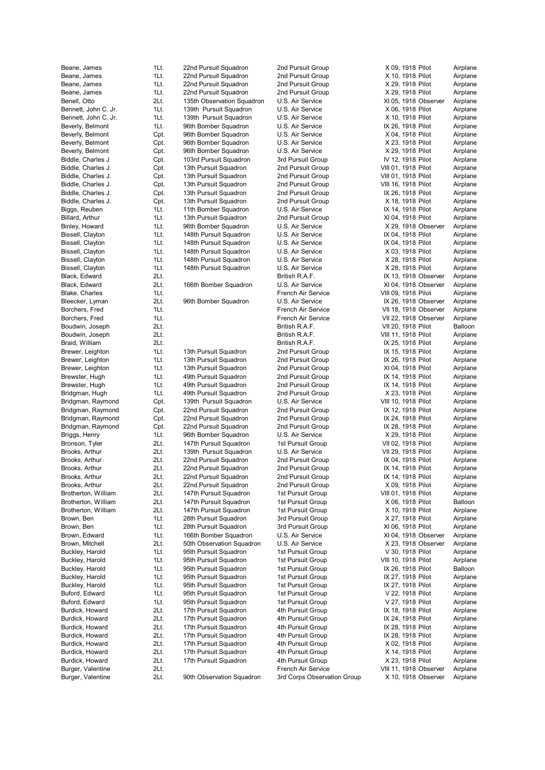Burger, Valentine 2Lt. 90th Observation Squadron 3rd Corps Observation Group X 10, 1918 Observer Airplane

Beane, James 1Lt. 22nd Pursuit Squadron 2nd Pursuit Group X 09, 1918 Pilot Airplane Beane, James 1Lt. 22nd Pursuit Squadron 2nd Pursuit Group X 10, 1918 Pilot Airplane Beane, James 1Lt. 22nd Pursuit Squadron 2nd Pursuit Group X 29, 1918 Pilot Airplane Beane, James 1Lt. 22nd Pursuit Squadron 2nd Pursuit Group X 29, 1918 Pilot Airplane<br>Benell, Otto 2Lt. 135th Observation Squadron U.S. Air Service XI 05, 1918 Observer Airplane Benell, Otto 2Lt. 135th Observation Squadron U.S. Air Service XI 05, 1918 Observer Bennett, John C. Jr. 1Lt. 139th Pursuit Squadron U.S. Air Service X 06, 1918 Pilot Airplane Bennett, John C. Jr. 1Lt. 139th Pursuit Squadron U.S. Air Service X 10, 1918 Pilot Airplane Beverly, Belmont 1Lt. 96th Bomber Squadron U.S. Air Service IX 26, 1918 Pilot Airplane Beverly, Belmont Cpt. 96th Bomber Squadron U.S. Air Service X 04, 1918 Pilot Airplane Beverly, Belmont Cpt. 96th Bomber Squadron U.S. Air Service X 23, 1918 Pilot Airplane Beverly, Belmont Cpt. 96th Bomber Squadron U.S. Air Service X 29, 1918 Pilot Airplane Biddle, Charles J Cpt. 103rd Pursuit Squadron 3rd Pursuit Group IV 12, 1918 Pilot Airplane Biddle, Charles J. Cpt. 13th Pursuit Squadron 2nd Pursuit Group VIII 01, 1918 Pilot Airplane Biddle, Charles J. Cpt. 13th Pursuit Squadron 2nd Pursuit Group VIII 01, 1918 Pilot Airplane Biddle, Charles J. Cpt. 13th Pursuit Squadron 2nd Pursuit Group VIII 16, 1918 Pilot Airplane Biddle, Charles J. Cht. 13th Pursuit Squadron 2nd Pursuit Group 11 IX 26, 1918 Pilot Airplane<br>13th Pursuit Group 2nd Pursuit Squadron 2nd Pursuit Group 18th 2018 Pilot Airplane Biddle, Charles J. Cpt. 13th Pursuit Squadron 2nd Pursuit Group X 18, 1918 Pilot Biggs, Reuben 1Lt. 11th Bomber Squadron U.S. Air Service IX 14, 1918 Pilot Airplane Billard, Arthur **1Lt.** 13th Pursuit Squadron 2nd Pursuit Group XI 04, 1918 Pilot Airplane Binley, Howard 1Lt. 96th Bomber Squadron U.S. Air Service X 29, 1918 Observer Airplane Bissell. Clayton 11Lt. 148th Pursuit Squadron U.S. Air Service IX 04, 1918 Pilot Airplane Bissell, Clayton 11Lt. 148th Pursuit Squadron U.S. Air Service IX 04, 1918 Pilot Airplane Bissell, Clayton 11Lt. 148th Pursuit Squadron U.S. Air Service X 03, 1918 Pilot Airplane Bissell, Clayton 1Lt. 148th Pursuit Squadron U.S. Air Service X 28, 1918 Pilot Airplane Bissell, Clayton 11Lt. 148th Pursuit Squadron U.S. Air Service X 28, 1918 Pilot Airplane Black, Edward 2Lt. 2015. 2016. British R.A.F. 2006. IX 13, 1918 Observer Airplane Black, Edward 2Lt. 166th Bomber Squadron U.S. Air Service XI 04, 1918 Observer Airplane Blake, Charles 1Lt. French Air Service VIII 09, 1918 Pilot Airplane Bleecker, Lyman 2Lt. 96th Bomber Squadron U.S. Air Service IX 26, 1918 Observer Airplane Borchers, Fred **1Lt.** 1Lt. The Service Rights Service 1. French Air Service 1991 18, 1918 Observer Airplane Borchers, Fred 1Lt. 11. 1. 1. 1. French Air Service VII 22, 1918 Observer Airplane Boudwin, Joseph 2Lt. British R.A.F. VII 20, 1918 Pilot Balloon Boudwin, Joseph 2Lt. British R.A.F. VIII 11, 1918 Pilot Airplane Braid, William 2Lt. British R.A.F. IX 25, 1918 Pilot Airplane Brewer, Leighton 1Lt. 13th Pursuit Squadron 2nd Pursuit Group IX 15, 1918 Pilot Airplane Brewer, Leighton 1Lt. 13th Pursuit Squadron 2nd Pursuit Group IX 26, 1918 Pilot Airplane Brewer, Leighton 1Lt. 13th Pursuit Squadron 2nd Pursuit Group XI 04, 1918 Pilot Airplane Brewster, Hugh 1Lt. 49th Pursuit Squadron 2nd Pursuit Group 1X 14, 1918 Pilot Airplane Brewster, Hugh 1Lt. 49th Pursuit Squadron 2nd Pursuit Group 1X 14, 1918 Pilot Airplane Bridgman, Hugh 1Lt. 49th Pursuit Squadron 2nd Pursuit Group X 23, 1918 Pilot Airplane<br>139th Pursuit Squadron 1.S. Air Service VIII 10, 1918 Pilot Airplane Bridgman, Raymond Cpt. 139th Pursuit Squadron U.S. Air Service VIII 10, 1918 Pilot Bridgman, Raymond Cpt. 22nd Pursuit Squadron 2nd Pursuit Group IX 12, 1918 Pilot Airplane Bridgman, Raymond Cpt. 22nd Pursuit Squadron 2nd Pursuit Group IX 24, 1918 Pilot Airplane Bridgman, Raymond Cpt. 22nd Pursuit Squadron 2nd Pursuit Group IX 28, 1918 Pilot Airplane Briggs, Henry 1Lt. 96th Bomber Squadron U.S. Air Service X 29, 1918 Pilot Airplane Bronson, Tyler 2Lt. 147th Pursuit Squadron 1st Pursuit Group VII 02, 1918 Pilot Airplane Brooks, Arthur 2Lt. 139th Pursuit Squadron U.S. Air Service VII 29, 1918 Pilot Airplane Brooks, Arthur 2Lt. 22nd Pursuit Squadron 2nd Pursuit Group IX 04, 1918 Pilot Airplane Brooks, Arthur **2Lt.** 22nd Pursuit Squadron 2nd Pursuit Group IX 14, 1918 Pilot Airplane Brooks, Arthur 2Lt. 22nd Pursuit Squadron 2nd Pursuit Group IX 14, 1918 Pilot Airplane Brooks, Arthur 2Lt. 22nd Pursuit Squadron 2nd Pursuit Group X 09, 1918 Pilot Airplane Brotherton, William 2Lt. 147th Pursuit Squadron 1st Pursuit Group VIII 01, 1918 Pilot Airplane Brotherton, William 2Lt. 147th Pursuit Squadron 1st Pursuit Group X 06, 1918 Pilot Balloon Brotherton, William 2Lt. 147th Pursuit Squadron 1st Pursuit Group X 10, 1918 Pilot Airplane Brown, Ben 1Lt. 28th Pursuit Squadron 3rd Pursuit Group X 27, 1918 Pilot Airplane Brown, Ben 1Lt. 28th Pursuit Squadron 3rd Pursuit Group XI 06, 1918 Pilot Airplane Brown, Edward 1Lt. 166th Bomber Squadron U.S. Air Service XI 04, 1918 Observer Airplane Brown, Mitchell 2Lt. 50th Observation Squadron U.S. Air Service X 23, 1918 Observer Airplane Buckley, Harold 1Lt. 95th Pursuit Squadron 1st Pursuit Group V 30, 1918 Pilot Airplane Buckley, Harold 1Lt. 95th Pursuit Squadron 1st Pursuit Group VIII 10, 1918 Pilot Airplane Buckley, Harold 1Lt. 95th Pursuit Squadron 1st Pursuit Group 1st Pursuit Group IX 26, 1918 Pilot Balloon Buckley, Harold **1Lt.** 95th Pursuit Squadron 1st Pursuit Group IX 27, 1918 Pilot Airplane Buckley, Harold 1Lt. 95th Pursuit Squadron 1st Pursuit Group 11 IX 27, 1918 Pilot Airplane<br>1997 Buford, Edward 11t. 95th Pursuit Squadron 1st Pursuit Group 15t Pursuit Group Buford, Edward 1Lt. 95th Pursuit Squadron 1st Pursuit Group V 22, 1918 Pilot Airplane Buford, Edward **1Lt.** 95th Pursuit Squadron 1st Pursuit Group V 27, 1918 Pilot Airplane Burdick, Howard 2Lt. 17th Pursuit Squadron 4th Pursuit Group IX 18, 1918 Pilot Airplane Burdick, Howard 2Lt. 17th Pursuit Squadron 4th Pursuit Group IX 24, 1918 Pilot Airplane Burdick, Howard 2Lt. 17th Pursuit Squadron 4th Pursuit Group IX 28, 1918 Pilot Airplane Burdick, Howard 2Lt. 17th Pursuit Squadron 4th Pursuit Group IX 28, 1918 Pilot Airplane Burdick, Howard 2Lt. 17th Pursuit Squadron 4th Pursuit Group X 02, 1918 Pilot Airplane Burdick, Howard 2Lt. 17th Pursuit Squadron 4th Pursuit Group X 14, 1918 Pilot Airplane Burdick, Howard 2Lt. 17th Pursuit Squadron 4th Pursuit Group X 23, 1918 Pilot Airplane Burger, Valentine 2Lt. French Air Service VIII 11, 1918 Observer Airplane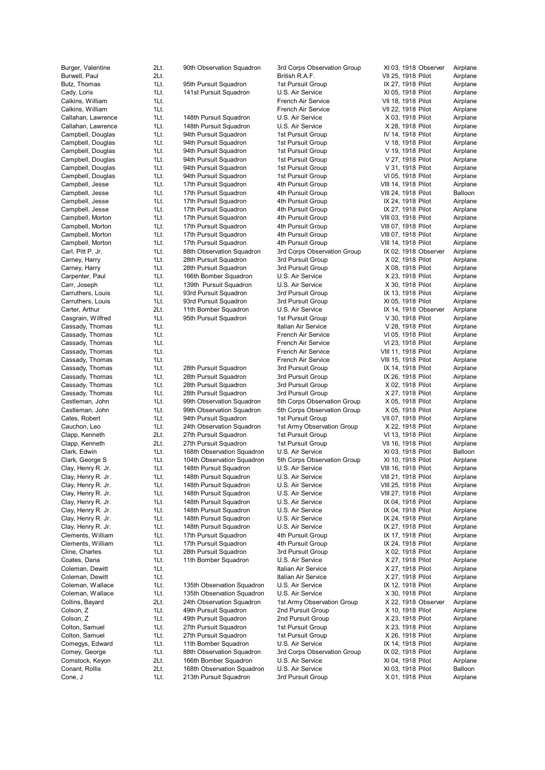| Burger, Valentine                                                                                                                                                                                                               |
|---------------------------------------------------------------------------------------------------------------------------------------------------------------------------------------------------------------------------------|
| Burwell, Paul                                                                                                                                                                                                                   |
| Butz, Thomas                                                                                                                                                                                                                    |
| Cady, Loris                                                                                                                                                                                                                     |
| Calkins, William                                                                                                                                                                                                                |
| Calkins, William                                                                                                                                                                                                                |
| Callahan, Lawrence                                                                                                                                                                                                              |
| Callahan, Lawrence                                                                                                                                                                                                              |
| Campbell, Douglas                                                                                                                                                                                                               |
| Campbell, Douglas                                                                                                                                                                                                               |
| Campbell, Douglas                                                                                                                                                                                                               |
| Campbell, Douglas                                                                                                                                                                                                               |
| Campbell, Douglas                                                                                                                                                                                                               |
| Campbell, Douglas                                                                                                                                                                                                               |
| Campbell, Jesse                                                                                                                                                                                                                 |
| Campbell, Jesse                                                                                                                                                                                                                 |
| Campbell, Jesse                                                                                                                                                                                                                 |
| Campbell, Jesse                                                                                                                                                                                                                 |
| Campbell, Morton                                                                                                                                                                                                                |
| Campbell, Morton                                                                                                                                                                                                                |
| Campbell, Morton                                                                                                                                                                                                                |
| Campbell, Morton                                                                                                                                                                                                                |
| Carl, Pitt P. Jr.                                                                                                                                                                                                               |
| Carney, Harry                                                                                                                                                                                                                   |
| Carney, Harry                                                                                                                                                                                                                   |
| Carpenter, Paul                                                                                                                                                                                                                 |
| Carr, Joseph                                                                                                                                                                                                                    |
| Carruthers, Louis                                                                                                                                                                                                               |
| Carruthers, Louis                                                                                                                                                                                                               |
| Carter, Arthur                                                                                                                                                                                                                  |
|                                                                                                                                                                                                                                 |
|                                                                                                                                                                                                                                 |
|                                                                                                                                                                                                                                 |
|                                                                                                                                                                                                                                 |
|                                                                                                                                                                                                                                 |
|                                                                                                                                                                                                                                 |
|                                                                                                                                                                                                                                 |
| Carter, Arthur<br>Cassady, Thomas<br>Cassady, Thomas<br>Cassady, Thomas<br>Cassady, Thomas<br>Cassady, Thomas<br>Cassady, Thomas<br>Cassady, Thomas<br>Cassady, Thomas<br>Cassady, Thomas<br>Cassady, Thomas<br>Cassady, Thomas |
|                                                                                                                                                                                                                                 |
|                                                                                                                                                                                                                                 |
|                                                                                                                                                                                                                                 |
| Castleman, John                                                                                                                                                                                                                 |
| Castleman, John                                                                                                                                                                                                                 |
|                                                                                                                                                                                                                                 |
| Cates, Robert                                                                                                                                                                                                                   |
| Cauchon, Leo                                                                                                                                                                                                                    |
| Clapp, Kenneth                                                                                                                                                                                                                  |
| Clapp, Kenneth                                                                                                                                                                                                                  |
| Clark, Edwin                                                                                                                                                                                                                    |
| Clark, George S                                                                                                                                                                                                                 |
| Clay, Henry R. Jr.                                                                                                                                                                                                              |
| <b>Clay, Henry R. Jr.</b><br>C                                                                                                                                                                                                  |
| Clay, Henry R. Jr.                                                                                                                                                                                                              |
| Clay, Henry R. Jr.                                                                                                                                                                                                              |
| Clay, Henry R. Jr.                                                                                                                                                                                                              |
| Clay, Henry R. Jr.                                                                                                                                                                                                              |
|                                                                                                                                                                                                                                 |
| Clay, Henry R. Jr.<br>Clay, Henry R. Jr.                                                                                                                                                                                        |
|                                                                                                                                                                                                                                 |
| Clements, William<br>Clements, William                                                                                                                                                                                          |
| Cline, Charles                                                                                                                                                                                                                  |
| Coates, Dana                                                                                                                                                                                                                    |
|                                                                                                                                                                                                                                 |
| Coleman, Dewitt                                                                                                                                                                                                                 |
|                                                                                                                                                                                                                                 |
|                                                                                                                                                                                                                                 |
| Coleman, Dewitt<br>Coleman, Wallace<br>Coleman, Wallace                                                                                                                                                                         |
| Collins, Bayard                                                                                                                                                                                                                 |
| Colson, Z                                                                                                                                                                                                                       |
| Colson, Z                                                                                                                                                                                                                       |
| Colton, Samuel                                                                                                                                                                                                                  |
| Colton, Samuel                                                                                                                                                                                                                  |
| Comegys, Edward                                                                                                                                                                                                                 |
| Comey, George                                                                                                                                                                                                                   |
| Comstock, Keyon                                                                                                                                                                                                                 |
| Conant, Rollis<br>Cone, J                                                                                                                                                                                                       |

| Burger, Valentine                        | 2Lt.         | 90th Observation Squadron                        | 3rd Corps Observation Group          | XI 03, 1918 Observer                       | Airplane             |
|------------------------------------------|--------------|--------------------------------------------------|--------------------------------------|--------------------------------------------|----------------------|
| Burwell, Paul                            | 2Lt.         |                                                  | British R.A.F.                       | VII 25, 1918 Pilot                         | Airplane             |
| Butz, Thomas                             | 1Lt.         | 95th Pursuit Squadron                            | 1st Pursuit Group                    | IX 27, 1918 Pilot                          | Airplane             |
| Cady, Loris                              | 1Lt.         | 141st Pursuit Squadron                           | U.S. Air Service                     | XI 05, 1918 Pilot                          | Airplane             |
| Calkins, William                         | 1Lt.         |                                                  | French Air Service                   | VII 18, 1918 Pilot                         | Airplane             |
| Calkins, William                         | 1Lt.         |                                                  | French Air Service                   | VII 22, 1918 Pilot                         | Airplane             |
| Callahan, Lawrence                       | 1Lt.         | 148th Pursuit Squadron                           | U.S. Air Service<br>U.S. Air Service | X 03, 1918 Pilot                           | Airplane             |
| Callahan, Lawrence<br>Campbell, Douglas  | 1Lt.<br>1Lt. | 148th Pursuit Squadron<br>94th Pursuit Squadron  | 1st Pursuit Group                    | X 28, 1918 Pilot<br>IV 14, 1918 Pilot      | Airplane<br>Airplane |
| Campbell, Douglas                        | 1Lt.         | 94th Pursuit Squadron                            | 1st Pursuit Group                    | V 18, 1918 Pilot                           | Airplane             |
| Campbell, Douglas                        | 1Lt.         | 94th Pursuit Squadron                            | 1st Pursuit Group                    | V 19, 1918 Pilot                           | Airplane             |
| Campbell, Douglas                        | 1Lt.         | 94th Pursuit Squadron                            | 1st Pursuit Group                    | V 27, 1918 Pilot                           | Airplane             |
| Campbell, Douglas                        | 1Lt.         | 94th Pursuit Squadron                            | 1st Pursuit Group                    | V 31, 1918 Pilot                           | Airplane             |
| Campbell, Douglas                        | 1Lt.         | 94th Pursuit Squadron                            | 1st Pursuit Group                    | VI 05, 1918 Pilot                          | Airplane             |
| Campbell, Jesse                          | 1Lt.         | 17th Pursuit Squadron                            | 4th Pursuit Group                    | VIII 14, 1918 Pilot                        | Airplane             |
| Campbell, Jesse                          | 1Lt.         | 17th Pursuit Squadron                            | 4th Pursuit Group                    | VIII 24, 1918 Pilot                        | Balloon              |
| Campbell, Jesse                          | 1Lt.         | 17th Pursuit Squadron                            | 4th Pursuit Group                    | IX 24, 1918 Pilot                          | Airplane             |
| Campbell, Jesse                          | 1Lt.         | 17th Pursuit Squadron                            | 4th Pursuit Group                    | IX 27, 1918 Pilot                          | Airplane             |
| Campbell, Morton                         | 1Lt.         | 17th Pursuit Squadron                            | 4th Pursuit Group                    | VIII 03, 1918 Pilot                        | Airplane             |
| Campbell, Morton                         | 1Lt.         | 17th Pursuit Squadron                            | 4th Pursuit Group                    | VIII 07, 1918 Pilot                        | Airplane             |
| Campbell, Morton                         | 1Lt.         | 17th Pursuit Squadron                            | 4th Pursuit Group                    | VIII 07, 1918 Pilot                        | Airplane             |
| Campbell, Morton                         | 1Lt.         | 17th Pursuit Squadron                            | 4th Pursuit Group                    | VIII 14, 1918 Pilot                        | Airplane             |
| Carl, Pitt P. Jr.                        | 1Lt.         | 88th Observation Squadron                        | 3rd Corps Observation Group          | IX 02, 1918 Observer                       | Airplane             |
| Carney, Harry                            | 1Lt.         | 28th Pursuit Squadron                            | 3rd Pursuit Group                    | X 02, 1918 Pilot                           | Airplane             |
| Carney, Harry                            | 1Lt.         | 28th Pursuit Squadron                            | 3rd Pursuit Group                    | X 08, 1918 Pilot                           | Airplane             |
| Carpenter, Paul                          | 1Lt.         | 166th Bomber Squadron                            | U.S. Air Service                     | X 23, 1918 Pilot                           | Airplane             |
| Carr, Joseph                             | 1Lt.         | 139th Pursuit Squadron                           | U.S. Air Service                     | X 30, 1918 Pilot                           | Airplane             |
| Carruthers, Louis                        | 1Lt.         | 93rd Pursuit Squadron                            | 3rd Pursuit Group                    | IX 13, 1918 Pilot                          | Airplane             |
| Carruthers, Louis                        | 1Lt.         | 93rd Pursuit Squadron                            | 3rd Pursuit Group                    | XI 05, 1918 Pilot                          | Airplane             |
| Carter, Arthur                           | 2Lt.         | 11th Bomber Squadron                             | U.S. Air Service                     | IX 14, 1918 Observer                       | Airplane             |
| Casgrain, Wilfred                        | 1Lt.         | 95th Pursuit Squadron                            | 1st Pursuit Group                    | V 30, 1918 Pilot                           | Airplane             |
| Cassady, Thomas                          | 1Lt.         |                                                  | Italian Air Service                  | V 28, 1918 Pilot                           | Airplane             |
| Cassady, Thomas                          | 1Lt.         |                                                  | French Air Service                   | VI 05, 1918 Pilot                          | Airplane             |
| Cassady, Thomas                          | 1Lt.         |                                                  | French Air Service                   | VI 23, 1918 Pilot                          | Airplane             |
| Cassady, Thomas                          | 1Lt.         |                                                  | French Air Service                   | VIII 11, 1918 Pilot                        | Airplane             |
| Cassady, Thomas                          | 1Lt.         |                                                  | French Air Service                   | VIII 15, 1918 Pilot                        | Airplane             |
| Cassady, Thomas                          | 1Lt.         | 28th Pursuit Squadron                            | 3rd Pursuit Group                    | IX 14, 1918 Pilot                          | Airplane             |
| Cassady, Thomas                          | 1Lt.         | 28th Pursuit Squadron                            | 3rd Pursuit Group                    | IX 26, 1918 Pilot                          | Airplane             |
| Cassady, Thomas                          | 1Lt.         | 28th Pursuit Squadron                            | 3rd Pursuit Group                    | X 02, 1918 Pilot                           | Airplane             |
| Cassady, Thomas                          | 1Lt.         | 28th Pursuit Squadron                            | 3rd Pursuit Group                    | X 27, 1918 Pilot                           | Airplane             |
| Castleman, John                          | 1Lt.         | 99th Observation Squadron                        | 5th Corps Observation Group          | X 05, 1918 Pilot                           | Airplane             |
| Castleman, John                          | 1Lt.         | 99th Observation Squadron                        | 5th Corps Observation Group          | X 05, 1918 Pilot                           | Airplane             |
| Cates, Robert                            | 1Lt.         | 94th Pursuit Squadron                            | 1st Pursuit Group                    | VII 07, 1918 Pilot                         | Airplane             |
| Cauchon, Leo                             | 1Lt.         | 24th Observation Squadron                        | 1st Army Observation Group           | X 22, 1918 Pilot                           | Airplane             |
| Clapp, Kenneth                           | 2Lt.         | 27th Pursuit Squadron                            | 1st Pursuit Group                    | VI 13, 1918 Pilot                          | Airplane             |
| Clapp, Kenneth                           | 2Lt.         | 27th Pursuit Squadron                            | 1st Pursuit Group                    | VII 16, 1918 Pilot                         | Airplane             |
| Clark, Edwin                             | 1Lt.         | 168th Observation Squadron                       | U.S. Air Service                     | XI 03, 1918 Pilot                          | Balloon              |
| Clark, George S                          | 1Lt.         | 104th Observation Squadron                       | 5th Corps Observation Group          | XI 10, 1918 Pilot                          | Airplane             |
| Clay, Henry R. Jr.                       | 1Lt.         | 148th Pursuit Squadron                           | U.S. Air Service                     | VIII 16, 1918 Pilot                        | Airplane             |
| Clay, Henry R. Jr.<br>Clay, Henry R. Jr. | 1Lt.<br>1Lt. | 148th Pursuit Squadron<br>148th Pursuit Squadron | U.S. Air Service<br>U.S. Air Service | VIII 21, 1918 Pilot<br>VIII 25, 1918 Pilot | Airplane<br>Airplane |
| Clay, Henry R. Jr.                       | 1Lt.         | 148th Pursuit Squadron                           | U.S. Air Service                     | VIII 27, 1918 Pilot                        | Airplane             |
| Clay, Henry R. Jr.                       | 1Lt.         | 148th Pursuit Squadron                           | U.S. Air Service                     | IX 04, 1918 Pilot                          | Airplane             |
| Clay, Henry R. Jr.                       | 1Lt.         | 148th Pursuit Squadron                           | U.S. Air Service                     | IX 04, 1918 Pilot                          | Airplane             |
| Clay, Henry R. Jr.                       | 1Lt.         | 148th Pursuit Squadron                           | U.S. Air Service                     | IX 24, 1918 Pilot                          | Airplane             |
| Clay, Henry R. Jr.                       | 1Lt.         | 148th Pursuit Squadron                           | U.S. Air Service                     | IX 27, 1918 Pilot                          | Airplane             |
| Clements, William                        | 1Lt.         | 17th Pursuit Squadron                            | 4th Pursuit Group                    | IX 17, 1918 Pilot                          | Airplane             |
| Clements, William                        | 1Lt.         | 17th Pursuit Squadron                            | 4th Pursuit Group                    | IX 24, 1918 Pilot                          | Airplane             |
| Cline, Charles                           | 1Lt.         | 28th Pursuit Squadron                            | 3rd Pursuit Group                    | X 02, 1918 Pilot                           | Airplane             |
| Coates, Dana                             | 1Lt.         | 11th Bomber Squadron                             | U.S. Air Service                     | X 27, 1918 Pilot                           | Airplane             |
| Coleman, Dewitt                          | 1Lt.         |                                                  | Italian Air Service                  | X 27, 1918 Pilot                           | Airplane             |
| Coleman, Dewitt                          | 1Lt.         |                                                  | Italian Air Service                  | X 27, 1918 Pilot                           | Airplane             |
| Coleman, Wallace                         | 1Lt.         | 135th Observation Squadron                       | U.S. Air Service                     | IX 12, 1918 Pilot                          | Airplane             |
| Coleman, Wallace                         | 1Lt.         | 135th Observation Squadron                       | U.S. Air Service                     | X 30, 1918 Pilot                           | Airplane             |
| Collins, Bayard                          | 2Lt.         | 24th Observation Squadron                        | 1st Army Observation Group           | X 22, 1918 Observer                        | Airplane             |
| Colson, Z                                | 1Lt.         | 49th Pursuit Squadron                            | 2nd Pursuit Group                    | X 10, 1918 Pilot                           | Airplane             |
| Colson, Z                                | 1Lt.         | 49th Pursuit Squadron                            | 2nd Pursuit Group                    | X 23, 1918 Pilot                           | Airplane             |
| Colton, Samuel                           | 1Lt.         | 27th Pursuit Squadron                            | 1st Pursuit Group                    | X 23, 1918 Pilot                           | Airplane             |
| Colton, Samuel                           | 1Lt.         | 27th Pursuit Squadron                            | 1st Pursuit Group                    | X 26, 1918 Pilot                           | Airplane             |
| Comegys, Edward                          | 1Lt.         | 11th Bomber Squadron                             | U.S. Air Service                     | IX 14, 1918 Pilot                          | Airplane             |
| Comey, George                            | 1Lt.         | 88th Observation Squadron                        | 3rd Corps Observation Group          | IX 02, 1918 Pilot                          | Airplane             |
| Comstock, Keyon                          | 2Lt.         | 166th Bomber Squadron                            | U.S. Air Service                     | XI 04, 1918 Pilot                          | Airplane             |
| Conant, Rollis                           | 2Lt.         | 168th Observation Squadron                       | U.S. Air Service                     | XI 03, 1918 Pilot                          | Balloon              |
|                                          |              |                                                  |                                      |                                            |                      |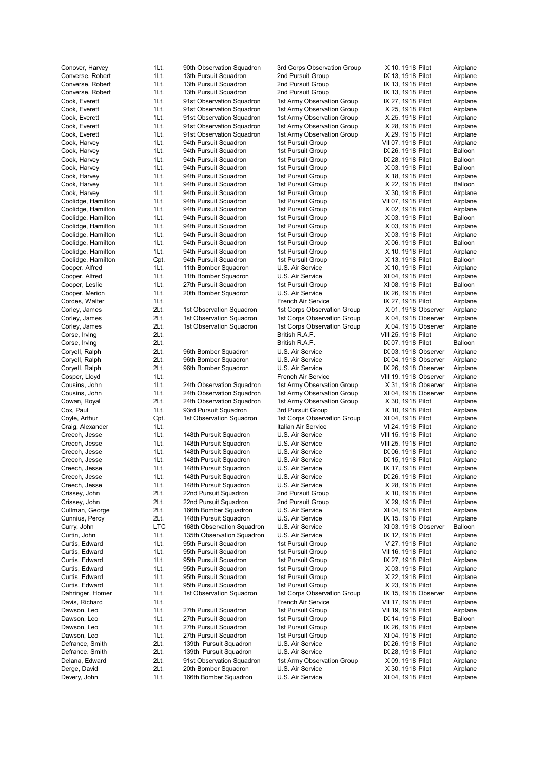Devery, John 1Lt. 166th Bomber Squadron U.S. Air Service XI 04, 1918 Pilot Airplane

Converse, Robert 1Lt. 13th Pursuit Squadron 2nd Pursuit Group IX 13, 1918 Pilot Airplane Converse, Robert 1Lt. 13th Pursuit Squadron 2nd Pursuit Group IX 13, 1918 Pilot Airplane Converse, Robert 1Lt. 13th Pursuit Squadron 2nd Pursuit Group IX 13, 1918 Pilot Airplane Cook, Everett 1Lt. 91st Observation Squadron 1st Army Observation Group IX 27, 1918 Pilot Airplane Cook, Everett 1Lt. 91st Observation Squadron 1st Army Observation Group X 25, 1918 Pilot Airplane Cook, Everett 1Lt. 91st Observation Squadron 1st Army Observation Group X 25, 1918 Pilot Airplane Cook, Everett 1Lt. 91st Observation Squadron 1st Army Observation Group X 28, 1918 Pilot Airplane Cook, Everett 1Lt. 91st Observation Squadron 1st Army Observation Group X 29, 1918 Pilot Airplane Cook, Harvey 1Lt. 94th Pursuit Squadron 1st Pursuit Group VII 07, 1918 Pilot Airplane Cook, Harvey **1Lt.** 94th Pursuit Squadron 1st Pursuit Group IX 26, 1918 Pilot Balloon **IX 26, 1918** Pilot Balloon Cook, Harvey **1Lt.** 94th Pursuit Squadron 1st Pursuit Group IX 28, 1918 Pilot Balloon Cook, Harvey **1Lt.** 94th Pursuit Squadron 1st Pursuit Group X 03, 1918 Pilot Balloon Cook, Harvey 1Lt. 94th Pursuit Squadron 1st Pursuit Group X 18, 1918 Pilot Airplane Cook, Harvey **1Lt.** 94th Pursuit Squadron 1st Pursuit Group X 22, 1918 Pilot Balloon Cook, Harvey 1Lt. 94th Pursuit Squadron 1st Pursuit Group X 30, 1918 Pilot Airplane<br>Coolidge, Hamilton 1Lt. 94th Pursuit Squadron 1st Pursuit Group VII 07, 1918 Pilot Airplane 1Lt. 94th Pursuit Squadron 1st Pursuit Group VII 07, 1918 Pilot Coolidge, Hamilton 1Lt. 94th Pursuit Squadron 1st Pursuit Group X 02, 1918 Pilot Airplane Coolidge, Hamilton 1Lt. 94th Pursuit Squadron 1st Pursuit Group X 03, 1918 Pilot Balloon Coolidge, Hamilton 1Lt. 94th Pursuit Squadron 1st Pursuit Group X 03, 1918 Pilot Airplane Coolidge, Hamilton 1Lt. 94th Pursuit Squadron 1st Pursuit Group X 03, 1918 Pilot Airplane Coolidge, Hamilton 1Lt. 94th Pursuit Squadron 1st Pursuit Group X 06, 1918 Pilot Balloon Coolidge, Hamilton 1Lt. 94th Pursuit Squadron 1st Pursuit Group X 10, 1918 Pilot Airplane Coolidge, Hamilton Cpt. 94th Pursuit Squadron 1st Pursuit Group X 13, 1918 Pilot Balloon Cooper, Alfred **1Lt.** 11th Bomber Squadron U.S. Air Service X 10, 1918 Pilot Airplane Cooper, Alfred **1Lt.** 11th Bomber Squadron U.S. Air Service XI 04, 1918 Pilot Airplane Cooper, Leslie 1Lt. 27th Pursuit Squadron 1st Pursuit Group XI 08, 1918 Pilot Balloon Cooper, Merion **1Lt.** 20th Bomber Squadron U.S. Air Service **IX 26, 1918 Pilot** Airplane Cordes, Walter **1Lt.** 1Lt. **1Lt. 1Lt. 1Lt. 1Lt. 1Lt. 1Lt. 1Lt. 1Lt. 1Lt. 1Lt. 1Lt. 1Lt. 1Lt. 1Lt. 1Lt. 1Lt. 1Lt. 1Lt. 1Lt. 1Lt. 1Lt. 1Lt. 1Lt. 1Lt. 1Lt. 1Lt. 1Lt. 1Lt.** Corley, James 2Lt. 1st Observation Squadron 1st Corps Observation Group X 01, 1918 Observer Airplane Corley, James 2Lt. 1st Observation Squadron 1st Corps Observation Group X 04, 1918 Observer Airplane Corley, James 2Lt. 1st Observation Squadron 1st Corps Observation Group X 04, 1918 Observer Airplane Corse, Irving 2Lt. British R.A.F. VIII 25, 1918 Pilot Airplane Corse, Irving 2Lt. British R.A.F. IX 07, 1918 Pilot Balloon Coryell, Ralph 2Lt. 96th Bomber Squadron 2Lt. Coryell, Ralph 2Coryell, Ralph 2Lt. 96th Bomber Squadron 2Lt. 201<br>Coryell, Ralph 2Lt. 96th Bomber Squadron 2L.S. Air Service 2X 04, 1918 Observer Airplane Corvell, Ralph 2Lt. 96th Bomber Squadron U.S. Air Service IX 04, 1918 Observer Coryell, Ralph 2Lt. 96th Bomber Squadron U.S. Air Service IX 26, 1918 Observer Airplane Cosper, Lloyd 1Lt. 11Lt. 12. 1. French Air Service VIII 19, 1918 Observer Airplane Cousins, John 1Lt. 24th Observation Squadron 1st Army Observation Group X 31, 1918 Observer Airplane Cousins, John 1Lt. 24th Observation Squadron 1st Army Observation Group XI 04, 1918 Observer Airplane<br>Cowan, Royal 2Lt. 24th Observation Squadron 1st Army Observation Group X 30, 1918 Pilot Airplane Cowan, Royal 2Lt. 24th Observation Squadron 1st Army Observation Group X 30, 1918 Pilot Cox, Paul 1Lt. 93rd Pursuit Squadron 3rd Pursuit Group X 10, 1918 Pilot Airplane Coyle, Arthur Cpt. 1st Observation Squadron 1st Corps Observation Group XI 04, 1918 Pilot Airplane Craig, Alexander **1Lt.** 1Lt. Italian Air Service **1. Italian Air Service** VI 24, 1918 Pilot Airplane Creech, Jesse 1Lt. 148th Pursuit Squadron U.S. Air Service VIII 15, 1918 Pilot Airplane Creech, Jesse 1Lt. 148th Pursuit Squadron U.S. Air Service VIII 25, 1918 Pilot Airplane Creech, Jesse 1Lt. 148th Pursuit Squadron U.S. Air Service IX 06, 1918 Pilot Airplane Creech, Jesse 1Lt. 148th Pursuit Squadron U.S. Air Service 1X 15, 1918 Pilot Airplane<br>Creech, Jesse 1Lt. 148th Pursuit Squadron U.S. Air Service 1X 17. 1918 Pilot Airplane Creech, Jesse 1Lt. 148th Pursuit Squadron U.S. Air Service IX 17, 1918 Pilot Creech, Jesse 1Lt. 148th Pursuit Squadron U.S. Air Service IX 26, 1918 Pilot Airplane Creech, Jesse 1Lt. 148th Pursuit Squadron U.S. Air Service X 28, 1918 Pilot Airplane Crissey, John 2Lt. 22nd Pursuit Squadron 2nd Pursuit Group X 10, 1918 Pilot Airplane Crissey, John 2Lt. 22nd Pursuit Squadron 2nd Pursuit Group X 29, 1918 Pilot Airplane Cullman, George 2Lt. 166th Bomber Squadron U.S. Air Service XI 04, 1918 Pilot Airplane Cunnius, Percy 2Lt. 148th Pursuit Squadron U.S. Air Service IX 15, 1918 Pilot Airplane Curry, John LTC 168th Observation Squadron U.S. Air Service XI 03, 1918 Observer Balloon Curtin, John 1Lt. 135th Observation Squadron U.S. Air Service IX 12, 1918 Pilot Airplane Curtis, Edward 1Lt. 95th Pursuit Squadron 1st Pursuit Group V 27, 1918 Pilot Airplane Curtis, Edward 1Lt. 95th Pursuit Squadron 1st Pursuit Group VII 16, 1918 Pilot Airplane Curtis, Edward 1Lt. 95th Pursuit Squadron 1st Pursuit Group IX 27, 1918 Pilot Airplane Curtis, Edward 1Lt. 95th Pursuit Squadron 1st Pursuit Group X 03, 1918 Pilot Airplane Curtis, Edward 1Lt. 95th Pursuit Squadron 1st Pursuit Group X 22, 1918 Pilot Airplane Curtis, Edward 1Lt. 95th Pursuit Squadron 1st Pursuit Group X 23, 1918 Pilot Airplane Dahringer, Homer 1Lt. 1st Observation Squadron 1st Corps Observation Group Davis, Richard 1Lt. French Air Service VII 17, 1918 Pilot Airplane Dawson, Leo 11t. 27th Pursuit Squadron 1st Pursuit Group VII 19, 1918 Pilot Airplane Dawson, Leo 11t. 27th Pursuit Squadron 1st Pursuit Group 1st Pursuit Group 1X 14, 1918 Pilot Balloon Dawson, Leo 1Lt. 27th Pursuit Squadron 1st Pursuit Group 18th Pursuit Squadron 2018 Pilot Airplane<br>19 Dawson, Leo 11t. 27th Pursuit Squadron 1st Pursuit Group 15th Pursuit Group Dawson, Leo 1Lt. 27th Pursuit Squadron 1st Pursuit Group XI 04, 1918 Pilot Defrance, Smith 2Lt. 139th Pursuit Squadron U.S. Air Service IX 26, 1918 Pilot Airplane Defrance, Smith 2Lt. 139th Pursuit Squadron U.S. Air Service IX 28, 1918 Pilot Airplane Delana, Edward 2Lt. 91st Observation Squadron 1st Army Observation Group X 09, 1918 Pilot Airplane Derge, David 2Lt. 20th Bomber Squadron U.S. Air Service X 30, 1918 Pilot Airplane

Conover, Harvey 1Lt. 90th Observation Squadron 3rd Corps Observation Group X 10, 1918 Pilot Airplane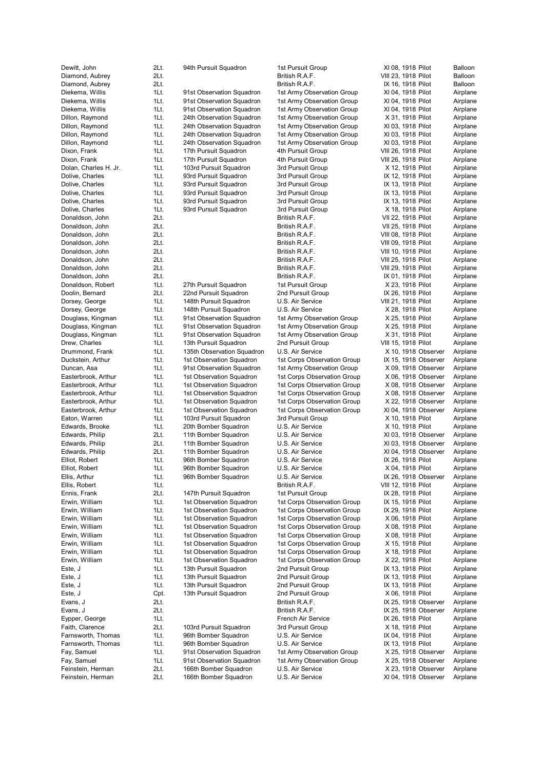Feinstein, Herman 2Lt. 166th Bomber Squadron U.S. Air Service XI 04, 1918 Observer Airplane

Dewitt, John 2Lt. 94th Pursuit Squadron 1st Pursuit Group XI 08, 1918 Pilot Balloon Diamond, Aubrey 2Lt. British R.A.F. VIII 23, 1918 Pilot Balloon Diamond, Aubrey 2Lt. 2. 2011 2. British R.A.F. No. 1918 Pilot Balloon Diekema, Willis 1Lt. 91st Observation Squadron 1st Army Observation Group XI 04, 1918 Pilot Airplane Diekema, Willis 1Lt. 91st Observation Squadron 1st Army Observation Group XI 04, 1918 Pilot Airplane Diekema, Willis 1Lt. 91st Observation Squadron 1st Army Observation Group XI 04, 1918 Pilot Airplane Dillon, Raymond 1Lt. 24th Observation Squadron 1st Army Observation Group X 31, 1918 Pilot Airplane Dillon, Raymond 1Lt. 24th Observation Squadron 1st Army Observation Group XI 03, 1918 Pilot Airplane Dillon, Raymond 1Lt. 24th Observation Squadron 1st Army Observation Group XI 03, 1918 Pilot Airplane<br>19 Dillon, Raymond 1Lt. 24th Observation Squadron 1st Army Observation Group XI 03. 1918 Pilot Airplane Dillon, Raymond 1Lt. 24th Observation Squadron 1st Army Observation Group XI 03, 1918 Pilot Dixon, Frank 1918 Pilot Airplane 17th Pursuit Squadron 4th Pursuit Group VIII 26, 1918 Pilot 1Lt. 17th Pursuit Squadron 4th Pursuit Group VIII 26, 1918 Pilot Airplane Dixon, Frank 1Lt. 17th Pursuit Squadron 4th Pursuit Group VIII 26, 1918 Pilot Airplane Dolan, Charles H. Jr. 1Lt. 103rd Pursuit Squadron 3rd Pursuit Group X 12, 1918 Pilot Airplane Dolive, Charles 1Lt. 93rd Pursuit Squadron 3rd Pursuit Group IX 12, 1918 Pilot Airplane Dolive, Charles **1Lt.** 93rd Pursuit Squadron 3rd Pursuit Group IX 13, 1918 Pilot Airplane Dolive, Charles **1Lt.** 93rd Pursuit Squadron 3rd Pursuit Group IX 13, 1918 Pilot Airplane<br>11t. 93rd Pursuit Squadron 3rd Pursuit Group IX 13, 1918 Pilot Airplane Dolive, Charles **1Lt.** 93rd Pursuit Squadron 3rd Pursuit Group 1X 13, 1918 Pilot Airplane **IX 13**, 1918 Pilot Dolive, Charles **1Lt.** 93rd Pursuit Squadron 3rd Pursuit Group X 18, 1918 Pilot Airplane<br>Donaldson, John 2Lt. 2Lt. British R.A.F. VII 22, 1918 Pilot Airplane Donaldson, John 2Lt. 2018 Pilot 2012 1: British R.A.F. 2012 22, 1918 Pilot Donaldson, John 2Lt. British R.A.F. VII 25, 1918 Pilot Airplane Donaldson, John 2Lt. British R.A.F. VIII 08, 1918 Pilot Airplane Donaldson, John 2Lt. British R.A.F. VIII 09, 1918 Pilot Airplane Donaldson, John 2Lt. British R.A.F. VIII 10, 1918 Pilot Airplane Donaldson, John 2Lt. British R.A.F. VIII 25, 1918 Pilot Airplane Donaldson, John 2Lt. 2Lt. 2008 2011 British R.A.F. 2008 2011 29, 1918 Pilot Airplane Donaldson, John 2Lt. British R.A.F. IX 01, 1918 Pilot Airplane Donaldson, Robert 1Lt. 27th Pursuit Squadron 1st Pursuit Group X 23, 1918 Pilot Airplane Doolin, Bernard 2Lt. 22nd Pursuit Squadron 2nd Pursuit Group IX 26, 1918 Pilot Airplane Dorsey, George 1Lt. 148th Pursuit Squadron U.S. Air Service VIII 21, 1918 Pilot Airplane Dorsey, George **1Lt.** 148th Pursuit Squadron U.S. Air Service X 28, 1918 Pilot Airplane Douglass, Kingman 1Lt. 91st Observation Squadron 1st Army Observation Group X 25, 1918 Pilot Airplane Douglass, Kingman 1Lt. 91st Observation Squadron 1st Army Observation Group X 25, 1918 Pilot Airplane Douglass, Kingman 1Lt. 91st Observation Squadron 1st Army Observation Group X 31, 1918 Pilot Airplane Drew, Charles 1Lt. 13th Pursuit Squadron 2nd Pursuit Group VIII 15, 1918 Pilot Airplane Drummond, Frank 1Lt. 135th Observation Squadron U.S. Air Service X 10, 1918 Observer Airplane<br>11 Duckstein, Arthur 11 15t Observation Squadron 1st Corps Observation Group 1X 15, 1918 Observer Airplane 1Lt. 1st Observation Squadron 1st Corps Observation Group Duncan, Asa 1Lt. 91st Observation Squadron 1st Army Observation Group X 09, 1918 Observer Airplane Easterbrook, Arthur 1Lt. 1st Observation Squadron 1st Corps Observation Group X 06, 1918 Observer Airplane Easterbrook, Arthur 1Lt. 1st Observation Squadron 1st Corps Observation Group X 08, 1918 Observer Airplane Easterbrook, Arthur 1Lt. 1st Observation Squadron 1st Corps Observation Group X 08, 1918 Observer Airplane Easterbrook, Arthur 1Lt. 1st Observation Squadron 1st Corps Observation Group X 22, 1918 Observer Airplane Easterbrook, Arthur 1Lt. 1st Observation Squadron 1st Corps Observation Group XI 04, 1918 Observer Airplane Eaton, Warren **1Lt.** 103rd Pursuit Squadron 3rd Pursuit Group X 10, 1918 Pilot Airplane Edwards, Brooke **1Lt.** 20th Bomber Squadron U.S. Air Service X 10, 1918 Pilot Airplane Edwards, Philip 2Lt. 11th Bomber Squadron U.S. Air Service XI 03, 1918 Observer Airplane Edwards, Philip 2Lt. 11th Bomber Squadron U.S. Air Service XI 03, 1918 Observer Airplane Edwards, Philip 2Lt. 11th Bomber Squadron U.S. Air Service XI 04, 1918 Observer Airplane<br>2011 11t. 96th Bomber Squadron U.S. Air Service XX 26, 1918 Pilot Airplane Elliot, Robert 1Lt. 96th Bomber Squadron U.S. Air Service 1X 26, 1918 Pilot Airplane<br>
Elliot, Robert 1Lt. 96th Bomber Squadron U.S. Air Service X 04, 1918 Pilot Airplane 1Lt. 96th Bomber Squadron U.S. Air Service Ellis, Arthur 1Lt. 96th Bomber Squadron U.S. Air Service IX 26, 1918 Observer Airplane Ellis, Robert 11.1. 1998 1.1 1.1. Ellis, Robert 1.1. Airplane Ennis, Frank 2Lt. 147th Pursuit Squadron 1st Pursuit Group IX 28, 1918 Pilot Airplane Erwin, William 1Lt. 1st Observation Squadron 1st Corps Observation Group IX 15, 1918 Pilot Airplane Erwin, William 1Lt. 1st Observation Squadron 1st Corps Observation Group IX 29, 1918 Pilot Airplane Erwin, William 1Lt. 1st Observation Squadron 1st Corps Observation Group X 06, 1918 Pilot Airplane Erwin, William 1Lt. 1st Observation Squadron 1st Corps Observation Group X 08, 1918 Pilot Airplane Erwin, William 1Lt. 1st Observation Squadron 1st Corps Observation Group X 08, 1918 Pilot Airplane Erwin, William 1Lt. 1st Observation Squadron 1st Corps Observation Group X 15, 1918 Pilot Airplane Erwin, William 1Lt. 1st Observation Squadron 1st Corps Observation Group X 18, 1918 Pilot Airplane<br>11st Corps Observation 1st Corps Observation Group X 22. 1918 Pilot Airplane Erwin, William 1Lt. 1st Observation Squadron 1st Corps Observation Group X 22, 1918 Pilot Este, J 1Lt. 13th Pursuit Squadron 2nd Pursuit Group IX 13, 1918 Pilot Airplane Este, J 1Lt. 13th Pursuit Squadron 2nd Pursuit Group 1X 13, 1918 Pilot Airplane Este, J<br>
Este, J. Schleit. 13th Pursuit Squadron 2nd Pursuit Group 12 13, 1918 Pilot Airplane<br>
Este, J. Schleiter Airplane 2nd Pursuit Group 18, 06, 1918 Pilot Airplane Cpt. 13th Pursuit Squadron Evans, J 2Lt. British R.A.F. IX 25, 1918 Observer Airplane Evans, J 2Lt. British R.A.F. IX 25, 1918 Observer Airplane Eypper, George 1Lt. French Air Service IX 26, 1918 Pilot Airplane Put. 103rd Pursuit Squadron 3rd Pursuit Group X 18, 1918 Pilot Farnsworth, Thomas 1Lt. 96th Bomber Squadron U.S. Air Service IX 04, 1918 Pilot Airplane Farnsworth, Thomas 1Lt. 96th Bomber Squadron U.S. Air Service IX 13, 1918 Pilot Airplane Fay, Samuel 1Lt. 91st Observation Squadron 1st Army Observation Group X 25, 1918 Observer Airplane Fay, Samuel 1Lt. 91st Observation Squadron 1st Army Observation Group X 25, 1918 Observer Airplane Feinstein, Herman 2Lt. 166th Bomber Squadron U.S. Air Service X 23, 1918 Observer Airplane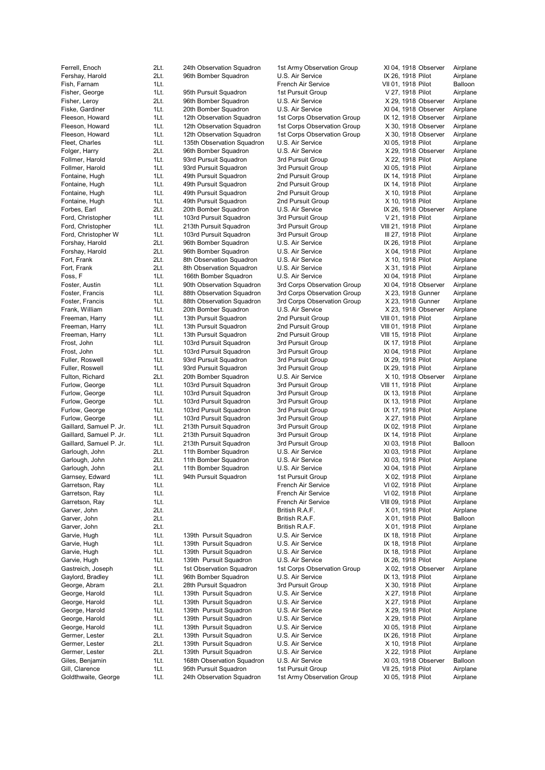Fershay, Harold 2Lt. 96th Bomber Squadron U.S. Air Service IX 26, 1918 Pilot Airplane Fish, Farnam 1Lt. 1. 1999 1.1 French Air Service 1.1 VII 01, 1918 Pilot Balloon Fisher, George **1Lt.** 95th Pursuit Squadron 1st Pursuit Group V 27, 1918 Pilot Airplane Fisher, Leroy 2Lt. 96th Bomber Squadron U.S. Air Service X 29, 1918 Observer Airplane Fiske, Gardiner 1Lt. 20th Bomber Squadron U.S. Air Service XI 04, 1918 Observer Airplane Fleeson, Howard 1Lt. 12th Observation Squadron 1st Corps Observation Group IX 12, 1918 Observer Airplane Fleeson, Howard 1Lt. 12th Observation Squadron 1st Corps Observation Group X 30, 1918 Observer Airplane Fleeson, Howard 1Lt. 12th Observation Squadron 1st Corps Observation Group X 30, 1918 Observer Airplane Fleet, Charles **1Lt.** 135th Observation Squadron U.S. Air Service XI 05, 1918 Pilot Airplane Folger, Harry 2Lt. 96th Bomber Squadron U.S. Air Service X 29, 1918 Observer Airplane Follmer, Harold **1Lt.** 93rd Pursuit Squadron 3rd Pursuit Group X 22, 1918 Pilot Airplane Follmer, Harold **1Lt.** 93rd Pursuit Squadron 3rd Pursuit Group XI 05, 1918 Pilot Airplane Fontaine, Hugh 1Lt. 49th Pursuit Squadron 2nd Pursuit Group IX 14, 1918 Pilot Airplane Fontaine, Hugh 1Lt. 49th Pursuit Squadron 2nd Pursuit Group 1X 14, 1918 Pilot Airplane Fontaine, Hugh 1Lt. 49th Pursuit Squadron 2nd Pursuit Group X 10, 1918 Pilot Airplane<br>11t. 49th Pursuit Squadron 2nd Pursuit Group X 10, 1918 Pilot Airplane 1Lt. 49th Pursuit Squadron 2nd Pursuit Group X 10, 1918 Pilot Forbes, Earl 2Lt. 20th Bomber Squadron U.S. Air Service IX 26, 1918 Observer Airplane Ford, Christopher 1Lt. 103rd Pursuit Squadron 3rd Pursuit Group V 21, 1918 Pilot Airplane Ford, Christopher 1Lt. 213th Pursuit Squadron 3rd Pursuit Group VIII 21, 1918 Pilot Airplane Ford, Christopher W 1Lt. 103rd Pursuit Squadron 3rd Pursuit Group III 27, 1918 Pilot Airplane Forshay, Harold **2Lt.** 96th Bomber Squadron U.S. Air Service **IX 26, 1918 Pilot** Airplane Forshay, Harold 2Lt. 96th Bomber Squadron U.S. Air Service X 04, 1918 Pilot Airplane Fort, Frank 2Lt. 8th Observation Squadron U.S. Air Service X 10, 1918 Pilot Airplane Fort, Frank 2Lt. 8th Observation Squadron U.S. Air Service X 31, 1918 Pilot Airplane Foss, F 1Lt. 166th Bomber Squadron U.S. Air Service XI 04, 1918 Pilot Airplane Foster, Austin 1Lt. 90th Observation Squadron 3rd Corps Observation Group XI 04, 1918 Observer Airplane Foster, Francis **1Lt.** 88th Observation Squadron 3rd Corps Observation Group X 23, 1918 Gunner Airplane<br>11t. 88th Observation Squadron 3rd Corps Observation Group X 23. 1918 Gunner Airplane 1Lt. 88th Observation Squadron 3rd Corps Observation Group X 23, 1918 Gunner Airplane Frank, William 1Lt. 20th Bomber Squadron U.S. Air Service X 23, 1918 Observer Airplane Freeman, Harry **1Lt.** 13th Pursuit Squadron 2nd Pursuit Group VIII 01, 1918 Pilot Airplane Freeman, Harry **1Lt.** 13th Pursuit Squadron 2nd Pursuit Group VIII 01, 1918 Pilot Airplane Freeman, Harry 1Lt. 13th Pursuit Squadron 2nd Pursuit Group VIII 15, 1918 Pilot Airplane Frost, John 1Lt. 103rd Pursuit Squadron 3rd Pursuit Group IX 17, 1918 Pilot Airplane Frost, John 11 103rd Pursuit Squadron 3rd Pursuit Group 1 XI 04, 1918 Pilot Airplane<br>11 1Lt. 93rd Pursuit Squadron 3rd Pursuit Group 1X 29, 1918 Pilot Airplane Fuller, Roswell **1Lt.** 93rd Pursuit Squadron 3rd Pursuit Group 18 29, 1918 Pilot Fuller, Roswell **1Lt.** 93rd Pursuit Squadron 3rd Pursuit Group IX 29, 1918 Pilot Airplane Fulton, Richard 2Lt. 20th Bomber Squadron U.S. Air Service X 10, 1918 Observer Airplane Furlow, George 1Lt. 103rd Pursuit Squadron 3rd Pursuit Group VIII 11, 1918 Pilot Airplane Furlow, George **1Lt.** 103rd Pursuit Squadron 3rd Pursuit Group IX 13, 1918 Pilot Airplane Furlow, George **1Lt.** 103rd Pursuit Squadron 3rd Pursuit Group IX 13, 1918 Pilot Airplane Furlow, George **1Lt.** 103rd Pursuit Squadron 3rd Pursuit Group IX 17, 1918 Pilot Airplane Furlow, George **1Lt.** 103rd Pursuit Squadron 3rd Pursuit Group X 27, 1918 Pilot Airplane Gaillard, Samuel P. Jr. 1Lt. 213th Pursuit Squadron 3rd Pursuit Group IX 02, 1918 Pilot Airplane Gaillard, Samuel P. Jr. 1Lt. 213th Pursuit Squadron 3rd Pursuit Group IX 14, 1918 Pilot Airplane Gaillard, Samuel P. Jr. 1Lt. 213th Pursuit Squadron 3rd Pursuit Group XI 03, 1918 Pilot Balloon Garlough, John 2Lt. 11th Bomber Squadron U.S. Air Service XI 03, 1918 Pilot Airplane Garlough, John 2Lt. 11th Bomber Squadron U.S. Air Service XI 03, 1918 Pilot Airplane<br>Garlough, John 2Lt. 11th Bomber Squadron U.S. Air Service XI 04. 1918 Pilot Airplane Garlough, John 2Lt. 11th Bomber Squadron U.S. Air Service XI 04, 1918 Pilot Airplanes Garnsey, Edward 1Lt. 94th Pursuit Squadron 1st Pursuit Group X 02, 1918 Pilot Airplane Garretson, Ray **1Lt.** 11.1. The Communication of French Air Service 1990 VI 02, 1918 Pilot Airplane Garretson, Ray **1Lt.** 11. 1. 1. 1. French Air Service 1990, 1918 Pilot Airplane Garretson, Ray 1Lt. French Air Service VIII 09, 1918 Pilot Airplane Garver, John 2Lt. 2015. 2007. Eritish R.A.F. X 01, 1918 Pilot Airplane Garver, John 2Lt. 2015. 2016. British R.A.F. X 01, 1918 Pilot Balloon Balloon Garver, John 2Lt. 2012. 2008. Eritish R.A.F. X 01, 1918 Pilot Airplane Garvie, Hugh 199th 11. 139th Pursuit Squadron U.S. Air Service 13 May 18, 1918 Pilot Airplane Garvie, Hugh 11t. 139th Pursuit Squadron U.S. Air Service IX 18, 1918 Pilot Airplane Garvie, Hugh 11t. 139th Pursuit Squadron U.S. Air Service IX 18, 1918 Pilot Airplane Garvie, Hugh 1995 1996 1997 11 139th Pursuit Squadron U.S. Air Service 18, 26, 1918 Pilot Airplane Gastreich, Joseph 1Lt. 1st Observation Squadron 1st Corps Observation Group X 02, 1918 Observer Airplane Gaylord, Bradley **1Lt.** 96th Bomber Squadron U.S. Air Service **IX 13, 1918 Pilot** Airplane<br>George, Abram **1998 2018 22t.** 28th Pursuit Squadron 3rd Pursuit Group X 30, 1918 Pilot Airplane George, Abram 2Lt. 28th Pursuit Squadron 3rd Pursuit Group X 30, 1918 Pilot Airplane<br>George, Harold 1Lt. 139th Pursuit Squadron U.S. Air Service X 27, 1918 Pilot Airplane George, Harold 1Lt. 139th Pursuit Squadron U.S. Air Service George, Harold **1Lt.** 139th Pursuit Squadron U.S. Air Service X 27, 1918 Pilot Airplane George, Harold **1Lt.** 139th Pursuit Squadron U.S. Air Service X 29, 1918 Pilot Airplane George, Harold **1Lt.** 139th Pursuit Squadron U.S. Air Service X 29, 1918 Pilot Airplane George, Harold **1Lt.** 139th Pursuit Squadron U.S. Air Service XI 05, 1918 Pilot Airplane Germer, Lester **2Lt.** 139th Pursuit Squadron U.S. Air Service IX 26, 1918 Pilot Airplane Germer, Lester 2Lt. 139th Pursuit Squadron U.S. Air Service X 10, 1918 Pilot Airplane Germer, Lester 2Lt. 139th Pursuit Squadron U.S. Air Service X 22, 1918 Pilot Airplane Giles, Benjamin 1Lt. 168th Observation Squadron U.S. Air Service XI 03, 1918 Observer Balloon

Gill, Clarence **1Lt.** 95th Pursuit Squadron 1st Pursuit Group VII 25, 1918 Pilot Airplane

Ferrell, Enoch 2Lt. 24th Observation Squadron 1st Army Observation Group XI 04, 1918 Observer Airplane Goldthwaite, George 1Lt. 24th Observation Squadron 1st Army Observation Group XI 05, 1918 Pilot Airplane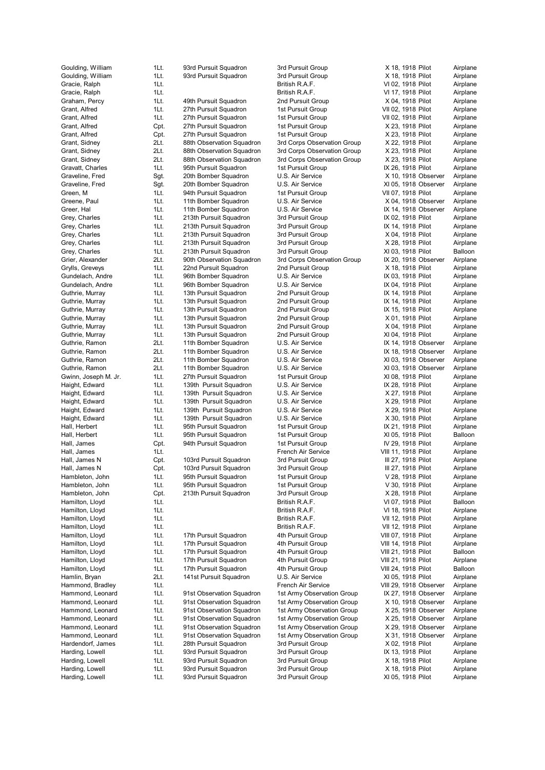Harding, Lowell 1Lt. 93rd Pursuit Squadron 3rd Pursuit Group XI 05, 1918 Pilot Airplane

Goulding, William 1Lt. 93rd Pursuit Squadron 3rd Pursuit Group X 18, 1918 Pilot Airplane<br>Goulding, William 1Lt. 93rd Pursuit Squadron 3rd Pursuit Group X 18, 1918 Pilot Airplane 1Lt. 93rd Pursuit Squadron 3rd Pursuit Group 3rd X 18, 1918 Pilot Airplane Gracie, Ralph 1Lt. 1. 1. 1. British R.A.F. VI 02, 1918 Pilot Airplane Gracie, Ralph 1Lt. 1. 1. 1. British R.A.F. 1918 Pilot Airplane Graham, Percy 1Lt. 49th Pursuit Squadron 2nd Pursuit Group X 04, 1918 Pilot Airplane Grant, Alfred 1Lt. 27th Pursuit Squadron 1st Pursuit Group VII 02, 1918 Pilot Airplane Grant, Alfred 1Lt. 27th Pursuit Squadron 1st Pursuit Group VII 02, 1918 Pilot Airplane Grant, Alfred Cpt. 27th Pursuit Squadron 1st Pursuit Group X 23, 1918 Pilot Airplane Grant, Alfred Cpt. 27th Pursuit Squadron 1st Pursuit Group X 23, 1918 Pilot Grant, Sidney 2Lt. 88th Observation Squadron 3rd Corps Observation Group X 22, 1918 Pilot Airplane<br>1981 Crant, Sidney 2Lt. 88th Observation Squadron 3rd Corps Observation Group X 23, 1918 Pilot Airplane Grant, Sidney 2Lt. 88th Observation Squadron 3rd Corps Observation Group X 23, 1918 Pilot Airplane Grant, Sidney 2Lt. 88th Observation Squadron 3rd Corps Observation Group X 23, 1918 Pilot Airplane Gravatt. Charles **1Lt.** 95th Pursuit Squadron 1st Pursuit Group 1st Pursuit Airplane Graveline, Fred Sgt. 20th Bomber Squadron U.S. Air Service X 10, 1918 Observer Airplane Graveline, Fred Sgt. 20th Bomber Squadron U.S. Air Service XI 05, 1918 Observer Airplane Green, M 1Lt. 94th Pursuit Squadron 1st Pursuit Group VII 07, 1918 Pilot Airplane<br>Greene, Paul 1Lt. 11th Bomber Squadron U.S. Air Service X 04, 1918 Observer Airplane 1Lt. 11th Bomber Squadron U.S. Air Service X 04, 1918 Observer Greer, Hal 11. 11th Bomber Squadron U.S. Air Service IX 14, 1918 Observer Airplane Grey, Charles **1Lt.** 213th Pursuit Squadron 3rd Pursuit Group IX 02, 1918 Pilot Airplane Grey, Charles **1Lt.** 213th Pursuit Squadron 3rd Pursuit Group IX 14, 1918 Pilot Airplane Grey, Charles 1Lt. 213th Pursuit Squadron 3rd Pursuit Group X 04, 1918 Pilot Airplane Grey, Charles 1Lt. 213th Pursuit Squadron 3rd Pursuit Group X 28, 1918 Pilot Airplane Grey, Charles **1Lt.** 213th Pursuit Squadron 3rd Pursuit Group XI 03, 1918 Pilot Balloon Grier, Alexander 2Lt. 90th Observation Squadron 3rd Corps Observation Group IX 20, 1918 Observer Airplane Grylls, Greveys **1Lt.** 22nd Pursuit Squadron 2nd Pursuit Group X 18, 1918 Pilot Airplane Gundelach, Andre 1Lt. 96th Bomber Squadron U.S. Air Service IX 03, 1918 Pilot Airplane Gundelach, Andre 1Lt. 96th Bomber Squadron U.S. Air Service IX 04, 1918 Pilot Airplane Guthrie, Murray **1Lt.** 13th Pursuit Squadron 2nd Pursuit Group IX 14, 1918 Pilot Airplane Guthrie, Murray **1Lt.** 13th Pursuit Squadron 2nd Pursuit Group IX 14, 1918 Pilot Airplane Guthrie, Murray 11t. 13th Pursuit Squadron 2nd Pursuit Group 1X 15, 1918 Pilot Airplane<br>11t. 13th Pursuit Squadron 2nd Pursuit Group 1X 01, 1918 Pilot Airplane Guthrie, Murray **1Lt.** 13th Pursuit Squadron 2nd Pursuit Group X 01, 1918 Pilot Airplane Guthrie, Murray **1Lt.** 13th Pursuit Squadron 2nd Pursuit Group X 04, 1918 Pilot Airplane Guthrie, Murray 1Lt. 13th Pursuit Squadron 2nd Pursuit Group XI 04, 1918 Pilot Airplane Guthrie, Ramon 2Lt. 11th Bomber Squadron U.S. Air Service IX 14, 1918 Observer Airplane Guthrie, Ramon 2Lt. 11th Bomber Squadron U.S. Air Service IX 18, 1918 Observer Airplane<br>Guthrie, Ramon 2Lt. 11th Bomber Squadron U.S. Air Service XI 03, 1918 Observer Airplane Guthrie, Ramon 2Lt. 11th Bomber Squadron U.S. Air Service XI 03, 1918 Observer Airplane<br>Guthrie, Ramon 2Lt. 11th Bomber Squadron U.S. Air Service XI 03, 1918 Observer Airplane Guthrie, Ramon 2Lt. 11th Bomber Squadron U.S. Air Service XI 03, 1918 Observer Gwinn, Joseph M. Jr. 1Lt. 27th Pursuit Squadron 1st Pursuit Group XI 08, 1918 Pilot Airplane Haight, Edward 1Lt. 139th Pursuit Squadron U.S. Air Service IX 28, 1918 Pilot Airplane Haight, Edward 1Lt. 139th Pursuit Squadron U.S. Air Service X 27, 1918 Pilot Airplane Haight, Edward 1Lt. 139th Pursuit Squadron U.S. Air Service X 29, 1918 Pilot Airplane Haight, Edward 1Lt. 139th Pursuit Squadron U.S. Air Service X 29, 1918 Pilot Airplane Haight, Edward 1Lt. 139th Pursuit Squadron U.S. Air Service X 30, 1918 Pilot Airplane Hall, Herbert **1Lt.** 95th Pursuit Squadron 1st Pursuit Group 1st Pursuit Airplane Hall, Herbert 1Lt. 95th Pursuit Squadron 1st Pursuit Group XI 05, 1918 Pilot Balloon Hall, James **Cpt.** 94th Pursuit Squadron 1st Pursuit Group IV 29, 1918 Pilot Airplane Hall, James **1Lt.** 1Lt. The Service 1Lt. French Air Service 1. 1918 Pilot Airplane Hall, James N Cpt. 103rd Pursuit Squadron 3rd Pursuit Group III 27, 1918 Pilot Airplane Hall, James N Cpt. 103rd Pursuit Squadron 3rd Pursuit Group III 27, 1918 Pilot Airplane Hambleton, John 1Lt. 95th Pursuit Squadron 1st Pursuit Group V 28, 1918 Pilot Airplane Hambleton, John 1Lt. 95th Pursuit Squadron 1st Pursuit Group V 30, 1918 Pilot Airplane Hambleton, John Cpt. 213th Pursuit Squadron 3rd Pursuit Group X 28, 1918 Pilot Airplane Hamilton, Lloyd 1Lt. British R.A.F. VI 07, 1918 Pilot Balloon Hamilton, Lloyd 1Lt. British R.A.F. VI 18, 1918 Pilot Airplane Hamilton, Lloyd **11.** 11. 12. 12. British R.A.F. 1998 Pilot Airplane Airplane Hamilton, Lloyd 1Lt. British R.A.F. VII 12, 1918 Pilot Airplane Hamilton, Lloyd 1Lt. 17th Pursuit Squadron 4th Pursuit Group VIII 07, 1918 Pilot Airplane Hamilton, Lloyd 1Lt. 17th Pursuit Squadron 4th Pursuit Group VIII 14, 1918 Pilot Airplane Hamilton, Lloyd 1Lt. 17th Pursuit Squadron 4th Pursuit Group VIII 21, 1918 Pilot Balloon Hamilton, Lloyd 1Lt. 17th Pursuit Squadron 4th Pursuit Group VIII 21, 1918 Pilot Airplane Hamilton, Lloyd 1Lt. 17th Pursuit Squadron 4th Pursuit Group VIII 24, 1918 Pilot Balloon Hamlin, Bryan **2Lt.** 141st Pursuit Squadron U.S. Air Service XI 05, 1918 Pilot Airplane Hammond, Bradley 1Lt. French Air Service VIII 29, 1918 Observer Airplane Hammond, Leonard 1Lt. 91st Observation Squadron 1st Army Observation Group IX 27, 1918 Observer Airplane Hammond, Leonard 1Lt. 91st Observation Squadron 1st Army Observation Group X 10, 1918 Observer Airplane Hammond, Leonard 1Lt. 91st Observation Squadron 1st Army Observation Group X 25, 1918 Observer Airplane Hammond, Leonard 1Lt. 91st Observation Squadron 1st Army Observation Group X 25, 1918 Observer Airplane Hammond, Leonard 1Lt. 91st Observation Squadron 1st Army Observation Group X 29, 1918 Observer Airplane Hammond, Leonard 1Lt. 91st Observation Squadron 1st Army Observation Group X 31, 1918 Observer Airplane Hardendorf, James 1Lt. 28th Pursuit Squadron 3rd Pursuit Group X 02, 1918 Pilot Airplane Harding, Lowell **1Lt.** 93rd Pursuit Squadron 3rd Pursuit Group IX 13, 1918 Pilot Airplane Harding, Lowell 1Lt. 93rd Pursuit Squadron 3rd Pursuit Group X 18, 1918 Pilot Airplane

Harding, Lowell **1Lt.** 93rd Pursuit Squadron 3rd Pursuit Group X 18, 1918 Pilot Airplane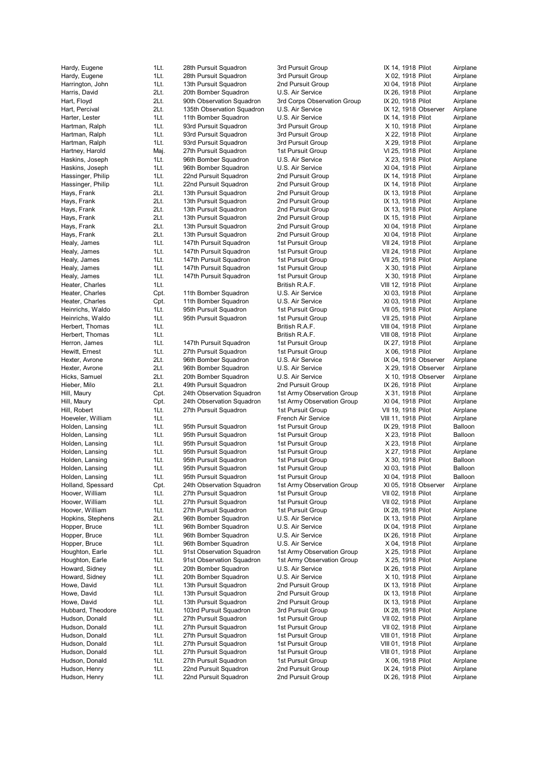Hudson, Henry **1Lt.** 22nd Pursuit Squadron 2nd Pursuit Group IX 26, 1918 Pilot Airplane

Hardy, Eugene 1Lt. 28th Pursuit Squadron 3rd Pursuit Group X 02, 1918 Pilot Airplane Harrington, John 1Lt. 13th Pursuit Squadron 2nd Pursuit Group XI 04, 1918 Pilot Airplane Harris, David 2Lt. 20th Bomber Squadron U.S. Air Service 12. Air Set 12. 26, 1918 Pilot Airplane<br>12Lt. 90th Observation Squadron 3rd Corps Observation Group IX 20, 1918 Pilot Airplane 2Lt. 90th Observation Squadron 3rd Corps Observation Group IX 20, 1918 Pilot Airplane Hart, Percival **2Lt.** 135th Observation Squadron U.S. Air Service IX 12, 1918 Observer Airplane Harter, Lester **1Lt.** 11th Bomber Squadron U.S. Air Service **IX 14, 1918 Pilot** Airplane Hartman, Ralph 1Lt. 93rd Pursuit Squadron 3rd Pursuit Group X 10, 1918 Pilot Airplane<br>1930 Hartman, Ralph 1Lt. 93rd Pursuit Squadron 3rd Pursuit Group X 22, 1918 Pilot Airplane Hartman, Ralph 1Lt. 93rd Pursuit Squadron 3rd Pursuit Group X 22, 1918 Pilot Hartman, Ralph 1Lt. 93rd Pursuit Squadron 3rd Pursuit Group X 29, 1918 Pilot Airplane Hartney, Harold Maj. 27th Pursuit Squadron 1st Pursuit Group VI 25, 1918 Pilot Airplane Haskins, Joseph 1Lt. 96th Bomber Squadron U.S. Air Service X 23, 1918 Pilot Airplane Haskins, Joseph 1Lt. 96th Bomber Squadron U.S. Air Service XI 04, 1918 Pilot Airplane Hassinger, Philip 1Lt. 22nd Pursuit Squadron 2nd Pursuit Group 1X 14, 1918 Pilot Airplane Hassinger, Philip 1Lt. 22nd Pursuit Squadron 2nd Pursuit Group 1X 14, 1918 Pilot Airplane Hays, Frank 2Lt. 13th Pursuit Squadron 2nd Pursuit Group IX 13, 1918 Pilot Airplane Hays, Frank 2Lt. 13th Pursuit Squadron 2nd Pursuit Group IX 13, 1918 Pilot Airplane Hays, Frank 2Lt. 13th Pursuit Squadron 2nd Pursuit Group IX 13, 1918 Pilot Airplane 2Lt. 13th Pursuit Squadron 2nd Pursuit Group IX 15, 1918 Pilot Hays, Frank 2Lt. 13th Pursuit Squadron 2nd Pursuit Group XI 04, 1918 Pilot Airplane 2Lt. 13th Pursuit Squadron 2nd Pursuit Group XI 04, 1918 Pilot Airplane Healy, James 1Lt. 147th Pursuit Squadron 1st Pursuit Group VII 24, 1918 Pilot Airplane Healy, James 1Lt. 147th Pursuit Squadron 1st Pursuit Group VII 24, 1918 Pilot Airplane Healy, James 1Lt. 147th Pursuit Squadron 1st Pursuit Group VII 25, 1918 Pilot Airplane Healy, James 1Lt. 147th Pursuit Squadron 1st Pursuit Group X 30, 1918 Pilot Airplane Healy, James 1Lt. 147th Pursuit Squadron 1st Pursuit Group X 30, 1918 Pilot Airplane Heater, Charles 1Lt. British R.A.F. VIII 12, 1918 Pilot Airplane Heater, Charles Cpt. 11th Bomber Squadron U.S. Air Service XI 03, 1918 Pilot Airplane Heater, Charles Cpt. 11th Bomber Squadron U.S. Air Service XI 03, 1918 Pilot Airplane Heinrichs, Waldo 1Lt. 95th Pursuit Squadron 1st Pursuit Group VII 05, 1918 Pilot Airplane Heinrichs, Waldo **1Lt.** 95th Pursuit Squadron 1st Pursuit Group VII 25, 1918 Pilot Airplane Herbert, Thomas 1Lt. British R.A.F. VIII 04, 1918 Pilot Airplane Herbert, Thomas 1Lt. British R.A.F. VIII 08, 1918 Pilot Airplane Herron, James 1Lt. 147th Pursuit Squadron 1st Pursuit Group 1st Pursuit Group IX 27, 1918 Pilot Airplane Hewitt, Ernest 1Lt. 27th Pursuit Squadron 1st Pursuit Group X 06, 1918 Pilot Airplane Hexter, Avrone 2Lt. 96th Bomber Squadron U.S. Air Service IX 04, 1918 Observer Hexter, Avrone 2Lt. 96th Bomber Squadron U.S. Air Service X 29, 1918 Observer Airplane Hicks, Samuel 2Lt. 20th Bomber Squadron U.S. Air Service X 10, 1918 Observer Airplane Hieber, Milo 2Lt. 49th Pursuit Squadron 2nd Pursuit Group IX 26, 1918 Pilot Airplane Hill, Maury Cpt. 24th Observation Squadron 1st Army Observation Group X 31, 1918 Pilot Airplane Hill, Maury **Chick Communist Communist Addition Squadron** 1st Army Observation Group XI 04, 1918 Pilot Airplane Hill, Robert 11t. 11Lt. 27th Pursuit Squadron 1st Pursuit Group 19th 19, 1918 Pilot Airplane<br>Hoeveler, William 11Lt. 1918 Pilot Airplane Hoeveler, William 1Lt. French Air Service VIII 11, 1918 Pilot Airplane Holden, Lansing **1Lt.** 95th Pursuit Squadron 1st Pursuit Group IX 29, 1918 Pilot Balloon Holden, Lansing 1Lt. 95th Pursuit Squadron 1st Pursuit Group X 23, 1918 Pilot Balloon Holden, Lansing **1Lt.** 95th Pursuit Squadron 1st Pursuit Group X 23, 1918 Pilot Airplane Holden, Lansing **1Lt.** 95th Pursuit Squadron 1st Pursuit Group X 27, 1918 Pilot Airplane Holden, Lansing 1Lt. 95th Pursuit Squadron 1st Pursuit Group X 30, 1918 Pilot Balloon Holden, Lansing 1Lt. 95th Pursuit Squadron 1st Pursuit Group XI 03, 1918 Pilot Balloon Holden, Lansing **1Lt.** 95th Pursuit Squadron 1st Pursuit Group XI 04, 1918 Pilot Balloon Holland, Spessard Cpt. 24th Observation Squadron 1st Army Observation Group XI 05, 1918 Observer Airplane Hoover, William 1Lt. 27th Pursuit Squadron 1st Pursuit Group VII 02, 1918 Pilot Airplane Hoover, William 1Lt. 27th Pursuit Squadron 1st Pursuit Group VII 02, 1918 Pilot Airplane Hoover, William 1Lt. 27th Pursuit Squadron 1st Pursuit Group 1st Pursuit Airplane Hopkins, Stephens 2Lt. 96th Bomber Squadron U.S. Air Service IX 13, 1918 Pilot Airplane Hopper, Bruce **1Lt.** 96th Bomber Squadron U.S. Air Service IX 04, 1918 Pilot Airplane Hopper, Bruce **1Lt.** 96th Bomber Squadron U.S. Air Service IX 26, 1918 Pilot Airplane Hopper, Bruce 1Lt. 96th Bomber Squadron U.S. Air Service X 04, 1918 Pilot Airplane Houghton, Earle **1Lt.** 91st Observation Squadron 1st Army Observation Group X 25, 1918 Pilot Airplane Houghton, Earle 1Lt. 91st Observation Squadron 1st Army Observation Group X 25, 1918 Pilot Airplane Howard, Sidney 1Lt. 20th Bomber Squadron U.S. Air Service IX 26, 1918 Pilot Airplane Howard, Sidney 1Lt. 20th Bomber Squadron U.S. Air Service X 10, 1918 Pilot Airplane Howe, David 1Lt. 13th Pursuit Squadron 2nd Pursuit Group IX 13, 1918 Pilot Airplane 1Lt. 13th Pursuit Squadron Howe, David **11t.** 13th Pursuit Squadron 2nd Pursuit Group IX 13, 1918 Pilot Airplane Hubbard, Theodore 1Lt. 103rd Pursuit Squadron 3rd Pursuit Group IX 28, 1918 Pilot Airplane Hudson, Donald 1Lt. 27th Pursuit Squadron 1st Pursuit Group VII 02, 1918 Pilot Airplane Hudson, Donald 1Lt. 27th Pursuit Squadron 1st Pursuit Group VII 02, 1918 Pilot Airport Airport Airport Airport Hudson, Donald 1Lt. 27th Pursuit Squadron 1st Pursuit Group VIII 01, 1918 Pilot Airplane Hudson, Donald 1Lt. 27th Pursuit Squadron 1st Pursuit Group VIII 01, 1918 Pilot Airplane Hudson, Donald 1Lt. 27th Pursuit Squadron 1st Pursuit Group VIII 01, 1918 Pilot Airplane Hudson, Donald 1Lt. 27th Pursuit Squadron 1st Pursuit Group X 06, 1918 Pilot Airplane Hudson, Henry **1Lt.** 22nd Pursuit Squadron 2nd Pursuit Group IX 24, 1918 Pilot Airplane

Hardy, Eugene 1Lt. 28th Pursuit Squadron 3rd Pursuit Group 1X 14, 1918 Pilot Airplane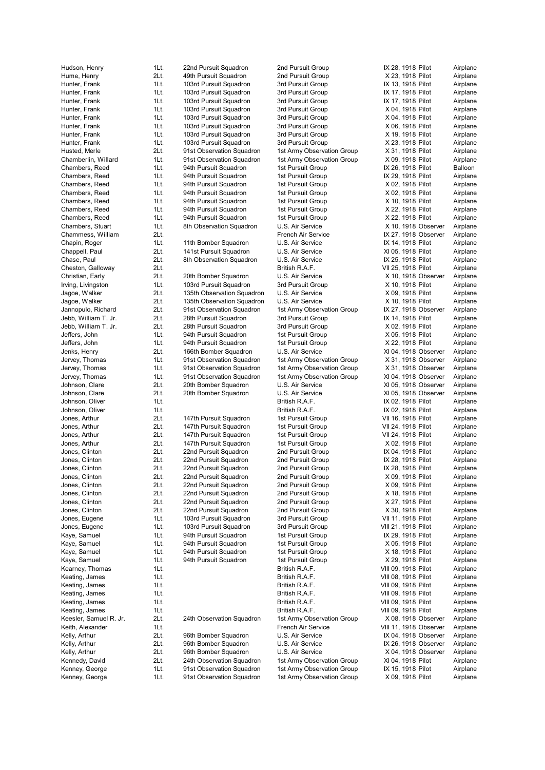Kenney, George **1Lt.** 91st Observation Squadron 1st Army Observation Group X 09, 1918 Pilot Airplane

Hudson, Henry 1Lt. 22nd Pursuit Squadron 2nd Pursuit Group IX 28, 1918 Pilot Airplane Hume, Henry 2Lt. 49th Pursuit Squadron 2nd Pursuit Group X 23, 1918 Pilot Airplane Hunter, Frank 1Lt. 103rd Pursuit Squadron 3rd Pursuit Group IX 13, 1918 Pilot Airplane Hunter, Frank 1Lt. 103rd Pursuit Squadron 3rd Pursuit Group IX 17, 1918 Pilot Airplane Hunter, Frank 1Lt. 103rd Pursuit Squadron 3rd Pursuit Group IX 17, 1918 Pilot Airplane Hunter, Frank 11t. 103rd Pursuit Squadron 3rd Pursuit Group X 04, 1918 Pilot Airplane Hunter, Frank 1Lt. 103rd Pursuit Squadron 3rd Pursuit Group X 04, 1918 Pilot Airplane Hunter, Frank 11t. 103rd Pursuit Squadron 1975 3rd Pursuit Group 1976 X 06, 1918 Pilot Airplane<br>11 Airplane 11t. 103rd Pursuit Squadron 1975 3rd Pursuit Group 1976 X 19, 1918 Pilot Airplane Hunter, Frank 11.1 103rd Pursuit Squadron 3rd Pursuit Group X 19, 1918 Pilot Hunter, Frank 1Lt. 103rd Pursuit Squadron 3rd Pursuit Group X 23, 1918 Pilot Airplane<br>Husted, Merle 2Lt. 91st Observation Squadron 1st Army Observation Group X 31, 1918 Pilot Airplane Husted, Merle 2Lt. 91st Observation Squadron 1st Army Observation Group X 31, 1918 Pilot Airplane Chamberlin, Willard 1Lt. 91st Observation Squadron 1st Army Observation Group X 09, 1918 Pilot Airplane Chambers, Reed 1Lt. 94th Pursuit Squadron 1st Pursuit Group 1st Pursuit Group IX 26, 1918 Pilot Balloon Chambers, Reed 1Lt. 94th Pursuit Squadron 1st Pursuit Group 15t Pursuit Airplane Chambers, Reed 1Lt. 94th Pursuit Squadron 1st Pursuit Group X 02, 1918 Pilot Airplane Chambers, Reed 1Lt. 94th Pursuit Squadron 1st Pursuit Group X 02, 1918 Pilot Airplane<br>Chambers, Reed 1Lt. 94th Pursuit Squadron 1st Pursuit Group X 10. 1918 Pilot Airplane 1Lt. 94th Pursuit Squadron 1st Pursuit Group Chambers, Reed 1Lt. 94th Pursuit Squadron 1st Pursuit Group X 22, 1918 Pilot Airplane Chambers, Reed 1Lt. 94th Pursuit Squadron 1st Pursuit Group X 22, 1918 Pilot Airplane Chambers, Stuart 1Lt. 8th Observation Squadron U.S. Air Service X 10, 1918 Observer Airplane Chammess, William 2Lt. French Air Service IX 27, 1918 Observer Airplane Chapin, Roger **1Lt.** 11th Bomber Squadron U.S. Air Service **IX 14, 1918 Pilot** Airplane Chappell, Paul 2Lt. 141st Pursuit Squadron U.S. Air Service XI 05, 1918 Pilot Airplane Chase, Paul 2Lt. 8th Observation Squadron U.S. Air Service IX 25, 1918 Pilot Airplane Cheston, Galloway 2Lt. 2015 2016 2017 21: British R.A.F. 2017 25, 1918 Pilot Airplane Christian, Early 2Lt. 20th Bomber Squadron U.S. Air Service X 10, 1918 Observer Airplane Irving, Livingston 1Lt. 103rd Pursuit Squadron 3rd Pursuit Group X 10, 1918 Pilot Airplane Jagoe, Walker 2Lt. 135th Observation Squadron U.S. Air Service X 09, 1918 Pilot Airplane Jagoe, Walker **2Lt.** 135th Observation Squadron U.S. Air Service X 10, 1918 Pilot Airplane Jannopulo, Richard 2Lt. 91st Observation Squadron 1st Army Observation Group IX 27, 1918 Observer Airplane Jebb, William T. Jr. 2Lt. 28th Pursuit Squadron 3rd Pursuit Group IX 14, 1918 Pilot Airplane Jebb, William T. Jr. 2Lt. 28th Pursuit Squadron 3rd Pursuit Group X 02, 1918 Pilot Airplane Jeffers, John 1Lt. 94th Pursuit Squadron 1st Pursuit Group X 05, 1918 Pilot Airplane Jeffers, John 1Lt. 94th Pursuit Squadron 1st Pursuit Group X 22, 1918 Pilot Airplane Jenks, Henry **2Lt.** 166th Bomber Squadron U.S. Air Service XI 04, 1918 Observer Airplane<br>1915 Jervey, Thomas 1Lt. 91st Observation Squadron 1st Army Observation Group X 31, 1918 Observer Airplane Jervey, Thomas 1Lt. 91st Observation Squadron 1st Army Observation Group Jervey, Thomas 1Lt. 91st Observation Squadron 1st Army Observation Group X 31, 1918 Observer Airplane Jervey, Thomas 1Lt. 91st Observation Squadron 1st Army Observation Group XI 04, 1918 Observer Airplane Johnson, Clare 2Lt. 20th Bomber Squadron U.S. Air Service XI 05, 1918 Observer Airplane Johnson, Clare 2Lt. 20th Bomber Squadron U.S. Air Service XI 05, 1918 Observer Airplane Johnson, Oliver **1Lt.** 1. 1. 1. 1. 1. British R.A.F. 1. 1. 1918 Pilot Airplane Johnson, Oliver **1Lt.** 1. 1. 1. 1. British R.A.F. 1. 1X 02, 1918 Pilot Airplane Jones, Arthur **2Lt.** 147th Pursuit Squadron 1st Pursuit Group VII 16, 1918 Pilot Airplane Jones, Arthur 2Lt. 147th Pursuit Squadron 1st Pursuit Group VII 24, 1918 Pilot Airplane Jones, Arthur 2Lt. 147th Pursuit Squadron 1st Pursuit Group VII 24, 1918 Pilot Airplane Jones, Arthur **2Lt.** 147th Pursuit Squadron 1st Pursuit Group X 02, 1918 Pilot Airplane Jones, Clinton **200 200 200 201 22nd Pursuit Squadron** 2nd Pursuit Group **IX 04, 1918 Pilot** Airplane Jones, Clinton 2Lt. 22nd Pursuit Squadron 2nd Pursuit Group IX 28, 1918 Pilot Airplane Jones, Clinton 2011. 22nd Pursuit Squadron 2nd Pursuit Group IX 28, 1918 Pilot Airplane Jones, Clinton **200 1 22nd 22nd Pursuit Squadron** 2nd Pursuit Group X 09, 1918 Pilot Airplane<br>1999 Jones, Clinton 200 2011 22nd Pursuit Squadron 2nd Pursuit Group X 09, 1918 Pilot Airplane 2Lt. 22nd Pursuit Squadron 2nd Pursuit Group X 09, 1918 Pilot Airplane Jones, Clinton 2Lt. 22nd Pursuit Squadron 2nd Pursuit Group X 18, 1918 Pilot Airplane Jones, Clinton 2Lt. 22nd Pursuit Squadron 2nd Pursuit Group X 27, 1918 Pilot Airplane Jones, Clinton 2Lt. 22nd Pursuit Squadron 2nd Pursuit Group X 30, 1918 Pilot Airplane Jones, Eugene **1Lt.** 103rd Pursuit Squadron 3rd Pursuit Group VII 11, 1918 Pilot Airplane Jones, Eugene 1Lt. 103rd Pursuit Squadron 3rd Pursuit Group VIII 21, 1918 Pilot Airplane Kaye, Samuel 1Lt. 94th Pursuit Squadron 1st Pursuit Group 1st Pursuit Group IX 29, 1918 Pilot Airplane Kaye, Samuel 1Lt. 94th Pursuit Squadron 1st Pursuit Group X 05, 1918 Pilot Airplane Kaye, Samuel 1Lt. 94th Pursuit Squadron 1st Pursuit Group X 18, 1918 Pilot Airplane Kaye, Samuel 1Lt. 94th Pursuit Squadron 1st Pursuit Group X 29, 1918 Pilot Airplane Kearney, Thomas 1Lt. British R.A.F. VIII 09, 1918 Pilot Airplane Keating, James 1Lt. British R.A.F. VIII 08, 1918 Pilot Airplane Keating, James 1Lt. British R.A.F. VIII 09, 1918 Pilot Airplane Keating, James 1Lt. 1. 1. 1. 1. British R.A.F. 1. VIII 09, 1918 Pilot Keating, James 1Lt. British R.A.F. VIII 09, 1918 Pilot Airplane Keating, James 1Lt. 1. 1. 1. 1. British R.A.F. 1. 1. VIII 09, 1918 Pilot Airplane Keesler, Samuel R. Jr. 2Lt. 24th Observation Squadron 1st Army Observation Group X 08, 1918 Observer Airplane Keith, Alexander 1Lt. French Air Service VIII 11, 1918 Observer Airplane 2Lt. 96th Bomber Squadron U.S. Air Service IX 04, 1918 Observer Airplane Kelly, Arthur 2Lt. 96th Bomber Squadron U.S. Air Service IX 26, 1918 Observer Airplane Kelly, Arthur 2Lt. 96th Bomber Squadron U.S. Air Service X 04, 1918 Observer Airplane Kennedy, David 2Lt. 24th Observation Squadron 1st Army Observation Group XI 04, 1918 Pilot Airplane Kenney, George **1Lt.** 91st Observation Squadron 1st Army Observation Group IX 15, 1918 Pilot Airplane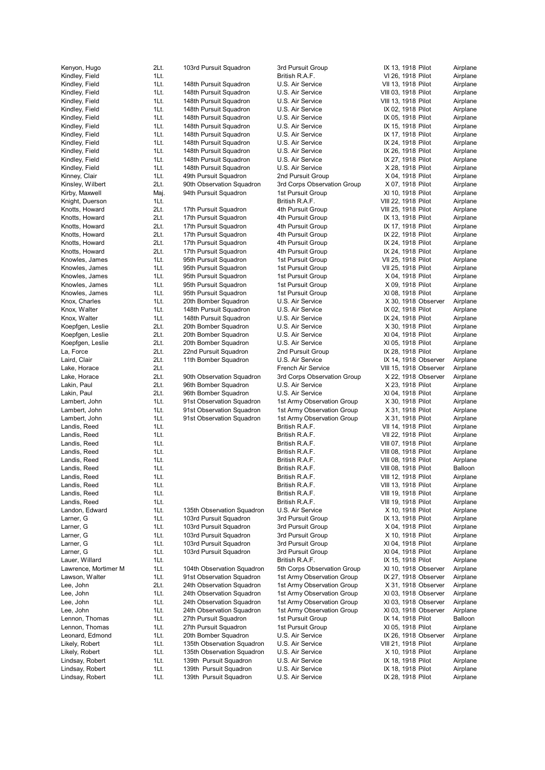| Kenyon, Hugo                       |
|------------------------------------|
| Kindley, Field<br>Kindley, Field   |
| Kindley, Field                     |
| Kindley, Field                     |
| Kindley, Field                     |
| Kindley, Field                     |
| Kindley, Field                     |
| Kindley, Field                     |
| Kindley, Field                     |
| Kindley, Field                     |
| Kindley, Field                     |
| Kindley, Field<br>Kinney, Clair    |
| Kinsley, Wilbert                   |
| Kirby, Maxwell                     |
| Knight, Duerson                    |
| Knotts, Howard                     |
| Knotts, Howard                     |
| Knotts, Howard                     |
| Knotts, Howard                     |
| Knotts, Howard                     |
| Knotts, Howard                     |
| Knowles, James<br>Knowles, James   |
| Knowles, James                     |
| Knowles, James                     |
| Knowles, James                     |
| Knox, Charles                      |
| Knox, Walter                       |
| Knox, Walter                       |
| Koepfgen, Leslie                   |
| Koepfgen, Leslie                   |
| Koepfgen, Leslie                   |
| La, Force                          |
| Laird, Clair<br>Lake, Horace       |
| Lake, Horace                       |
| Lakin, Paul                        |
| Lakin, Paul                        |
| Lambert, John                      |
| Lambert, John                      |
| Lambert, John                      |
| Landis, Reed                       |
| Landis, Reed                       |
| Landis, Reed                       |
| Landis, Reed<br>Landis, Reed       |
| Landis, Reed                       |
| Landis, Reed                       |
| Landis, Reed                       |
| Landis, Reed                       |
| Landis, Reed                       |
| Landon, Edward                     |
| Larner, G                          |
| Larner, G                          |
| Larner, G                          |
| Larner, G                          |
| Larner, G<br>Lauer, Willard        |
| Lawrence, Mortimer M               |
| Lawson, Walter                     |
| Lee, John                          |
| Lee, John                          |
| Lee, John                          |
| Lee, John                          |
| Lennon, Thomas                     |
| Lennon, Thomas                     |
| Leonard, Edmond                    |
| Likely, Robert                     |
| Likely, Robert<br>Lindsay, Robert  |
|                                    |
|                                    |
| Lindsay, Robert<br>Lindsay, Robert |

| Kenyon, Hugo         | 2Lt. | 103rd Pursuit Squadron     | 3rd Pursuit Group           | IX 13, 1918 Pilot      | Airplane |
|----------------------|------|----------------------------|-----------------------------|------------------------|----------|
| Kindley, Field       | 1Lt. |                            | British R.A.F.              | VI 26, 1918 Pilot      | Airplane |
| Kindley, Field       | 1Lt. | 148th Pursuit Squadron     | U.S. Air Service            | VII 13, 1918 Pilot     | Airplane |
| Kindley, Field       | 1Lt. | 148th Pursuit Squadron     | U.S. Air Service            | VIII 03, 1918 Pilot    | Airplane |
| Kindley, Field       | 1Lt. | 148th Pursuit Squadron     | U.S. Air Service            | VIII 13, 1918 Pilot    | Airplane |
| Kindley, Field       | 1Lt. | 148th Pursuit Squadron     | U.S. Air Service            | IX 02, 1918 Pilot      | Airplane |
| Kindley, Field       | 1Lt. | 148th Pursuit Squadron     | U.S. Air Service            | IX 05, 1918 Pilot      | Airplane |
| Kindley, Field       | 1Lt. | 148th Pursuit Squadron     | U.S. Air Service            | IX 15, 1918 Pilot      | Airplane |
| Kindley, Field       | 1Lt. | 148th Pursuit Squadron     | U.S. Air Service            | IX 17, 1918 Pilot      | Airplane |
|                      | 1Lt. |                            |                             |                        |          |
| Kindley, Field       |      | 148th Pursuit Squadron     | U.S. Air Service            | IX 24, 1918 Pilot      | Airplane |
| Kindley, Field       | 1Lt. | 148th Pursuit Squadron     | U.S. Air Service            | IX 26, 1918 Pilot      | Airplane |
| Kindley, Field       | 1Lt. | 148th Pursuit Squadron     | U.S. Air Service            | IX 27, 1918 Pilot      | Airplane |
| Kindley, Field       | 1Lt. | 148th Pursuit Squadron     | U.S. Air Service            | X 28, 1918 Pilot       | Airplane |
| Kinney, Clair        | 1Lt. | 49th Pursuit Squadron      | 2nd Pursuit Group           | X 04, 1918 Pilot       | Airplane |
| Kinsley, Wilbert     | 2Lt. | 90th Observation Squadron  | 3rd Corps Observation Group | X 07, 1918 Pilot       | Airplane |
| Kirby, Maxwell       | Maj. | 94th Pursuit Squadron      | 1st Pursuit Group           | XI 10, 1918 Pilot      | Airplane |
| Knight, Duerson      | 1Lt. |                            | British R.A.F.              | VIII 22, 1918 Pilot    | Airplane |
| Knotts, Howard       | 2Lt. | 17th Pursuit Squadron      | 4th Pursuit Group           | VIII 25, 1918 Pilot    | Airplane |
| Knotts, Howard       | 2Lt. | 17th Pursuit Squadron      | 4th Pursuit Group           | IX 13, 1918 Pilot      | Airplane |
| Knotts, Howard       | 2Lt. | 17th Pursuit Squadron      | 4th Pursuit Group           | IX 17, 1918 Pilot      | Airplane |
| Knotts, Howard       | 2Lt. | 17th Pursuit Squadron      | 4th Pursuit Group           | IX 22, 1918 Pilot      | Airplane |
|                      | 2Lt. | 17th Pursuit Squadron      | 4th Pursuit Group           |                        |          |
| Knotts, Howard       |      |                            |                             | IX 24, 1918 Pilot      | Airplane |
| Knotts, Howard       | 2Lt. | 17th Pursuit Squadron      | 4th Pursuit Group           | IX 24, 1918 Pilot      | Airplane |
| Knowles, James       | 1Lt. | 95th Pursuit Squadron      | 1st Pursuit Group           | VII 25, 1918 Pilot     | Airplane |
| Knowles, James       | 1Lt. | 95th Pursuit Squadron      | 1st Pursuit Group           | VII 25, 1918 Pilot     | Airplane |
| Knowles, James       | 1Lt. | 95th Pursuit Squadron      | 1st Pursuit Group           | X 04, 1918 Pilot       | Airplane |
| Knowles, James       | 1Lt. | 95th Pursuit Squadron      | 1st Pursuit Group           | X 09, 1918 Pilot       | Airplane |
| Knowles, James       | 1Lt. | 95th Pursuit Squadron      | 1st Pursuit Group           | XI 08, 1918 Pilot      | Airplane |
| Knox, Charles        | 1Lt. | 20th Bomber Squadron       | U.S. Air Service            | X 30, 1918 Observer    | Airplane |
| Knox, Walter         | 1Lt. | 148th Pursuit Squadron     | U.S. Air Service            | IX 02, 1918 Pilot      | Airplane |
| Knox, Walter         | 1Lt. | 148th Pursuit Squadron     | U.S. Air Service            | IX 24, 1918 Pilot      | Airplane |
| Koepfgen, Leslie     | 2Lt. | 20th Bomber Squadron       | U.S. Air Service            | X 30, 1918 Pilot       | Airplane |
|                      | 2Lt. |                            |                             |                        |          |
| Koepfgen, Leslie     |      | 20th Bomber Squadron       | U.S. Air Service            | XI 04, 1918 Pilot      | Airplane |
| Koepfgen, Leslie     | 2Lt. | 20th Bomber Squadron       | U.S. Air Service            | XI 05, 1918 Pilot      | Airplane |
| La, Force            | 2Lt. | 22nd Pursuit Squadron      | 2nd Pursuit Group           | IX 28, 1918 Pilot      | Airplane |
| Laird, Clair         | 2Lt. | 11th Bomber Squadron       | U.S. Air Service            | IX 14, 1918 Observer   | Airplane |
| Lake, Horace         | 2Lt. |                            | French Air Service          | VIII 15, 1918 Observer | Airplane |
| Lake, Horace         | 2Lt. | 90th Observation Squadron  | 3rd Corps Observation Group | X 22, 1918 Observer    | Airplane |
| Lakin, Paul          | 2Lt. | 96th Bomber Squadron       | U.S. Air Service            | X 23, 1918 Pilot       | Airplane |
| Lakin, Paul          | 2Lt. | 96th Bomber Squadron       | U.S. Air Service            | XI 04, 1918 Pilot      | Airplane |
| Lambert, John        | 1Lt. | 91st Observation Squadron  | 1st Army Observation Group  | X 30, 1918 Pilot       | Airplane |
| Lambert, John        | 1Lt. | 91st Observation Squadron  | 1st Army Observation Group  | X 31, 1918 Pilot       | Airplane |
|                      |      |                            |                             |                        |          |
| Lambert, John        | 1Lt. | 91st Observation Squadron  | 1st Army Observation Group  | X 31, 1918 Pilot       | Airplane |
| Landis, Reed         | 1Lt. |                            | British R.A.F.              | VII 14, 1918 Pilot     | Airplane |
| Landis, Reed         | 1Lt. |                            | British R.A.F.              | VII 22, 1918 Pilot     | Airplane |
| Landis, Reed         | 1Lt. |                            | British R.A.F.              | VIII 07, 1918 Pilot    | Airplane |
| Landis, Reed         | 1Lt. |                            | British R.A.F.              | VIII 08, 1918 Pilot    | Airplane |
| Landis, Reed         | 1Lt. |                            | British R.A.F.              | VIII 08, 1918 Pilot    | Airplane |
| Landis, Reed         | 1Lt. |                            | British R.A.F.              | VIII 08, 1918 Pilot    | Balloon  |
| Landis, Reed         | 1Lt. |                            | British R.A.F.              | VIII 12, 1918 Pilot    | Airplane |
| Landis, Reed         | 1Lt. |                            | British R.A.F.              | VIII 13, 1918 Pilot    | Airplane |
| Landis, Reed         | 1Lt. |                            | British R.A.F.              | VIII 19, 1918 Pilot    | Airplane |
| Landis, Reed         | 1Lt. |                            | British R.A.F.              |                        | Airplane |
|                      |      |                            |                             | VIII 19, 1918 Pilot    |          |
| Landon, Edward       | 1Lt. | 135th Observation Squadron | U.S. Air Service            | X 10, 1918 Pilot       | Airplane |
| Larner, G            | 1Lt. | 103rd Pursuit Squadron     | 3rd Pursuit Group           | IX 13, 1918 Pilot      | Airplane |
| Larner, G            | 1Lt. | 103rd Pursuit Squadron     | 3rd Pursuit Group           | X 04, 1918 Pilot       | Airplane |
| Larner, G            | 1Lt. | 103rd Pursuit Squadron     | 3rd Pursuit Group           | X 10, 1918 Pilot       | Airplane |
| Larner, G            | 1Lt. | 103rd Pursuit Squadron     | 3rd Pursuit Group           | XI 04, 1918 Pilot      | Airplane |
| Larner, G            | 1Lt. | 103rd Pursuit Squadron     | 3rd Pursuit Group           | XI 04, 1918 Pilot      | Airplane |
| Lauer, Willard       | 1Lt. |                            | British R.A.F.              | IX 15, 1918 Pilot      | Airplane |
| Lawrence, Mortimer M | 1Lt. | 104th Observation Squadron | 5th Corps Observation Group | XI 10, 1918 Observer   | Airplane |
| Lawson, Walter       | 1Lt. | 91st Observation Squadron  | 1st Army Observation Group  | IX 27, 1918 Observer   | Airplane |
| Lee, John            | 2Lt. | 24th Observation Squadron  | 1st Army Observation Group  | X 31, 1918 Observer    | Airplane |
|                      |      |                            |                             |                        |          |
| Lee, John            | 1Lt. | 24th Observation Squadron  | 1st Army Observation Group  | XI 03, 1918 Observer   | Airplane |
| Lee, John            | 1Lt. | 24th Observation Squadron  | 1st Army Observation Group  | XI 03, 1918 Observer   | Airplane |
| Lee, John            | 1Lt. | 24th Observation Squadron  | 1st Army Observation Group  | XI 03, 1918 Observer   | Airplane |
| Lennon, Thomas       | 1Lt. | 27th Pursuit Squadron      | 1st Pursuit Group           | IX 14, 1918 Pilot      | Balloon  |
| Lennon, Thomas       | 1Lt. | 27th Pursuit Squadron      | 1st Pursuit Group           | XI 05, 1918 Pilot      | Airplane |
| Leonard, Edmond      | 1Lt. | 20th Bomber Squadron       | U.S. Air Service            | IX 26, 1918 Observer   | Airplane |
| Likely, Robert       | 1Lt. | 135th Observation Squadron | U.S. Air Service            | VIII 21, 1918 Pilot    | Airplane |
| Likely, Robert       | 1Lt. | 135th Observation Squadron | U.S. Air Service            | X 10, 1918 Pilot       | Airplane |
| Lindsay, Robert      | 1Lt. | 139th Pursuit Squadron     | U.S. Air Service            | IX 18, 1918 Pilot      | Airplane |
| Lindsay, Robert      | 1Lt. | 139th Pursuit Squadron     | U.S. Air Service            | IX 18, 1918 Pilot      | Airplane |
|                      |      |                            |                             |                        |          |

| ra Pursuit Group                                                  |
|-------------------------------------------------------------------|
| 3ritish R.A.F.                                                    |
| J.S. Air Service                                                  |
| J.S. Air Service                                                  |
| J.S. Air Service                                                  |
| J.S. Air Service                                                  |
| J.S. Air Service                                                  |
| J.S. Air Service                                                  |
| J.S. Air Service                                                  |
| J.S. Air Service                                                  |
| J.S. Air Service                                                  |
|                                                                   |
| J.S. Air Service                                                  |
| J.S. Air Service                                                  |
| Ind Pursuit Group                                                 |
| <b>Brd Corps Observation Group</b>                                |
| st Pursuit Group                                                  |
| British R.A.F.                                                    |
| Ith Pursuit Group                                                 |
| Ith Pursuit Group                                                 |
| Ith Pursuit Group                                                 |
| Ith Pursuit Group                                                 |
| Ith Pursuit Group                                                 |
|                                                                   |
| Ith Pursuit Group                                                 |
| st Pursuit Group                                                  |
| st Pursuit Group                                                  |
| st Pursuit Group                                                  |
| <b>st Pursuit Group</b>                                           |
| <b>st Pursuit Group</b>                                           |
| J.S. Air Service                                                  |
| J.S. Air Service                                                  |
| J.S. Air Service                                                  |
| J.S. Air Service                                                  |
|                                                                   |
| J.S. Air Service                                                  |
| J.S. Air Service                                                  |
| Ind Pursuit Group                                                 |
| J.S. Air Service                                                  |
| French Air Service                                                |
|                                                                   |
| <b>Brd Corps Observation Group</b>                                |
|                                                                   |
|                                                                   |
| J.S. Air Service<br>J.S. Air Service<br>st Army Observation Group |
| st Army Observation Group                                         |
| st Army Observation Group                                         |
|                                                                   |
| British R.A.F.                                                    |
| British R.A.F.                                                    |
| British R.A.F.                                                    |
| British R.A.F.                                                    |
| 3ritish R.A.F.                                                    |
| 3ritish R.A.F.                                                    |
| British R.A.F                                                     |
| British R.A.F.                                                    |
| British R.A.F.                                                    |
| British R.A.F.                                                    |
| J.S. Air Service                                                  |
| <b>Ird Pursuit Group</b>                                          |
|                                                                   |
| <b>Ird Pursuit Group</b>                                          |
| <b>Ird Pursuit Group</b>                                          |
| <b>Ird Pursuit Group</b>                                          |
| <b>Ird Pursuit Group</b>                                          |
| British R.A.F.                                                    |
| ith Corps Observation Group                                       |
| st Army Observation Group                                         |
| st Army Observation Group                                         |
| st Army Observation Group                                         |
| st Army Observation Group                                         |
| st Army Observation Group                                         |
| st Pursuit Group                                                  |
| st Pursuit Group                                                  |
| J.S. Air Service                                                  |
|                                                                   |
| J.S. Air Service                                                  |
| J.S. Air Service                                                  |
| J.S. Air Service<br>J.S. Air Service                              |

| 2Lt.         | 103rd Pursuit Squadron                                 | 3rd Pursuit Group                                        | IX 13, 1918 Pilot                           | Airplane             |
|--------------|--------------------------------------------------------|----------------------------------------------------------|---------------------------------------------|----------------------|
| 1Lt.         |                                                        | British R.A.F.                                           | VI 26, 1918 Pilot                           | Airplane             |
| 1Lt.         | 148th Pursuit Squadron                                 | U.S. Air Service                                         | VII 13, 1918 Pilot                          | Airplane             |
| 1Lt.<br>1Lt. | 148th Pursuit Squadron<br>148th Pursuit Squadron       | U.S. Air Service<br>U.S. Air Service                     | VIII 03, 1918 Pilot                         | Airplane             |
| 1Lt.         | 148th Pursuit Squadron                                 | U.S. Air Service                                         | VIII 13, 1918 Pilot<br>IX 02, 1918 Pilot    | Airplane<br>Airplane |
| 1Lt.         | 148th Pursuit Squadron                                 | U.S. Air Service                                         | IX 05, 1918 Pilot                           | Airplane             |
| 1Lt.         | 148th Pursuit Squadron                                 | U.S. Air Service                                         | IX 15, 1918 Pilot                           | Airplane             |
| 1Lt.         | 148th Pursuit Squadron                                 | U.S. Air Service                                         | IX 17, 1918 Pilot                           | Airplane             |
| 1Lt.         | 148th Pursuit Squadron                                 | U.S. Air Service                                         | IX 24, 1918 Pilot                           | Airplane             |
| 1Lt.         | 148th Pursuit Squadron                                 | U.S. Air Service                                         | IX 26, 1918 Pilot                           | Airplane             |
| 1Lt.         | 148th Pursuit Squadron                                 | U.S. Air Service                                         | IX 27, 1918 Pilot                           | Airplane             |
| 1Lt.         | 148th Pursuit Squadron                                 | U.S. Air Service                                         | X 28, 1918 Pilot                            | Airplane             |
| 1Lt.<br>2Lt. | 49th Pursuit Squadron<br>90th Observation Squadron     | 2nd Pursuit Group<br>3rd Corps Observation Group         | X 04, 1918 Pilot<br>X 07, 1918 Pilot        | Airplane<br>Airplane |
| Maj.         | 94th Pursuit Squadron                                  | 1st Pursuit Group                                        | XI 10, 1918 Pilot                           | Airplane             |
| 1Lt.         |                                                        | British R.A.F.                                           | VIII 22, 1918 Pilot                         | Airplane             |
| 2Lt.         | 17th Pursuit Squadron                                  | 4th Pursuit Group                                        | VIII 25, 1918 Pilot                         | Airplane             |
| 2Lt.         | 17th Pursuit Squadron                                  | 4th Pursuit Group                                        | IX 13, 1918 Pilot                           | Airplane             |
| 2Lt.         | 17th Pursuit Squadron                                  | 4th Pursuit Group                                        | IX 17, 1918 Pilot                           | Airplane             |
| 2Lt.         | 17th Pursuit Squadron                                  | 4th Pursuit Group                                        | IX 22, 1918 Pilot                           | Airplane             |
| 2Lt.         | 17th Pursuit Squadron                                  | 4th Pursuit Group                                        | IX 24, 1918 Pilot                           | Airplane             |
| 2Lt.         | 17th Pursuit Squadron                                  | 4th Pursuit Group                                        | IX 24, 1918 Pilot                           | Airplane             |
| 1Lt.<br>1Lt. | 95th Pursuit Squadron<br>95th Pursuit Squadron         | 1st Pursuit Group<br>1st Pursuit Group                   | VII 25, 1918 Pilot<br>VII 25, 1918 Pilot    | Airplane<br>Airplane |
| 1Lt.         | 95th Pursuit Squadron                                  | 1st Pursuit Group                                        | X 04, 1918 Pilot                            | Airplane             |
| 1Lt.         | 95th Pursuit Squadron                                  | 1st Pursuit Group                                        | X 09, 1918 Pilot                            | Airplane             |
| 1Lt.         | 95th Pursuit Squadron                                  | 1st Pursuit Group                                        | XI 08, 1918 Pilot                           | Airplane             |
| 1Lt.         | 20th Bomber Squadron                                   | U.S. Air Service                                         | X 30, 1918 Observer                         | Airplane             |
| 1Lt.         | 148th Pursuit Squadron                                 | U.S. Air Service                                         | IX 02, 1918 Pilot                           | Airplane             |
| 1Lt.         | 148th Pursuit Squadron                                 | U.S. Air Service                                         | IX 24, 1918 Pilot                           | Airplane             |
| 2Lt.         | 20th Bomber Squadron                                   | U.S. Air Service                                         | X 30, 1918 Pilot                            | Airplane             |
| 2Lt.         | 20th Bomber Squadron                                   | U.S. Air Service                                         | XI 04, 1918 Pilot                           | Airplane             |
| 2Lt.<br>2Lt. | 20th Bomber Squadron<br>22nd Pursuit Squadron          | U.S. Air Service<br>2nd Pursuit Group                    | XI 05, 1918 Pilot<br>IX 28, 1918 Pilot      | Airplane<br>Airplane |
| 2Lt.         | 11th Bomber Squadron                                   | U.S. Air Service                                         | IX 14, 1918 Observer                        | Airplane             |
| 2Lt.         |                                                        | French Air Service                                       | VIII 15, 1918 Observer                      | Airplane             |
| 2Lt.         | 90th Observation Squadron                              | 3rd Corps Observation Group                              | X 22, 1918 Observer                         | Airplane             |
| 2Lt.         | 96th Bomber Squadron                                   | U.S. Air Service                                         | X 23, 1918 Pilot                            | Airplane             |
| 2Lt.         | 96th Bomber Squadron                                   | U.S. Air Service                                         | XI 04, 1918 Pilot                           | Airplane             |
| 1Lt.         | 91st Observation Squadron                              | 1st Army Observation Group                               | X 30, 1918 Pilot                            | Airplane             |
| 1Lt.         | 91st Observation Squadron                              | 1st Army Observation Group                               | X 31, 1918 Pilot                            | Airplane             |
| 1Lt.<br>1Lt. | 91st Observation Squadron                              | 1st Army Observation Group<br>British R.A.F.             | X 31, 1918 Pilot<br>VII 14, 1918 Pilot      | Airplane<br>Airplane |
| 1Lt.         |                                                        | British R.A.F.                                           | VII 22, 1918 Pilot                          | Airplane             |
| 1Lt.         |                                                        | British R.A.F.                                           | VIII 07, 1918 Pilot                         | Airplane             |
| 1Lt.         |                                                        | British R.A.F.                                           | VIII 08, 1918 Pilot                         | Airplane             |
| 1Lt.         |                                                        | British R.A.F.                                           | VIII 08, 1918 Pilot                         | Airplane             |
| 1Lt.         |                                                        | British R.A.F.                                           | VIII 08, 1918 Pilot                         | Balloon              |
| 1Lt.         |                                                        | British R.A.F.                                           | VIII 12, 1918 Pilot                         | Airplane             |
| 1Lt.         |                                                        | British R.A.F.                                           | VIII 13, 1918 Pilot                         | Airplane             |
| 1Lt.<br>1Lt. |                                                        | British R.A.F.<br>British R.A.F.                         | VIII 19, 1918 Pilot<br>VIII 19, 1918 Pilot  | Airplane<br>Airplane |
| 1Lt.         | 135th Observation Squadron                             | U.S. Air Service                                         | X 10, 1918 Pilot                            | Airplane             |
| 1Lt.         | 103rd Pursuit Squadron                                 | 3rd Pursuit Group                                        | IX 13, 1918 Pilot                           | Airplane             |
| 1Lt.         | 103rd Pursuit Squadron                                 | 3rd Pursuit Group                                        | X 04, 1918 Pilot                            | Airplane             |
| 1Lt.         | 103rd Pursuit Squadron                                 | 3rd Pursuit Group                                        | X 10, 1918 Pilot                            | Airplane             |
| 1Lt.         | 103rd Pursuit Squadron                                 | 3rd Pursuit Group                                        | XI 04, 1918 Pilot                           | Airplane             |
| 1Lt.         | 103rd Pursuit Squadron                                 | 3rd Pursuit Group                                        | XI 04, 1918 Pilot                           | Airplane             |
| 1Lt.         |                                                        | British R.A.F.                                           | IX 15, 1918 Pilot                           | Airplane             |
| 1Lt.         | 104th Observation Squadron                             | 5th Corps Observation Group                              | XI 10, 1918 Observer                        | Airplane<br>Airplane |
| 1Lt.<br>2Lt. | 91st Observation Squadron<br>24th Observation Squadron | 1st Army Observation Group<br>1st Army Observation Group | IX 27, 1918 Observer<br>X 31, 1918 Observer | Airplane             |
| 1Lt.         | 24th Observation Squadron                              | 1st Army Observation Group                               | XI 03, 1918 Observer                        | Airplane             |
| 1Lt.         | 24th Observation Squadron                              | 1st Army Observation Group                               | XI 03, 1918 Observer                        | Airplane             |
| 1Lt.         | 24th Observation Squadron                              | 1st Army Observation Group                               | XI 03, 1918 Observer                        | Airplane             |
| 1Lt.         | 27th Pursuit Squadron                                  | 1st Pursuit Group                                        | IX 14, 1918 Pilot                           | Balloon              |
| 1Lt.         | 27th Pursuit Squadron                                  | 1st Pursuit Group                                        | XI 05, 1918 Pilot                           | Airplane             |
| 1Lt.         | 20th Bomber Squadron                                   | U.S. Air Service                                         | IX 26, 1918 Observer                        | Airplane             |
| 1Lt.         | 135th Observation Squadron                             | U.S. Air Service                                         | VIII 21, 1918 Pilot                         | Airplane             |
| 1Lt.         | 135th Observation Squadron<br>139th Pursuit Squadron   | U.S. Air Service<br>U.S. Air Service                     | X 10, 1918 Pilot                            | Airplane<br>Airplane |
| 1Lt.<br>1Lt. | 139th Pursuit Squadron                                 | U.S. Air Service                                         | IX 18, 1918 Pilot<br>IX 18, 1918 Pilot      | Airplane             |
| 1Lt.         | 139th Pursuit Squadron                                 | U.S. Air Service                                         | IX 28, 1918 Pilot                           | Airplane             |
|              |                                                        |                                                          |                                             |                      |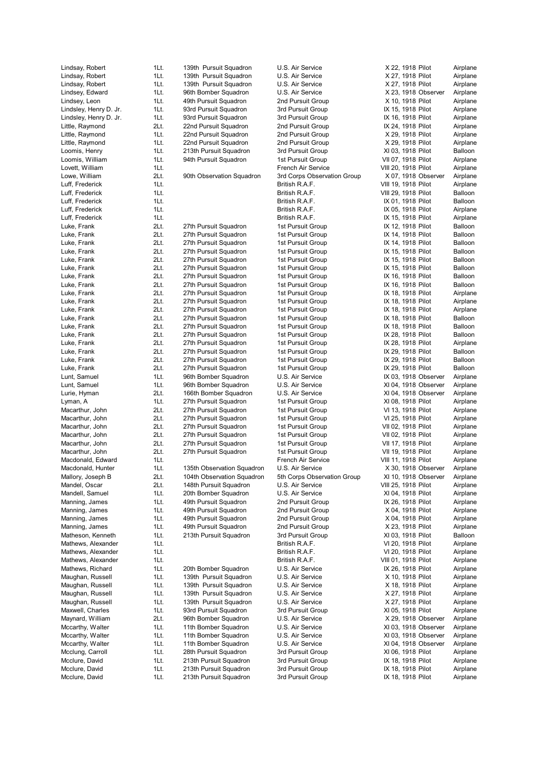| Lindsay, Robert                  | 1Lt.         | 139th Pursuit Squadron                           | U.S. Air Service                       | X 22, 1918 Pilot                       | Airplane             |
|----------------------------------|--------------|--------------------------------------------------|----------------------------------------|----------------------------------------|----------------------|
| Lindsay, Robert                  | 1Lt.         | 139th Pursuit Squadron                           | U.S. Air Service                       | X 27, 1918 Pilot                       | Airplane             |
| Lindsay, Robert                  | 1Lt.         | 139th Pursuit Squadron                           | U.S. Air Service                       | X 27, 1918 Pilot                       | Airplane             |
| Lindsey, Edward                  | 1Lt.         | 96th Bomber Squadron                             | U.S. Air Service                       | X 23, 1918 Observer                    | Airplane             |
|                                  |              |                                                  |                                        |                                        |                      |
| Lindsey, Leon                    | 1Lt.         | 49th Pursuit Squadron                            | 2nd Pursuit Group                      | X 10, 1918 Pilot                       | Airplane             |
| Lindsley, Henry D. Jr.           | 1Lt.         | 93rd Pursuit Squadron                            | 3rd Pursuit Group                      | IX 15, 1918 Pilot                      | Airplane             |
| Lindsley, Henry D. Jr.           | 1Lt.         | 93rd Pursuit Squadron                            | 3rd Pursuit Group                      | IX 16, 1918 Pilot                      | Airplane             |
| Little, Raymond                  | 2Lt.         | 22nd Pursuit Squadron                            | 2nd Pursuit Group                      | IX 24, 1918 Pilot                      | Airplane             |
| Little, Raymond                  | 1Lt.         | 22nd Pursuit Squadron                            | 2nd Pursuit Group                      | X 29, 1918 Pilot                       | Airplane             |
| Little, Raymond                  | 1Lt.         | 22nd Pursuit Squadron                            | 2nd Pursuit Group                      | X 29, 1918 Pilot                       | Airplane             |
| Loomis, Henry                    | 1Lt.         | 213th Pursuit Squadron                           | 3rd Pursuit Group                      | XI 03, 1918 Pilot                      | Balloon              |
| Loomis, William                  | 1Lt.         | 94th Pursuit Squadron                            | 1st Pursuit Group                      | VII 07, 1918 Pilot                     | Airplane             |
| Lovett, William                  | 1Lt.         |                                                  | French Air Service                     | VIII 20, 1918 Pilot                    | Airplane             |
| Lowe, William                    | 2Lt.         | 90th Observation Squadron                        | 3rd Corps Observation Group            | X 07, 1918 Observer                    | Airplane             |
|                                  |              |                                                  |                                        | VIII 19, 1918 Pilot                    |                      |
| Luff, Frederick                  | 1Lt.         |                                                  | British R.A.F.                         |                                        | Airplane             |
| Luff, Frederick                  | 1Lt.         |                                                  | British R.A.F.                         | VIII 29, 1918 Pilot                    | Balloon              |
| Luff, Frederick                  | 1Lt.         |                                                  | British R.A.F.                         | IX 01, 1918 Pilot                      | Balloon              |
| Luff, Frederick                  | 1Lt.         |                                                  | British R.A.F.                         | IX 05, 1918 Pilot                      | Airplane             |
| Luff, Frederick                  | 1Lt.         |                                                  | British R.A.F.                         | IX 15, 1918 Pilot                      | Airplane             |
| Luke, Frank                      | 2Lt.         | 27th Pursuit Squadron                            | 1st Pursuit Group                      | IX 12, 1918 Pilot                      | Balloon              |
| Luke, Frank                      | 2Lt.         | 27th Pursuit Squadron                            | 1st Pursuit Group                      | IX 14, 1918 Pilot                      | Balloon              |
| Luke, Frank                      | 2Lt.         | 27th Pursuit Squadron                            | 1st Pursuit Group                      | IX 14, 1918 Pilot                      | Balloon              |
| Luke, Frank                      | 2Lt.         | 27th Pursuit Squadron                            | 1st Pursuit Group                      | IX 15, 1918 Pilot                      | Balloon              |
| Luke, Frank                      | 2Lt.         | 27th Pursuit Squadron                            | 1st Pursuit Group                      | IX 15, 1918 Pilot                      | Balloon              |
|                                  |              |                                                  |                                        |                                        |                      |
| Luke, Frank                      | 2Lt.         | 27th Pursuit Squadron                            | 1st Pursuit Group                      | IX 15, 1918 Pilot                      | Balloon              |
| Luke, Frank                      | 2Lt.         | 27th Pursuit Squadron                            | 1st Pursuit Group                      | IX 16, 1918 Pilot                      | Balloon              |
| Luke, Frank                      | 2Lt.         | 27th Pursuit Squadron                            | 1st Pursuit Group                      | IX 16, 1918 Pilot                      | Balloon              |
| Luke, Frank                      | 2Lt.         | 27th Pursuit Squadron                            | 1st Pursuit Group                      | IX 18, 1918 Pilot                      | Airplane             |
| Luke, Frank                      | 2Lt.         | 27th Pursuit Squadron                            | 1st Pursuit Group                      | IX 18, 1918 Pilot                      | Airplane             |
| Luke, Frank                      | 2Lt.         | 27th Pursuit Squadron                            | 1st Pursuit Group                      | IX 18, 1918 Pilot                      | Airplane             |
| Luke, Frank                      | 2Lt.         | 27th Pursuit Squadron                            | 1st Pursuit Group                      | IX 18, 1918 Pilot                      | Balloon              |
| Luke, Frank                      | 2Lt.         | 27th Pursuit Squadron                            | 1st Pursuit Group                      | IX 18, 1918 Pilot                      | Balloon              |
| Luke, Frank                      | 2Lt.         | 27th Pursuit Squadron                            | 1st Pursuit Group                      | IX 28, 1918 Pilot                      | Balloon              |
|                                  | 2Lt.         |                                                  |                                        |                                        |                      |
| Luke, Frank                      |              | 27th Pursuit Squadron                            | 1st Pursuit Group                      | IX 28, 1918 Pilot                      | Airplane             |
| Luke, Frank                      | 2Lt.         | 27th Pursuit Squadron                            | 1st Pursuit Group                      | IX 29, 1918 Pilot                      | Balloon              |
| Luke, Frank                      | 2Lt.         | 27th Pursuit Squadron                            | 1st Pursuit Group                      | IX 29, 1918 Pilot                      | Balloon              |
| Luke, Frank                      | 2Lt.         | 27th Pursuit Squadron                            | 1st Pursuit Group                      | IX 29, 1918 Pilot                      | Balloon              |
| Lunt, Samuel                     | 1Lt.         | 96th Bomber Squadron                             | U.S. Air Service                       | IX 03, 1918 Observer                   | Airplane             |
| Lunt, Samuel                     | 1Lt.         | 96th Bomber Squadron                             | U.S. Air Service                       | XI 04, 1918 Observer                   | Airplane             |
| Lurie, Hyman                     | 2Lt.         | 166th Bomber Squadron                            | U.S. Air Service                       | XI 04, 1918 Observer                   | Airplane             |
| Lyman, A                         | 1Lt.         | 27th Pursuit Squadron                            | 1st Pursuit Group                      | XI 08, 1918 Pilot                      | Airplane             |
| Macarthur, John                  | 2Lt.         | 27th Pursuit Squadron                            | 1st Pursuit Group                      | VI 13, 1918 Pilot                      | Airplane             |
| Macarthur, John                  | 2Lt.         | 27th Pursuit Squadron                            | 1st Pursuit Group                      | VI 25, 1918 Pilot                      | Airplane             |
|                                  | 2Lt.         | 27th Pursuit Squadron                            |                                        |                                        |                      |
| Macarthur, John                  |              |                                                  | 1st Pursuit Group                      | VII 02, 1918 Pilot                     | Airplane             |
| Macarthur, John                  | 2Lt.         | 27th Pursuit Squadron                            | 1st Pursuit Group                      | VII 02, 1918 Pilot                     | Airplane             |
| Macarthur, John                  | 2Lt.         | 27th Pursuit Squadron                            | 1st Pursuit Group                      | VII 17, 1918 Pilot                     | Airplane             |
| Macarthur, John                  | 2Lt.         | 27th Pursuit Squadron                            | 1st Pursuit Group                      | VII 19, 1918 Pilot                     | Airplane             |
| Macdonald, Edward                | 1Lt.         |                                                  | French Air Service                     | VIII 11, 1918 Pilot                    | Airplane             |
| Macdonald, Hunter                | 1Lt.         | 135th Observation Squadron                       | U.S. Air Service                       | X 30, 1918 Observer                    | Airplane             |
| Mallory, Joseph B                | 2Lt.         | 104th Observation Squadron                       | 5th Corps Observation Group            | XI 10, 1918 Observer                   | Airplane             |
| Mandel, Oscar                    | 2Lt.         | 148th Pursuit Squadron                           | U.S. Air Service                       | VIII 25, 1918 Pilot                    | Airplane             |
| Mandell, Samuel                  | 1Lt.         | 20th Bomber Squadron                             | U.S. Air Service                       | XI 04, 1918 Pilot                      | Airplane             |
| Manning, James                   | 1Lt.         | 49th Pursuit Squadron                            | 2nd Pursuit Group                      | IX 26, 1918 Pilot                      | Airplane             |
| Manning, James                   | 1Lt.         | 49th Pursuit Squadron                            | 2nd Pursuit Group                      | X 04, 1918 Pilot                       | Airplane             |
|                                  |              |                                                  |                                        |                                        |                      |
| Manning, James                   | 1Lt.         | 49th Pursuit Squadron                            | 2nd Pursuit Group                      | X 04, 1918 Pilot                       | Airplane             |
| Manning, James                   | 1Lt.         | 49th Pursuit Squadron                            | 2nd Pursuit Group                      | X 23, 1918 Pilot                       | Airplane             |
| Matheson, Kenneth                | 1Lt.         | 213th Pursuit Squadron                           | 3rd Pursuit Group                      | XI 03, 1918 Pilot                      | Balloon              |
| Mathews, Alexander               | 1Lt.         |                                                  | British R.A.F.                         | VI 20, 1918 Pilot                      | Airplane             |
| Mathews, Alexander               | 1Lt.         |                                                  | British R.A.F.                         | VI 20, 1918 Pilot                      | Airplane             |
| Mathews, Alexander               | 1Lt.         |                                                  | British R.A.F.                         | VIII 01, 1918 Pilot                    | Airplane             |
| Mathews, Richard                 | 1Lt.         | 20th Bomber Squadron                             | U.S. Air Service                       | IX 26, 1918 Pilot                      | Airplane             |
| Maughan, Russell                 | 1Lt.         | 139th Pursuit Squadron                           | U.S. Air Service                       | X 10, 1918 Pilot                       | Airplane             |
| Maughan, Russell                 | 1Lt.         | 139th Pursuit Squadron                           | U.S. Air Service                       | X 18, 1918 Pilot                       | Airplane             |
| Maughan, Russell                 | 1Lt.         | 139th Pursuit Squadron                           | U.S. Air Service                       | X 27, 1918 Pilot                       | Airplane             |
| Maughan, Russell                 | 1Lt.         | 139th Pursuit Squadron                           | U.S. Air Service                       | X 27, 1918 Pilot                       | Airplane             |
|                                  |              |                                                  |                                        |                                        |                      |
| Maxwell, Charles                 | 1Lt.         | 93rd Pursuit Squadron                            | 3rd Pursuit Group                      | XI 05, 1918 Pilot                      | Airplane             |
| Maynard, William                 | 2Lt.         | 96th Bomber Squadron                             | U.S. Air Service                       | X 29, 1918 Observer                    | Airplane             |
| Mccarthy, Walter                 | 1Lt.         | 11th Bomber Squadron                             | U.S. Air Service                       | XI 03, 1918 Observer                   | Airplane             |
| Mccarthy, Walter                 | 1Lt.         | 11th Bomber Squadron                             | U.S. Air Service                       | XI 03, 1918 Observer                   | Airplane             |
| Mccarthy, Walter                 | 1Lt.         | 11th Bomber Squadron                             | U.S. Air Service                       | XI 04, 1918 Observer                   | Airplane             |
|                                  |              |                                                  |                                        |                                        |                      |
| Mcclung, Carroll                 | 1Lt.         | 28th Pursuit Squadron                            | 3rd Pursuit Group                      | XI 06, 1918 Pilot                      | Airplane             |
|                                  |              |                                                  |                                        |                                        |                      |
| Mcclure, David                   | 1Lt.         | 213th Pursuit Squadron                           | 3rd Pursuit Group                      | IX 18, 1918 Pilot                      | Airplane             |
| Mcclure, David<br>Mcclure, David | 1Lt.<br>1Lt. | 213th Pursuit Squadron<br>213th Pursuit Squadron | 3rd Pursuit Group<br>3rd Pursuit Group | IX 18, 1918 Pilot<br>IX 18, 1918 Pilot | Airplane<br>Airplane |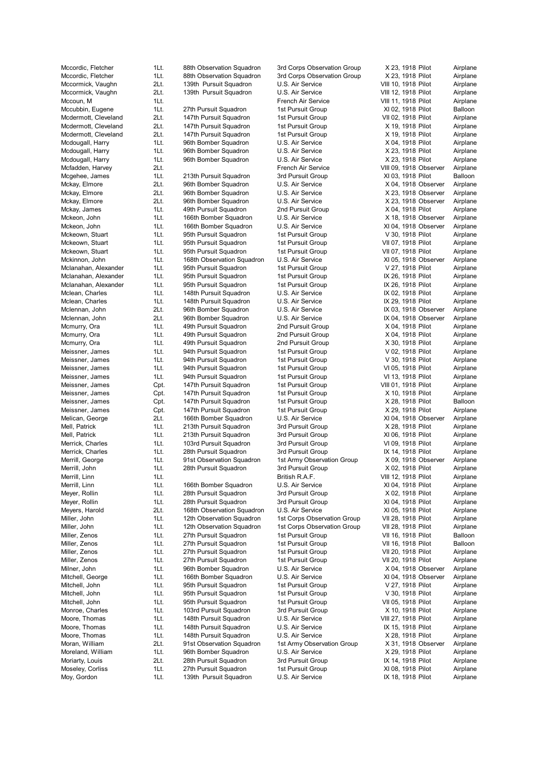Mccordic, Fletcher 1Lt. 88th Observation Squadron 3rd Corps Observation Group X 23, 1918 Pilot Airplane Mccordic, Fletcher 1Lt. 88th Observation Squadron 3rd Corps Observation Group X 23, 1918 Pilot Airplane Mccormick, Vaughn 2Lt. 139th Pursuit Squadron U.S. Air Service VIII 10, 1918 Pilot Airplane Mccormick, Vaughn 2Lt. 139th Pursuit Squadron U.S. Air Service VIII 12, 1918 Pilot Airplane Mccoun, M 1Lt. 1918 Pilot Airplane 11. The Mccoun, M 11, 1918 Pilot Airplane Mccubbin, Eugene 1Lt. 27th Pursuit Squadron 1st Pursuit Group XI 02, 1918 Pilot Balloon Mcdermott, Cleveland 2Lt. 147th Pursuit Squadron 1st Pursuit Group VII 02, 1918 Pilot Airplane Mcdermott, Cleveland 2Lt. 147th Pursuit Squadron 1st Pursuit Group X 19, 1918 Pilot Airplane Mcdermott, Cleveland 2Lt. 147th Pursuit Squadron 1st Pursuit Group X 19, 1918 Pilot Airplane Mcdougall, Harry **1Lt.** 96th Bomber Squadron U.S. Air Service X 04, 1918 Pilot Airplane<br>Mcdougall, Harry 1Lt. 96th Bomber Squadron U.S. Air Service X 23, 1918 Pilot Airplane Mcdougall, Harry **1Lt.** 96th Bomber Squadron U.S. Air Service X 23, 1918 Pilot Airplanes Mcdougall, Harry **1Lt.** 96th Bomber Squadron U.S. Air Service X 23, 1918 Pilot Airplane Mcfadden, Harvey 2Lt. French Air Service VIII 09, 1918 Observer Airplane Mcgehee, James 1Lt. 213th Pursuit Squadron 3rd Pursuit Group XI 03, 1918 Pilot Balloon Mckay, Elmore 2Lt. 96th Bomber Squadron U.S. Air Service X 04, 1918 Observer Airplane Mckay, Elmore 2Lt. 96th Bomber Squadron U.S. Air Service X 23, 1918 Observer Airplane Mckay, Elmore 2Lt. 96th Bomber Squadron U.S. Air Service X 23, 1918 Observer Airplane Mckay, James 1Lt. 49th Pursuit Squadron 2nd Pursuit Group X 04, 1918 Pilot Airplane Mckeon, John 1Lt. 166th Bomber Squadron U.S. Air Service X 18, 1918 Observer Airplane Mckeon, John 1992 11. 166th Bomber Squadron U.S. Air Service XI 04, 1918 Observer Airplane Mckeown, Stuart 1Lt. 95th Pursuit Squadron 1st Pursuit Group V 30, 1918 Pilot Airplane Mckeown, Stuart 1Lt. 95th Pursuit Squadron 1st Pursuit Group VII 07, 1918 Pilot Airplane Mckeown, Stuart 1Lt. 95th Pursuit Squadron 1st Pursuit Group VII 07, 1918 Pilot Airplane Mckinnon, John 1Lt. 168th Observation Squadron U.S. Air Service XI 05, 1918 Observer Airplane Mclanahan, Alexander 1Lt. 95th Pursuit Squadron 1st Pursuit Group V 27, 1918 Pilot Airplane Mclanahan, Alexander 1Lt. 95th Pursuit Squadron 1st Pursuit Group 1X 26, 1918 Pilot Airplane<br>195th Pursuit Squadron 1st Pursuit Group 1X 26, 1918 Pilot Airplane 1Lt. 95th Pursuit Squadron 1st Pursuit Group 15t Pursuit Group 1X 26, 1918 Pilot Airplane Mclean, Charles **1Lt.** 148th Pursuit Squadron U.S. Air Service IX 02, 1918 Pilot Airplane Mclean, Charles **1Lt.** 148th Pursuit Squadron U.S. Air Service **IX 29, 1918 Pilot** Airplane Mclennan, John 2Lt. 96th Bomber Squadron U.S. Air Service IX 03, 1918 Observer Airplane Mclennan, John 2Lt. 96th Bomber Squadron U.S. Air Service IX 04, 1918 Observer Airplane Mcmurry, Ora 1Lt. 49th Pursuit Squadron 2nd Pursuit Group X 04, 1918 Pilot Airplane Mcmurry, Ora 1Lt. 49th Pursuit Squadron 2nd Pursuit Group X 04, 1918 Pilot Airplane Mcmurry, Ora **1Lt.** 49th Pursuit Squadron 2nd Pursuit Group X 30, 1918 Pilot Airplane Meissner, James 1Lt. 94th Pursuit Squadron 1st Pursuit Group V 02, 1918 Pilot Airplane Meissner, James 1Lt. 94th Pursuit Squadron 1st Pursuit Group V 30, 1918 Pilot Airplane Meissner, James 1Lt. 94th Pursuit Squadron 1st Pursuit Group VI 05, 1918 Pilot Airplane Meissner, James 1Lt. 94th Pursuit Squadron 1st Pursuit Group VI 13, 1918 Pilot Airplane Meissner, James Cpt. 147th Pursuit Squadron 1st Pursuit Group VIII 01, 1918 Pilot Airplane Meissner, James Cpt. 147th Pursuit Squadron 1st Pursuit Group X 10, 1918 Pilot Airplane Meissner, James Cpt. 147th Pursuit Squadron 1st Pursuit Group X 28, 1918 Pilot Balloon Meissner, James Cpt. 147th Pursuit Squadron 1st Pursuit Group X 29, 1918 Pilot Airplane Melican, George 2Lt. 166th Bomber Squadron U.S. Air Service XI 04, 1918 Observer Airplane Mell, Patrick **1Lt.** 213th Pursuit Squadron 3rd Pursuit Group X 28, 1918 Pilot Airplane Mell. Patrick 1Lt. 213th Pursuit Squadron 3rd Pursuit Group XI 06, 1918 Pilot Airplane Merrick, Charles **1Lt.** 103rd Pursuit Squadron 3rd Pursuit Group VI 09, 1918 Pilot Airplane Merrick, Charles **1Lt.** 28th Pursuit Squadron 3rd Pursuit Group IX 14, 1918 Pilot Airplane Merrill, George 1Lt. 91st Observation Squadron 1st Army Observation Group X 09, 1918 Observer Airplane Merrill, John 1Lt. 28th Pursuit Squadron 3rd Pursuit Group X 02, 1918 Pilot Airplane Merrill, Linn 1Lt. 1Lt. 1. 1Lt. British R.A.F. 1. VIII 12, 1918 Pilot Airplane Merrill, Linn **18. Inneber 1.1. 166th Bomber Squadron** U.S. Air Service XI 04, 1918 Pilot Airplane Meyer, Rollin 1Lt. 28th Pursuit Squadron 3rd Pursuit Group X 02, 1918 Pilot Airplane Meyer, Rollin **1Lt.** 28th Pursuit Squadron 3rd Pursuit Group XI 04, 1918 Pilot Airplane Meyers, Harold 2Lt. 168th Observation Squadron U.S. Air Service XI 05, 1918 Pilot Airplane Miller, John 1Lt. 12th Observation Squadron 1st Corps Observation Group VII 28, 1918 Pilot Airplane Miller, John 1Lt. 12th Observation Squadron 1st Corps Observation Group VII 28, 1918 Pilot Airplane Miller, Zenos 1Lt. 27th Pursuit Squadron 1st Pursuit Group VII 16, 1918 Pilot Balloon Miller, Zenos 1Lt. 27th Pursuit Squadron 1st Pursuit Group VII 16, 1918 Pilot Balloon Miller, Zenos 1Lt. 27th Pursuit Squadron 1st Pursuit Group VII 20, 1918 Pilot Airplane Miller, Zenos 1Lt. 27th Pursuit Squadron 1st Pursuit Group VII 20, 1918 Pilot Airplane Milner, John 1Lt. 96th Bomber Squadron U.S. Air Service X 04, 1918 Observer Airplane Mitchell, George **1Lt.** 166th Bomber Squadron U.S. Air Service XI 04, 1918 Observer Airplane Mitchell, John 1Lt. 95th Pursuit Squadron 1st Pursuit Group V 27, 1918 Pilot Airplane Mitchell, John 1Lt. 95th Pursuit Squadron 1st Pursuit Group V 30, 1918 Pilot Airplane Mitchell, John 1Lt. 95th Pursuit Squadron 1st Pursuit Group VII 05, 1918 Pilot Airplane Monroe, Charles **1Lt.** 103rd Pursuit Squadron 3rd Pursuit Group X 10, 1918 Pilot Airplane Moore, Thomas **1Lt.** 148th Pursuit Squadron U.S. Air Service VIII 27, 1918 Pilot Airplane Moore, Thomas **1Lt.** 148th Pursuit Squadron U.S. Air Service **IX 15, 1918 Pilot** Airplane Moore, Thomas 1Lt. 148th Pursuit Squadron U.S. Air Service X 28, 1918 Pilot Airplane Moran, William 2Lt. 91st Observation Squadron 1st Army Observation Group X 31, 1918 Observer Airplane Moreland, William 1Lt. 96th Bomber Squadron U.S. Air Service X 29, 1918 Pilot Airplane Moriarty, Louis **2Lt.** 28th Pursuit Squadron 3rd Pursuit Group IX 14, 1918 Pilot Airplane Moseley, Corliss **1Lt.** 27th Pursuit Squadron 1st Pursuit Group XI 08, 1918 Pilot Airplane

Moy, Gordon 1Lt. 139th Pursuit Squadron U.S. Air Service 1X 18, 1918 Pilot Airplane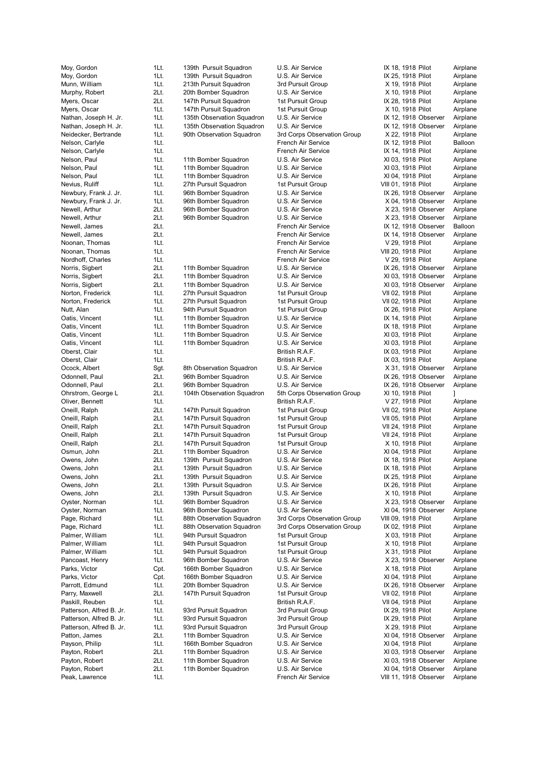Peak, Lawrence **11.** 101 11, 1918 Observer Airplane

Moy, Gordon **1Lt.** 139th Pursuit Squadron U.S. Air Service **IX 18, 1918 Pilot** Airplane Moy, Gordon 1Lt. 139th Pursuit Squadron U.S. Air Service IX 25, 1918 Pilot Airplane Munn, William 1Lt. 213th Pursuit Squadron 3rd Pursuit Group X 19, 1918 Pilot Airplane Murphy, Robert 2Lt. 20th Bomber Squadron U.S. Air Service X 10, 1918 Pilot Airplane Myers, Oscar 2Lt. 147th Pursuit Squadron 1st Pursuit Group IX 28, 1918 Pilot Airplane Myers, Oscar **1Lt.** 147th Pursuit Squadron 1st Pursuit Group X 10, 1918 Pilot Airplane Nathan, Joseph H. Jr. 1Lt. 135th Observation Squadron U.S. Air Service IX 12, 1918 Observer Airplane Nathan, Joseph H. Jr. 1Lt. 135th Observation Squadron U.S. Air Service IX 12, 1918 Observer Airplane Neidecker, Bertrande 11. 90th Observation Squadron 3rd Corps Observation Group X 22, 1918 Pilot Airplane Nelson, Carlyle 1Lt. 1Lt. 1Lt. French Air Service 1Lt 12, 1918 Pilot Balloon<br>1Lt. 1918 Pilot Airplane 1Lt. 1Lt. French Air Service 1Lt 14, 1918 Pilot Airplane 1Lt. **Next and Service 1Lt. IX 14, 1918 Pilot** Airplane Nelson, Paul 11. 11th Bomber Squadron U.S. Air Service XI 03, 1918 Pilot Airplane Nelson. Paul 1Lt. 11th Bomber Squadron U.S. Air Service XI 03, 1918 Pilot Airplane Nelson, Paul 11. 11th Bomber Squadron U.S. Air Service XI 04, 1918 Pilot Airplane Nevius, Ruliff **1Lt.** 27th Pursuit Squadron 1st Pursuit Group VIII 01, 1918 Pilot Airplane Newbury, Frank J. Jr. 1Lt. 96th Bomber Squadron U.S. Air Service IX 26, 1918 Observer Airplane<br>Newbury, Frank J. Jr. 1Lt. 96th Bomber Squadron U.S. Air Service X 04, 1918 Observer Airplane 1Lt. 96th Bomber Squadron U.S. Air Service X 04, 1918 Observer Airplane Newell, Arthur **2Lt.** 96th Bomber Squadron U.S. Air Service X 23, 1918 Observer Airplane Newell, Arthur 2Lt. 96th Bomber Squadron U.S. Air Service X 23, 1918 Observer Airplane Newell, James 2Lt. French Air Service IX 12, 1918 Observer Balloon Newell, James 2Lt. French Air Service IX 14, 1918 Observer Airplane Noonan, Thomas **11.** 11. The Communication Chemical Air Service Chemical Case V 29, 1918 Pilot Airplane Noonan, Thomas 1Lt. 1. The 11 Service Connect Airplane Connect Airplane Connect Airplane Nordhoff, Charles 1Lt. French Air Service V 29, 1918 Pilot Airplane Norris, Sigbert 2Lt. 11th Bomber Squadron U.S. Air Service IX 26, 1918 Observer Airplane Norris, Sigbert 2Lt. 11th Bomber Squadron U.S. Air Service XI 03, 1918 Observer Airplane Norris, Sigbert 2Lt. 11th Bomber Squadron U.S. Air Service XV 03, 1918 Observer Airplane Norton, Frederick 1Lt. 27th Pursuit Squadron 1st Pursuit Group VII 02, 1918 Pilot Airplane Norton, Frederick 1Lt. 27th Pursuit Squadron 1st Pursuit Group VII 02, 1918 Pilot Airplane Nutt, Alan 1Lt. 94th Pursuit Squadron 1st Pursuit Group IX 26, 1918 Pilot Airplane Oatis, Vincent 1Lt. 11th Bomber Squadron U.S. Air Service IX 14, 1918 Pilot Airplane Oatis, Vincent 11t. 11th Bomber Squadron U.S. Air Service 1998 12 18, 1918 Pilot Airplane<br>11th 11th Bomber Squadron U.S. Air Service 1998 XI 03, 1918 Pilot Airplane Oatis, Vincent 1Lt. 11th Bomber Squadron U.S. Air Service XI 03, 1918 Pilot Airplane Oatis, Vincent 1Lt. 11th Bomber Squadron U.S. Air Service XI 03, 1918 Pilot Airplane Oberst, Clair **1Lt.** 1Lt. **1Lt. 1Lt.** British R.A.F. IX 03, 1918 Pilot Airplane Oberst, Clair **1Lt.** 1. 1. 1. British R.A.F. 1. 1X 03, 1918 Pilot Airplane Ocock, Albert Sgt. 8th Observation Squadron U.S. Air Service X 31, 1918 Observer Airplane Odonnell, Paul 2Lt. 96th Bomber Squadron U.S. Air Service 12 (X 26, 1918 Observer Airplane<br>12 Odonnell, Paul 2Lt. 96th Bomber Squadron U.S. Air Service 1X 26, 1918 Observer Airplane Odonnell, Paul 2Lt. 96th Bomber Squadron U.S. Air Service IX 26, 1918 Observer Ohrstrom, George L 2Lt. 104th Observation Squadron 5th Corps Observation Group XI 10, 1918 Pilot Oliver, Bennett 1Lt. British R.A.F. V 27, 1918 Pilot Airplane Oneill, Ralph 2Lt. 147th Pursuit Squadron 1st Pursuit Group VII 02, 1918 Pilot Airplane Oneill, Ralph 2Lt. 147th Pursuit Squadron 1st Pursuit Group VII 05, 1918 Pilot Airplane Oneill, Ralph 2Lt. 147th Pursuit Squadron 1st Pursuit Group VII 24, 1918 Pilot Airplane Oneill, Ralph 2Lt. 147th Pursuit Squadron 1st Pursuit Group VII 24, 1918 Pilot Airplane Oneill, Ralph 2Lt. 147th Pursuit Squadron 1st Pursuit Group X 10, 1918 Pilot Airplane Osmun, John 2Lt. 11th Bomber Squadron U.S. Air Service XI 04, 1918 Pilot Airplane<br>Owens, John 2Lt. 139th Pursuit Squadron U.S. Air Service X18, 1918 Pilot Airplane Owens, John 2Lt. 139th Pursuit Squadron U.S. Air Service IX 18, 1918 Pilot Airplane Owens, John 2Lt. 139th Pursuit Squadron U.S. Air Service IX 18, 1918 Pilot Airplane Owens, John 2Lt. 139th Pursuit Squadron U.S. Air Service IX 25, 1918 Pilot Airplane Owens, John 2Lt. 139th Pursuit Squadron U.S. Air Service IX 26, 1918 Pilot Airplane Owens, John 2Lt. 139th Pursuit Squadron U.S. Air Service X 10, 1918 Pilot Airplane Oyster, Norman 1Lt. 96th Bomber Squadron U.S. Air Service X 23, 1918 Observer Airplane Oyster, Norman 1Lt. 96th Bomber Squadron U.S. Air Service XI 04, 1918 Observer Airplane Page, Richard 1Lt. 88th Observation Squadron 3rd Corps Observation Group VIII 09, 1918 Pilot Airplane Page, Richard **1Lt.** 88th Observation Squadron 3rd Corps Observation Group IX 02, 1918 Pilot Airplane Palmer, William 1Lt. 94th Pursuit Squadron 1st Pursuit Group X 03, 1918 Pilot Airplane Palmer, William 1Lt. 94th Pursuit Squadron 1st Pursuit Group X 10, 1918 Pilot Airplane<br>11 Palmer, William 1Lt. 94th Pursuit Squadron 1st Pursuit Group X 31, 1918 Pilot Airplane Palmer, William 1Lt. 94th Pursuit Squadron 1st Pursuit Group X 31, 1918 Pilot Airplane Pancoast, Henry 1Lt. 96th Bomber Squadron U.S. Air Service X 23, 1918 Observer Airplane Parks, Victor **Cpt.** 166th Bomber Squadron U.S. Air Service X 18, 1918 Pilot Airplane Parks, Victor **Charland Carlos Comment Charland Comment Comment Comment Comment Comment Comment Comment Comment** Parrott, Edmund 1Lt. 20th Bomber Squadron U.S. Air Service 1X 26, 1918 Observer Airplane<br>147th Puradron 19th Supervice 11, 1976 Pursuit Squadron 1st Pursuit Group 19th 2. 1918 Pilot Airplane Parry, Maxwell 2Lt. 147th Pursuit Squadron 1st Pursuit Group VII 02, 1918 Pilot Airplane Paskill, Reuben 1Lt. 11. 1. 1. 1. British R.A.F. VII 04, 1918 Pilot Airplane Patterson, Alfred B. Jr. 1Lt. 93rd Pursuit Squadron 3rd Pursuit Group IX 29, 1918 Pilot Airplane Patterson, Alfred B. Jr. 1Lt. 93rd Pursuit Squadron 3rd Pursuit Group IX 29, 1918 Pilot Airplane Patterson, Alfred B. Jr. 11. 1Lt. 93rd Pursuit Squadron 3rd Pursuit Group X 29, 1918 Pilot Airplane Patton, James 2Lt. 11th Bomber Squadron U.S. Air Service XI 04, 1918 Observer Airplane Payson, Philip 1Lt. 166th Bomber Squadron U.S. Air Service XI 04, 1918 Pilot Airplane Payton, Robert 2Lt. 11th Bomber Squadron U.S. Air Service XI 03, 1918 Observer Airplane

Payton, Robert 2Lt. 11th Bomber Squadron U.S. Air Service XI 03, 1918 Observer Airplane Payton, Robert 2Lt. 11th Bomber Squadron U.S. Air Service XI 04, 1918 Observer Airplane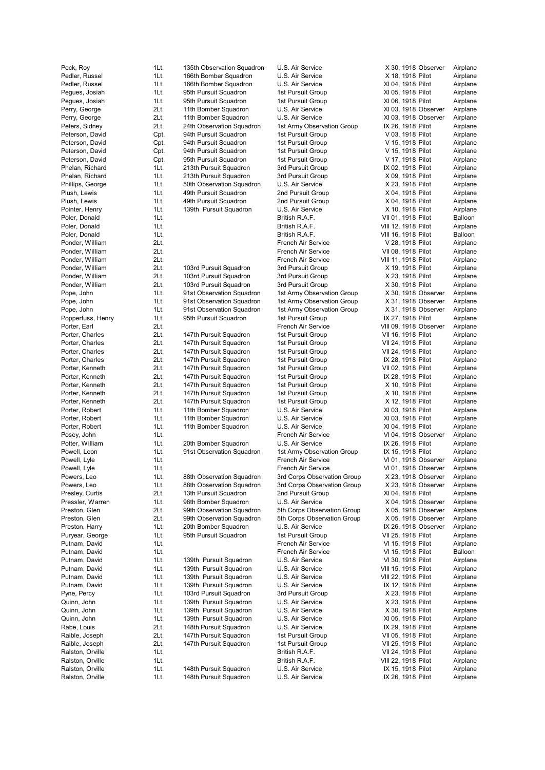Peck, Roy 1Lt. 135th Observation Squadron U.S. Air Service X 30, 1918 Observer Airplane Pedler, Russel **1Lt.** 166th Bomber Squadron U.S. Air Service X 18, 1918 Pilot Airplane Pedler, Russel **1Lt.** 166th Bomber Squadron U.S. Air Service XI 04, 1918 Pilot Airplane Pegues, Josiah 1Lt. 95th Pursuit Squadron 1st Pursuit Group XI 05, 1918 Pilot Airplane Pegues, Josiah 1Lt. 95th Pursuit Squadron 1st Pursuit Group XI 06, 1918 Pilot Airplane Perry, George 2Lt. 11th Bomber Squadron U.S. Air Service XI 03, 1918 Observer Airplane Perry, George 2Lt. 11th Bomber Squadron U.S. Air Service XI 03, 1918 Observer Airplane Peters, Sidney 2Lt. 24th Observation Squadron 1st Army Observation Group IX 26, 1918 Pilot Airplane Peterson, David Cpt. 94th Pursuit Squadron 1st Pursuit Group V 03, 1918 Pilot Airplane Peterson, David Cpt. 94th Pursuit Squadron 1st Pursuit Group V 15, 1918 Pilot Airplane<br>Peterson, David Cpt. 94th Pursuit Squadron 1st Pursuit Group V 15, 1918 Pilot Airplane Peterson, David Cpt. 94th Pursuit Squadron 1st Pursuit Group V 15, 1918 Pilot Airplane Peterson, David Cpt. 95th Pursuit Squadron 1st Pursuit Group V 17, 1918 Pilot Airplane Phelan, Richard 1Lt. 213th Pursuit Squadron 3rd Pursuit Group IX 02, 1918 Pilot Airplane Phelan, Richard 1Lt. 213th Pursuit Squadron 3rd Pursuit Group X 09, 1918 Pilot Airplane Phillips, George 1Lt. 50th Observation Squadron U.S. Air Service X 23, 1918 Pilot Airplane Plush, Lewis 11.1 auth Pursuit Squadron 2nd Pursuit Group 19th Airplane 2nd Pursuit Group 19th Airplane<br>11 Agency 11 Auth 20th Pursuit Squadron 2nd Pursuit Group 19th X 04, 1918 Pilot Airplane Plush, Lewis 1Lt. 49th Pursuit Squadron 2nd Pursuit Group X 04, 1918 Pilot Airplane Pointer, Henry 1Lt. 139th Pursuit Squadron U.S. Air Service X 10, 1918 Pilot Airplane<br>Poler, Donald 1Lt. 129th Pursuit Squadron British R.A.F. VII 01, 1918 Pilot Balloon Poler, Donald 1Lt. British R.A.F. VII 01, 1918 Pilot Balloon Poler, Donald **1Lt.** 1Lt. 1. 1. 1. British R.A.F. 1. 1918 Pilot Airplane Poler, Donald 1Lt. British R.A.F. VIII 16, 1918 Pilot Balloon Ponder, William 2Lt. French Air Service V 28, 1918 Pilot Airplane Ponder, William 2Lt. 2015. The 2Lt. French Air Service VII 08, 1918 Pilot Airplane Ponder, William 2Lt. French Air Service VIII 11, 1918 Pilot Airplane Ponder, William 2Lt. 103rd Pursuit Squadron 3rd Pursuit Group X 19, 1918 Pilot Airplane Ponder, William 2Lt. 103rd Pursuit Squadron 3rd Pursuit Group X 23, 1918 Pilot Airplane Ponder, William 2Lt. 103rd Pursuit Squadron 3rd Pursuit Group X 30, 1918 Pilot Airplane Pope, John 1Lt. 91st Observation Squadron 1st Army Observation Group X 30, 1918 Observer Airplane Pope, John 1Lt. 91st Observation Squadron 1st Army Observation Group X 31, 1918 Observer Airplane Pope, John 1Lt. 91st Observation Squadron 1st Army Observation Group X 31, 1918 Observer Airplane Popperfuss, Henry 1Lt. 95th Pursuit Squadron 1st Pursuit Group IX 27, 1918 Pilot Airplane Porter, Earl 2Lt. French Air Service VIII 09, 1918 Observer Airplane Porter, Charles 2Lt. 147th Pursuit Squadron 1st Pursuit Group VII 16, 1918 Pilot Airplane Porter, Charles 2Lt. 147th Pursuit Squadron 1st Pursuit Group VII 24, 1918 Pilot Airplane Porter, Charles 2Lt. 147th Pursuit Squadron 1st Pursuit Group VII 24, 1918 Pilot Airplane Porter, Charles 2Lt. 147th Pursuit Squadron 1st Pursuit Group IX 28, 1918 Pilot Airplane Porter, Kenneth 2Lt. 147th Pursuit Squadron 1st Pursuit Group VII 02, 1918 Pilot Airplane Porter, Kenneth 2Lt. 147th Pursuit Squadron 1st Pursuit Group IX 28, 1918 Pilot Airplane Porter, Kenneth 2Lt. 147th Pursuit Squadron 1st Pursuit Group X 10, 1918 Pilot Airplane Porter, Kenneth 2Lt. 147th Pursuit Squadron 1st Pursuit Group X 10, 1918 Pilot Airplane Porter, Kenneth 2Lt. 147th Pursuit Squadron 1st Pursuit Group X 12, 1918 Pilot Airplane Porter, Robert 11t. 11th Bomber Squadron U.S. Air Service XI 03, 1918 Pilot Airplane Porter, Robert 11t. 11th Bomber Squadron U.S. Air Service XI 03, 1918 Pilot Airplane Porter, Robert **1Lt.** 11th Bomber Squadron U.S. Air Service XI 04, 1918 Pilot Airplane Posey, John 1Lt. French Air Service VI 04, 1918 Observer Airplane Potter, William 1Lt. 20th Bomber Squadron U.S. Air Service IX 26, 1918 Pilot Airplane Powell, Leon 1Lt. 91st Observation Squadron 1st Army Observation Group IX 15, 1918 Pilot Airplane Powell, Lyle 1Lt. 1.1. The 1.1 French Air Service 1.1.1918 Observer Airplane Powell, Lyle 1Lt. 1.1. The 1.1 Company of the Company of Trench Air Service 1997 VI 01, 1918 Observer Airplane Powers, Leo 1Lt. 88th Observation Squadron 3rd Corps Observation Group X 23, 1918 Observer Airplane Powers, Leo 1Lt. 88th Observation Squadron 3rd Corps Observation Group X 23, 1918 Observer Airplane Presley, Curtis 2Lt. 13th Pursuit Squadron 2nd Pursuit Group XI 04, 1918 Pilot Airplane Pressler, Warren 1Lt. 96th Bomber Squadron U.S. Air Service X 04, 1918 Observer Airplane Preston, Glen 2Lt. 99th Observation Squadron 5th Corps Observation Group X 05, 1918 Observer Airplane<br>Preston, Glen 2Lt. 99th Observation Squadron 5th Corps Observation Group X 05, 1918 Observer Airplane Preston, Glen 2Lt. 99th Observation Squadron 5th Corps Observation Group X 05, 1918 Observer Airplane Preston, Harry **1Lt.** 20th Bomber Squadron U.S. Air Service **IX 26, 1918 Observer** Airplane Puryear, George 1Lt. 95th Pursuit Squadron 1st Pursuit Group VII 25, 1918 Pilot Airplane Putnam, David **1Lt.** 11.1. The Communication of French Air Service 1997 VI 15, 1918 Pilot Airplane Putnam, David **1Lt.** 11. 11. 12. French Air Service 1996 VI 15, 1918 Pilot Balloon Putnam, David 1Lt. 139th Pursuit Squadron U.S. Air Service VI 30, 1918 Pilot Airplane Putnam, David **1Lt.** 139th Pursuit Squadron U.S. Air Service VIII 15, 1918 Pilot Airplane Putnam, David **1Lt.** 139th Pursuit Squadron U.S. Air Service VIII 22, 1918 Pilot Airplane Putnam, David 1Lt. 139th Pursuit Squadron U.S. Air Service IX 12, 1918 Pilot Airplane 1Lt. 103rd Pursuit Squadron 3rd Pursuit Group 1 X 23, 1918 Pilot Airplane Quinn, John 11t. 139th Pursuit Squadron U.S. Air Service X 23, 1918 Pilot Airplane Quinn, John 1Lt. 139th Pursuit Squadron U.S. Air Service X 30, 1918 Pilot Airplane Quinn, John 1Lt. 139th Pursuit Squadron U.S. Air Service XI 05, 1918 Pilot Airplane Rabe, Louis **2Lt.** 148th Pursuit Squadron U.S. Air Service **IX 29, 1918 Pilot** Airplane Raible, Joseph 2Lt. 147th Pursuit Squadron 1st Pursuit Group VII 05, 1918 Pilot Airplane Raible, Joseph 2Lt. 147th Pursuit Squadron 1st Pursuit Group VII 25, 1918 Pilot Airplane Ralston, Orville **1Lt.** 1Lt. **1Lt.** British R.A.F. VII 24, 1918 Pilot Airplane Ralston, Orville 1Lt. British R.A.F. VIII 22, 1918 Pilot Airplane Ralston, Orville **1Lt.** 148th Pursuit Squadron U.S. Air Service **IX 15, 1918 Pilot** Airplane

Ralston, Orville **1Lt.** 148th Pursuit Squadron U.S. Air Service IX 26, 1918 Pilot Airplane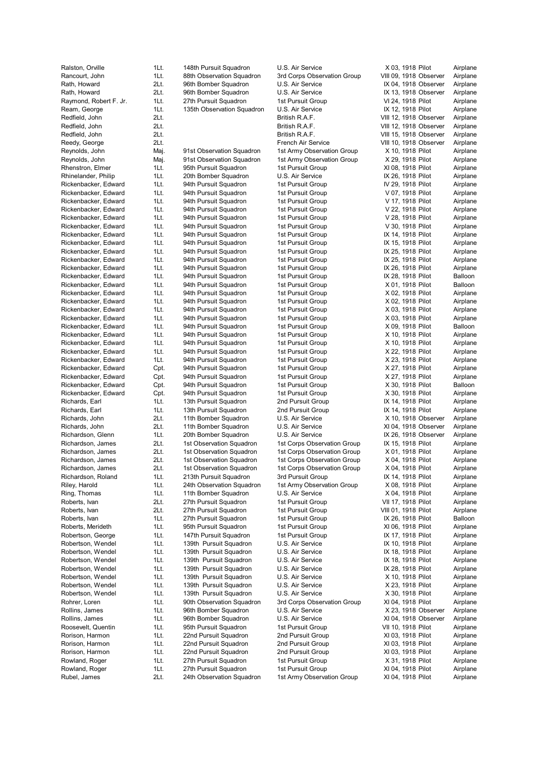| Ralston, Orville       | 1Lt. | 148th Pursuit Squadron     | U.S. Air Service            | X 03, 1918 Pilot       | Airplane |
|------------------------|------|----------------------------|-----------------------------|------------------------|----------|
| Rancourt, John         | 1Lt. | 88th Observation Squadron  | 3rd Corps Observation Group | VIII 09, 1918 Observer | Airplane |
| Rath, Howard           | 2Lt. | 96th Bomber Squadron       | U.S. Air Service            | IX 04, 1918 Observer   | Airplane |
| Rath, Howard           | 2Lt. | 96th Bomber Squadron       | U.S. Air Service            | IX 13, 1918 Observer   | Airplane |
| Raymond, Robert F. Jr. | 1Lt. | 27th Pursuit Squadron      | 1st Pursuit Group           | VI 24, 1918 Pilot      | Airplane |
| Ream, George           | 1Lt. | 135th Observation Squadron | U.S. Air Service            | IX 12, 1918 Pilot      | Airplane |
| Redfield, John         | 2Lt. |                            | British R.A.F.              | VIII 12, 1918 Observer | Airplane |
| Redfield, John         | 2Lt. |                            | British R.A.F.              | VIII 12, 1918 Observer | Airplane |
| Redfield, John         | 2Lt. |                            | British R.A.F.              | VIII 15, 1918 Observer | Airplane |
| Reedy, George          | 2Lt. |                            | French Air Service          | VIII 10, 1918 Observer | Airplane |
| Reynolds, John         | Maj. | 91st Observation Squadron  | 1st Army Observation Group  | X 10, 1918 Pilot       | Airplane |
| Reynolds, John         | Maj. | 91st Observation Squadron  | 1st Army Observation Group  | X 29, 1918 Pilot       | Airplane |
| Rhenstron, Elmer       | 1Lt. | 95th Pursuit Squadron      | 1st Pursuit Group           | XI 08, 1918 Pilot      | Airplane |
| Rhinelander, Philip    |      |                            |                             |                        | Airplane |
|                        | 1Lt. | 20th Bomber Squadron       | U.S. Air Service            | IX 26, 1918 Pilot      |          |
| Rickenbacker, Edward   | 1Lt. | 94th Pursuit Squadron      | 1st Pursuit Group           | IV 29, 1918 Pilot      | Airplane |
| Rickenbacker, Edward   | 1Lt. | 94th Pursuit Squadron      | 1st Pursuit Group           | V 07, 1918 Pilot       | Airplane |
| Rickenbacker, Edward   | 1Lt. | 94th Pursuit Squadron      | 1st Pursuit Group           | V 17, 1918 Pilot       | Airplane |
| Rickenbacker, Edward   | 1Lt. | 94th Pursuit Squadron      | 1st Pursuit Group           | V 22, 1918 Pilot       | Airplane |
| Rickenbacker, Edward   | 1Lt. | 94th Pursuit Squadron      | 1st Pursuit Group           | V 28, 1918 Pilot       | Airplane |
| Rickenbacker, Edward   | 1Lt. | 94th Pursuit Squadron      | 1st Pursuit Group           | V 30, 1918 Pilot       | Airplane |
| Rickenbacker, Edward   | 1Lt. | 94th Pursuit Squadron      | 1st Pursuit Group           | IX 14, 1918 Pilot      | Airplane |
| Rickenbacker, Edward   | 1Lt. | 94th Pursuit Squadron      | 1st Pursuit Group           | IX 15, 1918 Pilot      | Airplane |
| Rickenbacker, Edward   | 1Lt. | 94th Pursuit Squadron      | 1st Pursuit Group           | IX 25, 1918 Pilot      | Airplane |
| Rickenbacker, Edward   | 1Lt. | 94th Pursuit Squadron      | 1st Pursuit Group           | IX 25, 1918 Pilot      | Airplane |
| Rickenbacker, Edward   | 1Lt. | 94th Pursuit Squadron      | 1st Pursuit Group           | IX 26, 1918 Pilot      | Airplane |
| Rickenbacker, Edward   | 1Lt. | 94th Pursuit Squadron      | 1st Pursuit Group           | IX 28, 1918 Pilot      | Balloon  |
|                        |      |                            |                             |                        |          |
| Rickenbacker, Edward   | 1Lt. | 94th Pursuit Squadron      | 1st Pursuit Group           | X 01, 1918 Pilot       | Balloon  |
| Rickenbacker, Edward   | 1Lt. | 94th Pursuit Squadron      | 1st Pursuit Group           | X 02, 1918 Pilot       | Airplane |
| Rickenbacker, Edward   | 1Lt. | 94th Pursuit Squadron      | 1st Pursuit Group           | X 02, 1918 Pilot       | Airplane |
| Rickenbacker, Edward   | 1Lt. | 94th Pursuit Squadron      | 1st Pursuit Group           | X 03, 1918 Pilot       | Airplane |
| Rickenbacker, Edward   | 1Lt. | 94th Pursuit Squadron      | 1st Pursuit Group           | X 03, 1918 Pilot       | Airplane |
| Rickenbacker, Edward   | 1Lt. | 94th Pursuit Squadron      | 1st Pursuit Group           | X 09, 1918 Pilot       | Balloon  |
| Rickenbacker, Edward   | 1Lt. | 94th Pursuit Squadron      | 1st Pursuit Group           | X 10, 1918 Pilot       | Airplane |
| Rickenbacker, Edward   | 1Lt. | 94th Pursuit Squadron      | 1st Pursuit Group           | X 10, 1918 Pilot       | Airplane |
| Rickenbacker, Edward   | 1Lt. | 94th Pursuit Squadron      | 1st Pursuit Group           | X 22, 1918 Pilot       | Airplane |
| Rickenbacker, Edward   | 1Lt. | 94th Pursuit Squadron      | 1st Pursuit Group           | X 23, 1918 Pilot       | Airplane |
| Rickenbacker, Edward   | Cpt. | 94th Pursuit Squadron      | 1st Pursuit Group           | X 27, 1918 Pilot       | Airplane |
|                        |      |                            |                             |                        |          |
| Rickenbacker, Edward   | Cpt. | 94th Pursuit Squadron      | 1st Pursuit Group           | X 27, 1918 Pilot       | Airplane |
| Rickenbacker, Edward   | Cpt. | 94th Pursuit Squadron      | 1st Pursuit Group           | X 30, 1918 Pilot       | Balloon  |
| Rickenbacker, Edward   | Cpt. | 94th Pursuit Squadron      | 1st Pursuit Group           | X 30, 1918 Pilot       | Airplane |
| Richards, Earl         | 1Lt. | 13th Pursuit Squadron      | 2nd Pursuit Group           | IX 14, 1918 Pilot      | Airplane |
| Richards, Earl         | 1Lt. | 13th Pursuit Squadron      | 2nd Pursuit Group           | IX 14, 1918 Pilot      | Airplane |
| Richards, John         | 2Lt. | 11th Bomber Squadron       | U.S. Air Service            | X 10, 1918 Observer    | Airplane |
| Richards, John         | 2Lt. | 11th Bomber Squadron       | U.S. Air Service            | XI 04, 1918 Observer   | Airplane |
| Richardson, Glenn      | 1Lt. | 20th Bomber Squadron       | U.S. Air Service            | IX 26, 1918 Observer   | Airplane |
| Richardson, James      | 2Lt. | 1st Observation Squadron   | 1st Corps Observation Group | IX 15, 1918 Pilot      | Airplane |
| Richardson, James      | 2Lt. | 1st Observation Squadron   | 1st Corps Observation Group | X 01, 1918 Pilot       | Airplane |
| Richardson, James      | 2Lt. | 1st Observation Squadron   | 1st Corps Observation Group | X 04, 1918 Pilot       | Airplane |
| Richardson, James      | 2Lt. | 1st Observation Squadron   | 1st Corps Observation Group | X 04, 1918 Pilot       | Airplane |
|                        | 1Lt. |                            | 3rd Pursuit Group           | IX 14, 1918 Pilot      |          |
| Richardson, Roland     |      | 213th Pursuit Squadron     |                             |                        | Airplane |
| Riley, Harold          | 1Lt. | 24th Observation Squadron  | 1st Army Observation Group  | X 08, 1918 Pilot       | Airplane |
| Ring, Thomas           | 1Lt. | 11th Bomber Squadron       | U.S. Air Service            | X 04, 1918 Pilot       | Airplane |
| Roberts, Ivan          | 2Lt. | 27th Pursuit Squadron      | 1st Pursuit Group           | VII 17, 1918 Pilot     | Airplane |
| Roberts, Ivan          | 2Lt. | 27th Pursuit Squadron      | 1st Pursuit Group           | VIII 01, 1918 Pilot    | Airplane |
| Roberts, Ivan          | 1Lt. | 27th Pursuit Squadron      | 1st Pursuit Group           | IX 26, 1918 Pilot      | Balloon  |
| Roberts, Merideth      | 1Lt. | 95th Pursuit Squadron      | 1st Pursuit Group           | XI 06, 1918 Pilot      | Airplane |
| Robertson, George      | 1Lt. | 147th Pursuit Squadron     | 1st Pursuit Group           | IX 17, 1918 Pilot      | Airplane |
| Robertson, Wendel      | 1Lt. | 139th Pursuit Squadron     | U.S. Air Service            | IX 10, 1918 Pilot      | Airplane |
| Robertson, Wendel      | 1Lt. | 139th Pursuit Squadron     | U.S. Air Service            | IX 18, 1918 Pilot      | Airplane |
| Robertson, Wendel      | 1Lt. | 139th Pursuit Squadron     | U.S. Air Service            | IX 18, 1918 Pilot      | Airplane |
| Robertson, Wendel      | 1Lt. | 139th Pursuit Squadron     | U.S. Air Service            | IX 28, 1918 Pilot      | Airplane |
|                        |      |                            |                             |                        |          |
| Robertson, Wendel      | 1Lt. | 139th Pursuit Squadron     | U.S. Air Service            | X 10, 1918 Pilot       | Airplane |
| Robertson, Wendel      | 1Lt. | 139th Pursuit Squadron     | U.S. Air Service            | X 23, 1918 Pilot       | Airplane |
| Robertson, Wendel      | 1Lt. | 139th Pursuit Squadron     | U.S. Air Service            | X 30, 1918 Pilot       | Airplane |
| Rohrer, Loren          | 1Lt. | 90th Observation Squadron  | 3rd Corps Observation Group | XI 04, 1918 Pilot      | Airplane |
| Rollins, James         | 1Lt. | 96th Bomber Squadron       | U.S. Air Service            | X 23, 1918 Observer    | Airplane |
| Rollins, James         | 1Lt. | 96th Bomber Squadron       | U.S. Air Service            | XI 04, 1918 Observer   | Airplane |
| Roosevelt, Quentin     | 1Lt. | 95th Pursuit Squadron      | 1st Pursuit Group           | VII 10, 1918 Pilot     | Airplane |
| Rorison, Harmon        | 1Lt. | 22nd Pursuit Squadron      | 2nd Pursuit Group           | XI 03, 1918 Pilot      | Airplane |
| Rorison, Harmon        | 1Lt. | 22nd Pursuit Squadron      | 2nd Pursuit Group           | XI 03, 1918 Pilot      | Airplane |
| Rorison, Harmon        | 1Lt. | 22nd Pursuit Squadron      | 2nd Pursuit Group           | XI 03, 1918 Pilot      | Airplane |
| Rowland, Roger         | 1Lt. | 27th Pursuit Squadron      | 1st Pursuit Group           | X 31, 1918 Pilot       | Airplane |
|                        |      | 27th Pursuit Squadron      | 1st Pursuit Group           |                        | Airplane |
| Rowland, Roger         | 1Lt. |                            |                             | XI 04, 1918 Pilot      |          |
| Rubel, James           | 2Lt. | 24th Observation Squadron  | 1st Army Observation Group  | XI 04, 1918 Pilot      | Airplane |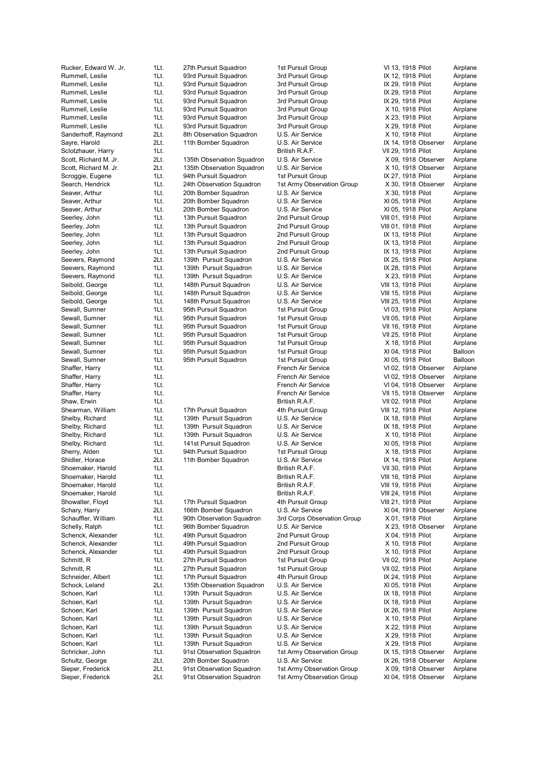Rummell, Leslie **1Lt.** 93rd Pursuit Squadron 3rd Pursuit Group IX 12, 1918 Pilot Airplane Rummell, Leslie 1Lt. 93rd Pursuit Squadron 3rd Pursuit Group IX 29, 1918 Pilot Airplane Rummell, Leslie 1Lt. 93rd Pursuit Squadron 3rd Pursuit Group IX 29, 1918 Pilot Airplane Rummell, Leslie 1Lt. 93rd Pursuit Squadron 3rd Pursuit Group 1X 29, 1918 Pilot Airplane Rummell, Leslie **1Lt.** 93rd Pursuit Squadron 3rd Pursuit Group X 10, 1918 Pilot Airplane Rummell, Leslie 11t. 93rd Pursuit Squadron 3rd Pursuit Group X 23, 1918 Pilot Airplane Rummell, Leslie 11t. 93rd Pursuit Squadron 3rd Pursuit Group X 29, 1918 Pilot Airplane Sanderhoff, Raymond 2Lt. 8th Observation Squadron U.S. Air Service X 10, 1918 Pilot Airplane Sayre, Harold **2Lt.** 11th Bomber Squadron U.S. Air Service **IX 14, 1918 Observer** Airplane Sclotzhauer, Harry 1Lt. British R.A.F. VII 29, 1918 Pilot Airplane Scott, Richard M. Jr. 2Lt. 135th Observation Squadron U.S. Air Service X 09, 1918 Observer Airplane Scott, Richard M. Jr. 2Lt. 135th Observation Squadron U.S. Air Service X 10, 1918 Observer Airnlane Scroggie, Eugene 1Lt. 94th Pursuit Squadron 1st Pursuit Group 18 27, 1918 Pilot Airplane Search, Hendrick 1Lt. 24th Observation Squadron 1st Army Observation Group X 30, 1918 Observer Airplane Seaver, Arthur 1Lt. 20th Bomber Squadron U.S. Air Service X 30, 1918 Pilot Airplane Seaver, Arthur **1Lt.** 20th Bomber Squadron U.S. Air Service XI 05, 1918 Pilot Airplane Seaver, Arthur **1Lt.** 20th Bomber Squadron U.S. Air Service XI 05, 1918 Pilot Airplane Seerley, John 1Lt. 13th Pursuit Squadron 2nd Pursuit Group VIII 01, 1918 Pilot Airplane Seerley, John 1Lt. 13th Pursuit Squadron 2nd Pursuit Group VIII 01, 1918 Pilot Airplane Seerley, John 1Lt. 13th Pursuit Squadron 2nd Pursuit Group IX 13, 1918 Pilot Airplane Seerley, John 1Lt. 13th Pursuit Squadron 2nd Pursuit Group IX 13, 1918 Pilot Airplane Seerley, John 1Lt. 13th Pursuit Squadron 2nd Pursuit Group IX 13, 1918 Pilot Airplane Seevers, Raymond 2Lt. 139th Pursuit Squadron U.S. Air Service IX 25, 1918 Pilot Airplane Seevers, Raymond 1Lt. 139th Pursuit Squadron U.S. Air Service IX 28, 1918 Pilot Airplane Seevers, Raymond 1Lt. 139th Pursuit Squadron U.S. Air Service X 23, 1918 Pilot Airplane Seibold, George **1Lt.** 148th Pursuit Squadron U.S. Air Service VIII 13, 1918 Pilot Airplane Seibold, George **1Lt.** 148th Pursuit Squadron U.S. Air Service VIII 15, 1918 Pilot Airplane Seibold, George **1Lt.** 148th Pursuit Squadron U.S. Air Service VIII 25, 1918 Pilot Airplane Sewall, Sumner 1Lt. 95th Pursuit Squadron 1st Pursuit Group VI 03, 1918 Pilot Airplane Sewall, Sumner 1Lt. 95th Pursuit Squadron 1st Pursuit Group VII 05, 1918 Pilot Airplane Sewall, Sumner 1Lt. 95th Pursuit Squadron 1st Pursuit Group VII 16, 1918 Pilot Airplane Sewall, Sumner 1Lt. 95th Pursuit Squadron 1st Pursuit Group VII 25, 1918 Pilot Airplane Sewall, Sumner and 1Lt. 95th Pursuit Squadron 1st Pursuit Group 7 at 8, 1918 Pilot Airplane Sewall, Sumner 1Lt. 95th Pursuit Squadron 1st Pursuit Group XI 04, 1918 Pilot Balloon Sewall, Sumner 1Lt. 95th Pursuit Squadron 1st Pursuit Group XI 05, 1918 Pilot Balloon Shaffer, Harry 1Lt. French Air Service VI 02, 1918 Observer Airplane Shaffer, Harry **1Lt.** 1Lt. 1. 1. The Service 1. French Air Service 1. 1918 Observer Airplane Shaffer, Harry **1Lt.** 1Lt. The Shaffer Air Service CHO 1918 Observer Airplane Shaffer, Harry **1Lt.** 1Lt. The Shaffer Air Service VII 15, 1918 Observer Airplane Shaw, Erwin 1Lt. British R.A.F. VII 02, 1918 Pilot Airplane Shearman, William 1Lt. 17th Pursuit Squadron 4th Pursuit Group VIII 12, 1918 Pilot Airplane Shelby, Richard 1Lt. 139th Pursuit Squadron U.S. Air Service IX 18, 1918 Pilot Airplane Shelby, Richard 1Lt. 139th Pursuit Squadron U.S. Air Service IX 18, 1918 Pilot Airplane Shelby, Richard 1Lt. 139th Pursuit Squadron U.S. Air Service X 10, 1918 Pilot Airplane Shelby, Richard 1Lt. 141st Pursuit Squadron U.S. Air Service XI 05, 1918 Pilot Airplane Sherry, Alden 1Lt. 94th Pursuit Squadron 1st Pursuit Group X 18, 1918 Pilot Airplane Shidler, Horace 2Lt. 11th Bomber Squadron U.S. Air Service IX 14, 1918 Pilot Airplane Shoemaker, Harold 1Lt. British R.A.F. VII 30, 1918 Pilot Airplane Shoemaker, Harold 1Lt. British R.A.F. VIII 16, 1918 Pilot Airplane Shoemaker, Harold 1Lt. British R.A.F. VIII 19, 1918 Pilot Airplane Shoemaker, Harold 1Lt. British R.A.F. VIII 24, 1918 Pilot Airplane Showalter, Floyd 1Lt. 17th Pursuit Squadron 4th Pursuit Group VIII 21, 1918 Pilot Airplane Schary, Harry 2Lt. 166th Bomber Squadron U.S. Air Service XI 04, 1918 Observer Airplane Schauffler, William 1Lt. 90th Observation Squadron 3rd Corps Observation Group X 01, 1918 Pilot Airplane Schelly, Ralph 1Lt. 96th Bomber Squadron U.S. Air Service X 23, 1918 Observer Airplane Schenck, Alexander 1Lt. 49th Pursuit Squadron 2nd Pursuit Group X 04, 1918 Pilot Airplane Schenck, Alexander 1Lt. 49th Pursuit Squadron 2nd Pursuit Group X 10, 1918 Pilot Airplane<br>11 Schenck, Alexander 1Lt. 49th Pursuit Squadron 2nd Pursuit Group X 10, 1918 Pilot Airplane Schenck, Alexander 1Lt. 49th Pursuit Squadron 2nd Pursuit Group X 10, 1918 Pilot Airplane Schmitt, R 1Lt. 27th Pursuit Squadron 1st Pursuit Group VII 02, 1918 Pilot Airplane Schmitt, R 1Lt. 27th Pursuit Squadron 1st Pursuit Group VII 02, 1918 Pilot Airplane Schneider, Albert 1Lt. 17th Pursuit Squadron 4th Pursuit Group IX 24, 1918 Pilot Airplane Schock, Leland 2Lt. 135th Observation Squadron U.S. Air Service XI 05, 1918 Pilot Airplane<br>11 139th Pursuit Squadron U.S. Air Service XI 18, 1918 Pilot Airplane Schoen, Karl **11. 139th Pursuit Squadron** U.S. Air Service **IX 18, 1918 Pilot** Airplane Schoen, Karl **11. 139th Pursuit Squadron** U.S. Air Service **IX 18, 1918 Pilot** Airplane Schoen, Karl **11**t. 139th Pursuit Squadron U.S. Air Service IX 26, 1918 Pilot Airplane Schoen, Karl **11**Lt. 139th Pursuit Squadron U.S. Air Service X 10, 1918 Pilot Airplane Schoen, Karl 1990 1. 139th Pursuit Squadron U.S. Air Service 1998 22, 1918 Pilot Airplane Schoen, Karl 199th Pursuit Squadron U.S. Air Service 1995 X 29, 1918 Pilot Airplane Schoen, Karl **11**Lt. 139th Pursuit Squadron U.S. Air Service X 29, 1918 Pilot Airplane Schricker, John 1Lt. 91st Observation Squadron 1st Army Observation Group IX 15, 1918 Observer Airplane<br>Schultz, George 2Lt. 20th Bomber Squadron U.S. Air Service IX 26, 1918 Observer Airplane 2Lt. 20th Bomber Squadron U.S. Air Service IX 26, 1918 Observer Airplane Sieper, Frederick 2Lt. 91st Observation Squadron 1st Army Observation Group X 09, 1918 Observer Airplane

Rucker, Edward W. Jr. 1Lt. 27th Pursuit Squadron 1st Pursuit Group VI 13, 1918 Pilot Airplane Sieper, Frederick 2Lt. 91st Observation Squadron 1st Army Observation Group XI 04, 1918 Observer Airplane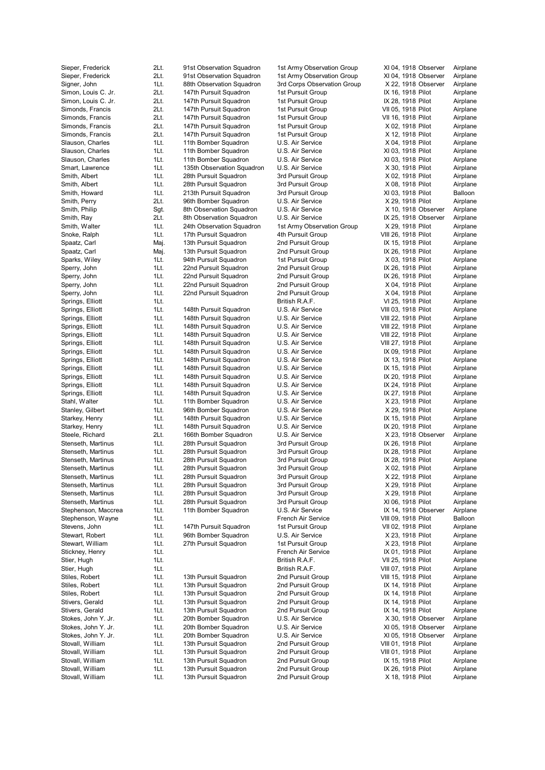Stovall, William 1Lt. 13th Pursuit Squadron 2nd Pursuit Group X 18, 1918 Pilot Airplane

Sieper, Frederick 2Lt. 91st Observation Squadron 1st Army Observation Group XI 04, 1918 Observer Airplane Sieper, Frederick 2Lt. 91st Observation Squadron 1st Army Observation Group XI 04, 1918 Observer Airplane Signer, John 1Lt. 88th Observation Squadron 3rd Corps Observation Group X 22, 1918 Observer Airplane Simon, Louis C. Jr. 2Lt. 147th Pursuit Squadron 1st Pursuit Group IX 16, 1918 Pilot Airplane Simon, Louis C. Jr. 2Lt. 147th Pursuit Squadron 1st Pursuit Group 15t Pursuit Group IX 28, 1918 Pilot Airplane Simonds, Francis 2Lt. 147th Pursuit Squadron 1st Pursuit Group VII 05, 1918 Pilot Airplane Simonds, Francis **2Lt.** 147th Pursuit Squadron 1st Pursuit Group VII 16, 1918 Pilot Airplane Simonds, Francis 2Lt. 147th Pursuit Squadron 1st Pursuit Group X 02, 1918 Pilot Airplane Simonds, Francis 2Lt. 147th Pursuit Squadron 1st Pursuit Group X 12, 1918 Pilot Airplane Slauson, Charles **1Lt.** 11th Bomber Squadron U.S. Air Service **X 04, 1918 Pilot** Airplane Slauson, Charles 1Lt. 11th Bomber Squadron U.S. Air Service XI 03, 1918 Pilot Airplane Slauson, Charles 1Lt. 11th Bomber Squadron U.S. Air Service XI 03, 1918 Pilot Airplane Smart, Lawrence **1Lt.** 135th Observation Squadron U.S. Air Service X 30, 1918 Pilot Airplane Smith, Albert 1Lt. 28th Pursuit Squadron 3rd Pursuit Group X 02, 1918 Pilot Airplane Smith, Albert 1Lt. 28th Pursuit Squadron 3rd Pursuit Group X 08, 1918 Pilot Airplane Smith, Howard 1Lt. 213th Pursuit Squadron 3rd Pursuit Group XI 03, 1918 Pilot Balloon<br>1915 Smith, Perry 2Lt. 96th Bomber Squadron U.S. Air Service X 29. 1918 Pilot Airolane Smith, Perry 2Lt. 96th Bomber Squadron U.S. Air Service X 29, 1918 Pilot Airplane Smith, Philip Sgt. 8th Observation Squadron U.S. Air Service Same X 10, 1918 Observer Airplane<br>Smith, Ray Same 2Lt. 8th Observation Squadron U.S. Air Service States IX 25, 1918 Observer Airplane Smith, Ray 2Lt. 8th Observation Squadron U.S. Air Service IX 25, 1918 Observer Airplane Smith, Walter 1Lt. 24th Observation Squadron 1st Army Observation Group X 29, 1918 Pilot Airplane Snoke, Ralph 1Lt. 17th Pursuit Squadron 4th Pursuit Group VIII 26, 1918 Pilot Airplane Spaatz, Carl **Maj.** 13th Pursuit Squadron 2nd Pursuit Group IX 15, 1918 Pilot Airplane Spaatz, Carl **Maj.** 13th Pursuit Squadron 2nd Pursuit Group IX 26, 1918 Pilot Airplane Sparks, Wiley **1Lt.** 94th Pursuit Squadron 1st Pursuit Group X 03, 1918 Pilot Airplane Sperry, John 1Lt. 22nd Pursuit Squadron 2nd Pursuit Group IX 26, 1918 Pilot Airplane Sperry, John 1Lt. 22nd Pursuit Squadron 2nd Pursuit Group IX 26, 1918 Pilot Airplane Sperry, John 1Lt. 22nd Pursuit Squadron 2nd Pursuit Group X 04, 1918 Pilot Airplane Sperry, John 1Lt. 22nd Pursuit Squadron 2nd Pursuit Group X 04, 1918 Pilot Airplane Springs, Elliott **1Lt.** 1Lt. **1Lt.** British R.A.F. VI 25, 1918 Pilot Airplane Springs, Elliott **1Lt.** 148th Pursuit Squadron U.S. Air Service VIII 03, 1918 Pilot Airplane Springs, Elliott **11. 148th Pursuit Squadron** U.S. Air Service VIII 22, 1918 Pilot Airplane Springs, Elliott **11.** 148th Pursuit Squadron U.S. Air Service VIII 22, 1918 Pilot Airplane Springs, Elliott **11.** 148th Pursuit Squadron U.S. Air Service VIII 22, 1918 Pilot Airplane Springs, Elliott **11.** 148th Pursuit Squadron U.S. Air Service VIII 27, 1918 Pilot Airplane Springs, Elliott **11.** 148th Pursuit Squadron U.S. Air Service **IX 09, 1918 Pilot** Airplane Springs, Elliott **18th.** 148th Pursuit Squadron U.S. Air Service **IX 13, 1918 Pilot** Airplane Springs, Elliott **11.** 148th Pursuit Squadron U.S. Air Service **IX 15, 1918 Pilot** Airplane Springs, Elliott **11.** 148th Pursuit Squadron U.S. Air Service **IX 20, 1918 Pilot** Airplane Springs, Elliott **1Lt.** 148th Pursuit Squadron U.S. Air Service **IX 24, 1918 Pilot** Airplane Springs, Elliott 11Lt. 148th Pursuit Squadron U.S. Air Service 11 IX 27, 1918 Pilot Airplane<br>
Stahl, Walter 11t. 11th Bomber Squadron U.S. Air Service 11 X 23, 1918 Pilot Airplane Stahl, Walter 11th 11th Bomber Squadron U.S. Air Service 6 1918 Pilot X 23, 1918 Pilot Stanley, Gilbert 1Lt. 96th Bomber Squadron U.S. Air Service X 29, 1918 Pilot Airplane Starkey, Henry **1Lt.** 148th Pursuit Squadron U.S. Air Service **IX 15, 1918 Pilot** Airplane Starkey, Henry **1Lt.** 148th Pursuit Squadron U.S. Air Service **IX 20, 1918 Pilot** Airplane Steele, Richard 2Lt. 166th Bomber Squadron U.S. Air Service X 23, 1918 Observer Airplane Stenseth, Martinus 1Lt. 28th Pursuit Squadron 3rd Pursuit Group IX 26, 1918 Pilot Airplane Stenseth, Martinus 1Lt. 28th Pursuit Squadron 3rd Pursuit Group IX 28, 1918 Pilot Airplane Stenseth, Martinus 1Lt. 28th Pursuit Squadron 3rd Pursuit Group IX 28, 1918 Pilot Airplane Stenseth, Martinus 1Lt. 28th Pursuit Squadron 3rd Pursuit Group X 02, 1918 Pilot Airplane Stenseth, Martinus 1Lt. 28th Pursuit Squadron 3rd Pursuit Group X 22, 1918 Pilot Airplane Stenseth, Martinus 1Lt. 28th Pursuit Squadron 3rd Pursuit Group X 29, 1918 Pilot Airplane Stenseth, Martinus 1Lt. 28th Pursuit Squadron 3rd Pursuit Group X 29, 1918 Pilot Airplane Stenseth, Martinus 1Lt. 28th Pursuit Squadron 3rd Pursuit Group XI 06, 1918 Pilot Airplane Stephenson, Maccrea 1Lt. 11th Bomber Squadron U.S. Air Service IX 14, 1918 Observer Airplane Stephenson, Wayne 1Lt. 1. The 1.1 Stephenson, Wayne 1.1 Service 1.1 Air Service 2.1 Million, 1918 Pilot Balloon Stevens, John 1Lt. 147th Pursuit Squadron 1st Pursuit Group VII 02, 1918 Pilot Airplane Stewart, Robert 1Lt. 96th Bomber Squadron U.S. Air Service X 23, 1918 Pilot Airplane Stewart, William 1Lt. 27th Pursuit Squadron 1st Pursuit Group X 23, 1918 Pilot Airplane Stickney, Henry 1Lt. 11. 1. 1. The Service IX 01, 1918 Pilot Airplane Stier, Hugh 1Lt. 1. The Stier, British R.A.F. 1998 Pilot Airplane Airplane (Stier, 1918 Pilot Airplane Airplane Stier, Hugh 1Lt. 1. 1. 1. 1. British R.A.F. 1. 1918 Pilot Airplane Stiles, Robert 1Lt. 13th Pursuit Squadron 2nd Pursuit Group VIII 15, 1918 Pilot Airplane Stiles, Robert **1Lt.** 13th Pursuit Squadron 2nd Pursuit Group IX 14, 1918 Pilot Airplane Stiles, Robert **1Lt.** 13th Pursuit Squadron 2nd Pursuit Group IX 14, 1918 Pilot Airplane Stivers, Gerald **1Lt.** 13th Pursuit Squadron 2nd Pursuit Group IX 14, 1918 Pilot Airplane Stivers, Gerald **1Lt.** 13th Pursuit Squadron 2nd Pursuit Group IX 14, 1918 Pilot Airplane Stokes, John Y. Jr. 1Lt. 20th Bomber Squadron U.S. Air Service X 30, 1918 Observer Airplane Stokes, John Y. Jr. 1Lt. 20th Bomber Squadron U.S. Air Service XI 05, 1918 Observer Airplane Stokes, John Y. Jr. 1Lt. 20th Bomber Squadron U.S. Air Service XI 05, 1918 Observer Airplane Stovall, William 1Lt. 13th Pursuit Squadron 2nd Pursuit Group VIII 01, 1918 Pilot Airplane Stovall, William 1Lt. 13th Pursuit Squadron 2nd Pursuit Group VIII 01, 1918 Pilot Airplane Stovall, William 1Lt. 13th Pursuit Squadron 2nd Pursuit Group IX 15, 1918 Pilot Airplane

Stovall, William 1Lt. 13th Pursuit Squadron 2nd Pursuit Group IX 26, 1918 Pilot Airplane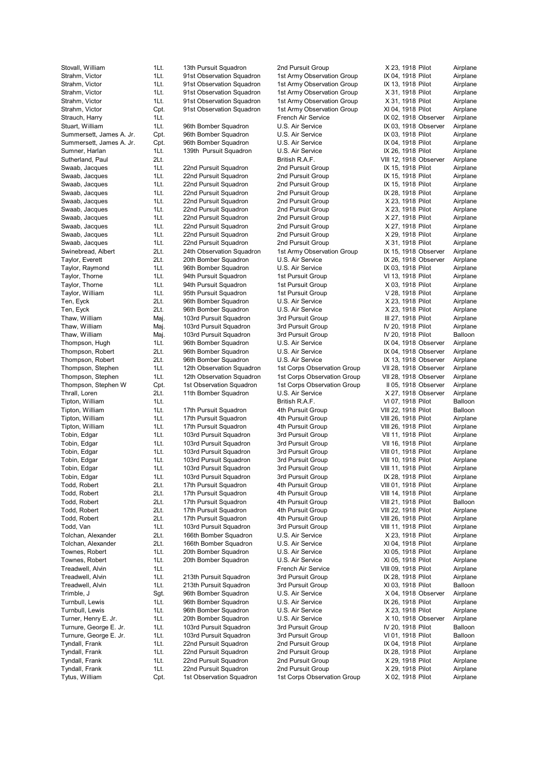Tytus, William Cpt. 1st Observation Squadron 1st Corps Observation Group X 02, 1918 Pilot Airplane

Stovall, William 1Lt. 13th Pursuit Squadron 2nd Pursuit Group X 23, 1918 Pilot Airplane Strahm, Victor **1Lt.** 91st Observation Squadron 1st Army Observation Group IX 04, 1918 Pilot Airplane Strahm, Victor **1Lt.** 91st Observation Squadron 1st Army Observation Group IX 13, 1918 Pilot Airplane Strahm, Victor **1Lt.** 91st Observation Squadron 1st Army Observation Group X 31, 1918 Pilot Airplane Strahm, Victor **1Lt.** 91st Observation Squadron 1st Army Observation Group X 31, 1918 Pilot Airplane Strahm, Victor Cpt. 91st Observation Squadron 1st Army Observation Group XI 04, 1918 Pilot Airplane Strauch, Harry **1Lt.** 11. 11. 12. French Air Service **IX 02, 1918 Observer** Airplane Stuart, William 1Lt. 96th Bomber Squadron U.S. Air Service IX 03, 1918 Observer Airplane Summersett, James A. Jr. Cpt. 96th Bomber Squadron U.S. Air Service IX 03, 1918 Pilot Airplane Summersett, James A. Jr. Cpt. 96th Bomber Squadron U.S. Air Service IX 04, 1918 Pilot Airplane<br>Sumner, Harlan 11 11 139th Pursuit Squadron U.S. Air Service IX 26, 1918 Pilot Airplane Sumner, Harlan **11**t. 139th Pursuit Squadron U.S. Air Service IX 26, 1918 Pilot Airplane Sutherland, Paul 2Lt. British R.A.F. VIII 12, 1918 Observer Airplane Swaab, Jacques 1Lt. 22nd Pursuit Squadron 2nd Pursuit Group IX 15, 1918 Pilot Airplane Swaab, Jacques 1Lt. 22nd Pursuit Squadron 2nd Pursuit Group IX 15, 1918 Pilot Airplane Swaab, Jacques 1Lt. 22nd Pursuit Squadron 2nd Pursuit Group IX 15, 1918 Pilot Airplane Swaab, Jacques 1Lt. 22nd Pursuit Squadron 2nd Pursuit Group IX 28, 1918 Pilot Airplane Swaab, Jacques 1Lt. 22nd Pursuit Squadron 2nd Pursuit Group X 23, 1918 Pilot Airplane Swaab, Jacques 1Lt. 22nd Pursuit Squadron 2nd Pursuit Group X 23, 1918 Pilot Airplane Swaab, Jacques 1Lt. 22nd Pursuit Squadron 2nd Pursuit Group X 27, 1918 Pilot Airplane Swaab, Jacques 1Lt. 22nd Pursuit Squadron 2nd Pursuit Group X 27, 1918 Pilot Airplane Swaab, Jacques 1Lt. 22nd Pursuit Squadron 2nd Pursuit Group X 29, 1918 Pilot Airplane Swaab, Jacques 1Lt. 22nd Pursuit Squadron 2nd Pursuit Group X 31, 1918 Pilot Airplane Swinebread, Albert 2Lt. 24th Observation Squadron 1st Army Observation Group IX 15, 1918 Observer Airplane Taylor, Everett **2Lt.** 20th Bomber Squadron U.S. Air Service **IX 26, 1918 Observer** Airplane Taylor, Raymond 1Lt. 96th Bomber Squadron U.S. Air Service IX 03, 1918 Pilot Airplane Taylor, Thorne 1Lt. 94th Pursuit Squadron 1st Pursuit Group VI 13, 1918 Pilot Airplane 1Lt. 94th Pursuit Squadron 1st Pursuit Group X 03, 1918 Pilot Airplane Taylor, William 1Lt. 95th Pursuit Squadron 1st Pursuit Group V 28, 1918 Pilot Airplane Ten, Eyck 2Lt. 96th Bomber Squadron U.S. Air Service X 23, 1918 Pilot Airplane Ten, Eyck 2Lt. 96th Bomber Squadron U.S. Air Service X 23, 1918 Pilot Airplane Thaw, William Maj. 103rd Pursuit Squadron 3rd Pursuit Group III 27, 1918 Pilot Airplane Thaw, William Maj. 103rd Pursuit Squadron 3rd Pursuit Group IV 20, 1918 Pilot Airplane Thaw, William Maj. 103rd Pursuit Squadron 3rd Pursuit Group IV 20, 1918 Pilot Balloon Thompson, Hugh 1Lt. 96th Bomber Squadron U.S. Air Service IX 04, 1918 Observer Airplane Thompson, Robert 2Lt. 96th Bomber Squadron U.S. Air Service IX 04, 1918 Observer Airplane Thompson, Robert 2Lt. 96th Bomber Squadron U.S. Air Service IX 13, 1918 Observer Airplane Thompson, Stephen 1Lt. 12th Observation Squadron 1st Corps Observation Group VII 28, 1918 Observer Airplane Thompson, Stephen 1Lt. 12th Observation Squadron 1st Corps Observation Group VII 28, 1918 Observer Airplane Thompson, Stephen W Cpt. 1st Observation Squadron 1st Corps Observation Group II 05, 1918 Observer Airplane Thrall, Loren 2Lt. 11th Bomber Squadron U.S. Air Service X 27, 1918 Observer Airplane Tipton, William 1Lt. British R.A.F. VI 07, 1918 Pilot Balloon Tipton, William 1Lt. 17th Pursuit Squadron 4th Pursuit Group VIII 22, 1918 Pilot Balloon Tipton, William 1Lt. 17th Pursuit Squadron 4th Pursuit Group VIII 26, 1918 Pilot Airplane Tipton, William 1Lt. 17th Pursuit Squadron 4th Pursuit Group VIII 26, 1918 Pilot Airplane Tobin, Edgar **1Lt.** 103rd Pursuit Squadron 3rd Pursuit Group VII 11, 1918 Pilot Airplane Tobin, Edgar **1Lt.** 103rd Pursuit Squadron 3rd Pursuit Group VII 16, 1918 Pilot Airplane Tobin, Edgar **1Lt.** 103rd Pursuit Squadron 3rd Pursuit Group VIII 01, 1918 Pilot Airplane Tobin, Edgar 11 and 1937 103rd Pursuit Squadron 19th Pursuit Group 19th 10, 1918 Pilot Airplane Tobin, Edgar **1Lt.** 103rd Pursuit Squadron 3rd Pursuit Group VIII 11, 1918 Pilot Airplane Tobin, Edgar **1Lt.** 103rd Pursuit Squadron 3rd Pursuit Group IX 28, 1918 Pilot Airplane Todd, Robert 2Lt. 17th Pursuit Squadron 4th Pursuit Group VIII 01, 1918 Pilot Airplane Todd, Robert 2Lt. 17th Pursuit Squadron 4th Pursuit Group VIII 14, 1918 Pilot Airplane Todd, Robert **2Lt.** 17th Pursuit Squadron 4th Pursuit Group VIII 21, 1918 Pilot Balloon Todd, Robert 2Lt. 17th Pursuit Squadron 4th Pursuit Group VIII 22, 1918 Pilot Airplane Todd, Robert 2Lt. 17th Pursuit Squadron 4th Pursuit Group VIII 26, 1918 Pilot Airplane Todd, Van 1888 11. 103rd Pursuit Squadron 3rd Pursuit Group VIII 11, 1918 Pilot Airplane Tolchan, Alexander 2Lt. 166th Bomber Squadron U.S. Air Service X 23, 1918 Pilot Airplane Tolchan, Alexander 2Lt. 166th Bomber Squadron U.S. Air Service XI 04, 1918 Pilot Airplane Townes, Robert 1Lt. 20th Bomber Squadron U.S. Air Service XI 05, 1918 Pilot Airplane Townes, Robert 1Lt. 20th Bomber Squadron U.S. Air Service XI 05, 1918 Pilot Airplane Treadwell, Alvin **1Lt.** 1. The State of Air Service Communication Air Service Communication Air Service Communication Air Service Communication Air Service Communication Air Service Communication Air Service Communication Treadwell, Alvin 1Lt. 213th Pursuit Squadron 3rd Pursuit Group IX 28, 1918 Pilot Airplane Treadwell, Alvin 1Lt. 213th Pursuit Squadron 3rd Pursuit Group XI 03, 1918 Pilot Balloon Trimble, J Sgt. 96th Bomber Squadron U.S. Air Service X 04, 1918 Observer Airplane Turnbull, Lewis **1Lt.** 96th Bomber Squadron U.S. Air Service **IX 26, 1918 Pilot** Airplane Turnbull, Lewis **1Lt.** 96th Bomber Squadron U.S. Air Service X 23, 1918 Pilot Airplane Turner, Henry E. Jr. 1Lt. 20th Bomber Squadron U.S. Air Service X 10, 1918 Observer Airplane Turnure, George E. Jr. 1Lt. 103rd Pursuit Squadron 3rd Pursuit Group IV 20, 1918 Pilot Balloon Turnure, George E. Jr. 1Lt. 103rd Pursuit Squadron 3rd Pursuit Group VI 01, 1918 Pilot Balloon Tyndall, Frank 1Lt. 22nd Pursuit Squadron 2nd Pursuit Group IX 04, 1918 Pilot Airplane Tyndall, Frank 1Lt. 22nd Pursuit Squadron 2nd Pursuit Group IX 28, 1918 Pilot Airplane Tyndall, Frank 1Lt. 22nd Pursuit Squadron 2nd Pursuit Group X 29, 1918 Pilot Airplane<br>1991 Tyndall, Frank 1Lt. 22nd Pursuit Squadron 2nd Pursuit Group X 29, 1918 Pilot Airplane 1Lt. 22nd Pursuit Squadron 2nd Pursuit Group X 29, 1918 Pilot Airplane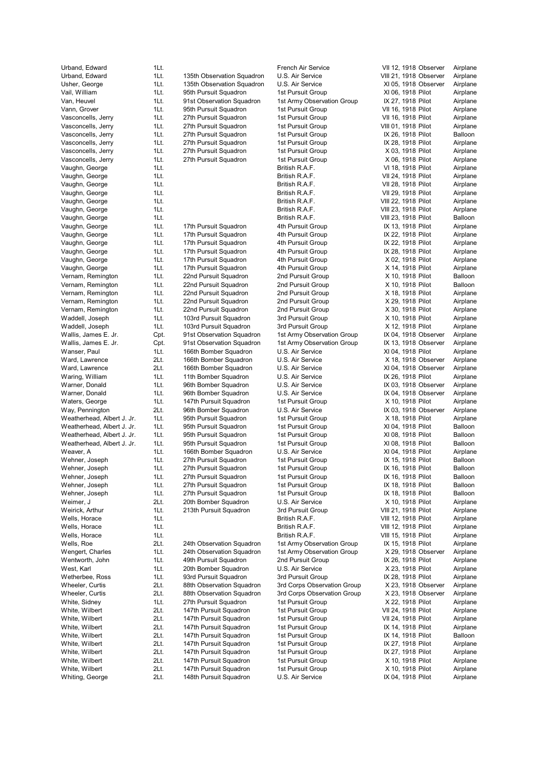Whiting, George 2Lt. 148th Pursuit Squadron U.S. Air Service IX 04, 1918 Pilot Airplane

Urband, Edward 11t. 11t. 11. 11. 11. Edward 1.t. French Air Service 1. 12, 1918 Observer Airplane<br>195th Observation Squadron U.S. Air Service 1. 1918 Observer Airplane 1Lt. 135th Observation Squadron U.S. Air Service VIII 21, 1918 Observer Airplane Usher, George **1Lt.** 135th Observation Squadron U.S. Air Service XI 05, 1918 Observer Airplane Vail, William 1Lt. 95th Pursuit Squadron 1st Pursuit Group XI 06, 1918 Pilot Airplane Van, Heuvel **1Lt.** 91st Observation Squadron 1st Army Observation Group IX 27, 1918 Pilot Airplane Vann, Grover **1Lt.** 95th Pursuit Squadron 1st Pursuit Group VII 16, 1918 Pilot Airplane Vasconcells, Jerry 1Lt. 27th Pursuit Squadron 1st Pursuit Group VII 16, 1918 Pilot Airplane Vasconcells, Jerry 1Lt. 27th Pursuit Squadron 1st Pursuit Group VIII 01, 1918 Pilot Airplane Vasconcells, Jerry 1Lt. 27th Pursuit Squadron 1st Pursuit Group IX 26, 1918 Pilot Balloon Vasconcells, Jerry 1Lt. 27th Pursuit Squadron 1st Pursuit Group 1X 28, 1918 Pilot Airplane<br>19 Vasconcells, Jerry 1Lt. 27th Pursuit Squadron 1st Pursuit Group 15t Pursuit Group Vasconcells, Jerry 1Lt. 27th Pursuit Squadron 1st Pursuit Group Vasconcells, Jerry 1Lt. 27th Pursuit Squadron 1st Pursuit Group X 06, 1918 Pilot Airplane Vaughn, George 1Lt. British R.A.F. VI 18, 1918 Pilot Airplane Vaughn, George 1Lt. 1Lt. 1. 1. British R.A.F. VII 24, 1918 Pilot Airplane Vaughn, George 1Lt. 1990 1. British R.A.F. 1990 VII 28, 1918 Pilot Airplane Vaughn, George 1Lt. 1. 1. 1. British R.A.F. 1998 Pilot Airplane Vaughn, George 1Lt. 1Lt. British R.A.F. VIII 22, 1918 Pilot Airplane Vaughn, George **1Lt.** 1Lt. British R.A.F. 1996 VIII 23, 1918 Pilot Airplane Vaughn, George 1Lt. 1. 1990 1. British R.A.F. 1990 VIII 23, 1918 Pilot Balloon Vaughn, George **1Lt.** 17th Pursuit Squadron 4th Pursuit Group IX 13, 1918 Pilot Airplane Vaughn, George 1Lt. 17th Pursuit Squadron 4th Pursuit Group IX 22, 1918 Pilot Airplane Vaughn, George **1Lt.** 17th Pursuit Squadron 4th Pursuit Group IX 22, 1918 Pilot Airplane Vaughn, George **1Lt.** 17th Pursuit Squadron 4th Pursuit Group IX 28, 1918 Pilot Airplane Vaughn, George **1Lt.** 17th Pursuit Squadron 4th Pursuit Group X 02, 1918 Pilot Airplane Vaughn, George **1Lt.** 17th Pursuit Squadron 4th Pursuit Group X 14, 1918 Pilot Airplane Vernam, Remington 1Lt. 22nd Pursuit Squadron 2nd Pursuit Group X 10, 1918 Pilot Balloon Vernam, Remington 1Lt. 22nd Pursuit Squadron 2nd Pursuit Group X 10, 1918 Pilot Balloon Vernam, Remington 1Lt. 22nd Pursuit Squadron 2nd Pursuit Group X 18, 1918 Pilot Airplane Vernam, Remington 1Lt. 22nd Pursuit Squadron 2nd Pursuit Group X 29, 1918 Pilot Airplane Vernam, Remington 1Lt. 22nd Pursuit Squadron 2nd Pursuit Group X 30, 1918 Pilot Airplane Waddell, Joseph 1Lt. 103rd Pursuit Squadron 3rd Pursuit Group X 10, 1918 Pilot Airplane Waddell, Joseph 1Lt. 103rd Pursuit Squadron 3rd Pursuit Group X 12, 1918 Pilot Airplane Wallis, James E. Jr. Cpt. 91st Observation Squadron 1st Army Observation Group IX 04, 1918 Observer Airplane Wallis, James E. Jr. Cpt. 91st Observation Squadron 1st Army Observation Group IX 13, 1918 Observer Airplane Wanser, Paul 196th 11 166th Bomber Squadron U.S. Air Service 1985 XI 04, 1918 Pilot Airplane<br>166th Bomber Squadron U.S. Air Service 18, 1918 Observer Airplane Ward, Lawrence **2Lt.** 166th Bomber Squadron U.S. Air Service **X 18, 1918 Observer Airplane** Ward, Lawrence 2Lt. 166th Bomber Squadron U.S. Air Service XI 04, 1918 Observer Airplane Waring, William 1Lt. 11th Bomber Squadron U.S. Air Service IX 26, 1918 Pilot Airplane Warner, Donald 1Lt. 96th Bomber Squadron U.S. Air Service IX 03, 1918 Observer Airplane Warner, Donald **1Lt.** 96th Bomber Squadron U.S. Air Service **IX 04, 1918 Observer** Airplane Waters, George **1Lt.** 147th Pursuit Squadron 1st Pursuit Group X 10, 1918 Pilot Airplane Way, Pennington 2Lt. 96th Bomber Squadron U.S. Air Service IX 03, 1918 Observer Airplane Weatherhead, Albert J. Jr. 1Lt. 95th Pursuit Squadron 1st Pursuit Group X 18, 1918 Pilot Airplane Weatherhead, Albert J. Jr. 1Lt. 95th Pursuit Squadron 1st Pursuit Group XI 04, 1918 Pilot Balloon Weatherhead, Albert J. Jr. 1Lt. 95th Pursuit Squadron 1st Pursuit Group XI 08, 1918 Pilot Balloon Weatherhead, Albert J. Jr. 1Lt. 95th Pursuit Squadron 1st Pursuit Group XI 08, 1918 Pilot Balloon Weaver, A 165th Bomber Squadron U.S. Air Service 71 04, 1918 Pilot Airplane Wehner, Joseph 1Lt. 27th Pursuit Squadron 1st Pursuit Group IX 15, 1918 Pilot Balloon Wehner, Joseph 1Lt. 27th Pursuit Squadron 1st Pursuit Group IX 16, 1918 Pilot Balloon Wehner, Joseph 1Lt. 27th Pursuit Squadron 1st Pursuit Group 1st Pursuit Group IX 16, 1918 Pilot Balloon Wehner, Joseph 1Lt. 27th Pursuit Squadron 1st Pursuit Group 18 18, 1918 Pilot Balloon Wehner, Joseph 1Lt. 27th Pursuit Squadron 1st Pursuit Group IX 18, 1918 Pilot Balloon Weimer, J. Cambridge 20th Bomber Squadron U.S. Air Service Cambridge X 10, 1918 Pilot Airplane Weirick, Arthur **1Lt.** 213th Pursuit Squadron 3rd Pursuit Group VIII 21, 1918 Pilot Airplane Wells, Horace **1Lt.** 1. 1. 1. 1. British R.A.F. 1918 Pilot Airplane Airplane Wells, Horace **1Lt.** 1Lt. 1. 1. British R.A.F. 1. 1918 Pilot Airplane Airplane Wells, Horace **1Lt.** 1Lt. Airplane 1Lt. British R.A.F. 1918 Pilot Airplane Wells, Roe 2Lt. 24th Observation Squadron 1st Army Observation Group IX 15, 1918 Pilot Airplane Wengert, Charles 1Lt. 24th Observation Squadron 1st Army Observation Group X 29, 1918 Observer Airplane Wentworth, John 1Lt. 49th Pursuit Squadron 2nd Pursuit Group IX 26, 1918 Pilot Airplane West, Karl **1Lt.** 20th Bomber Squadron U.S. Air Service X 23, 1918 Pilot Airplane Wetherbee, Ross 1Lt. 93rd Pursuit Squadron 3rd Pursuit Group IX 28, 1918 Pilot Airplane Wheeler, Curtis **2Lt.** 88th Observation Squadron 3rd Corps Observation Group X 23, 1918 Observer Airplane<br>20 Wheeler, Curtis 21t. 88th Observation Squadron 3rd Corps Observation Group X 23, 1918 Observer Airplane Wheeler, Curtis 2Lt. 88th Observation Squadron 3rd Corps Observation Group X 23, 1918 Observer Airplane White, Sidney **1Lt.** 27th Pursuit Squadron 1st Pursuit Group X 22, 1918 Pilot Airplane White, Wilbert 2Lt. 147th Pursuit Squadron 1st Pursuit Group VII 24, 1918 Pilot Airplane White, Wilbert 2Lt. 147th Pursuit Squadron 1st Pursuit Group VII 24, 1918 Pilot Airplane<br>147th Pursuit Squadron 1st Pursuit Group IX 14, 1918 Pilot Airplane White, Wilbert 2Lt. 147th Pursuit Squadron 1st Pursuit Group 18 14, 1918 Pilot Airplane IX 14, 1918 Pilot White, Wilbert 2Lt. 147th Pursuit Squadron 1st Pursuit Group IX 14, 1918 Pilot Balloon White, Wilbert **2Lt.** 147th Pursuit Squadron 1st Pursuit Group IX 27, 1918 Pilot Airplane White, Wilbert **2Lt.** 147th Pursuit Squadron 1st Pursuit Group IX 27, 1918 Pilot Airplane White, Wilbert 2Lt. 147th Pursuit Squadron 1st Pursuit Group X 10, 1918 Pilot Airplane

White, Wilbert 2Lt. 147th Pursuit Squadron 1st Pursuit Group X 10, 1918 Pilot Airplane